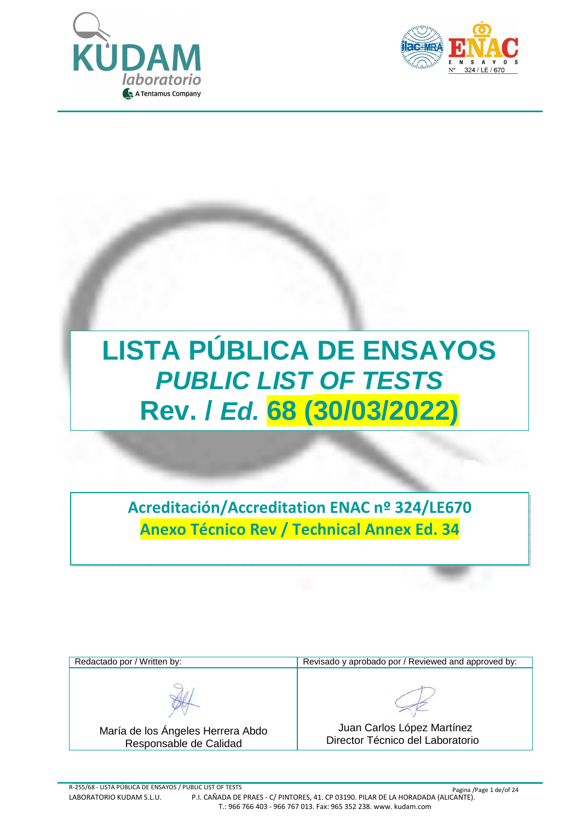



# **LISTA PÚBLICA DE ENSAYOS** *PUBLIC LIST OF TESTS* **Rev. /** *Ed.* **68 (30/03/2022)**

**Acreditación/Accreditation ENAC nº 324/LE670 Anexo Técnico Rev / Technical Annex Ed. 34**

| Redactado por / Written by:                                 | Revisado y aprobado por / Reviewed and approved by:            |
|-------------------------------------------------------------|----------------------------------------------------------------|
|                                                             |                                                                |
| María de los Ángeles Herrera Abdo<br>Responsable de Calidad | Juan Carlos López Martínez<br>Director Técnico del Laboratorio |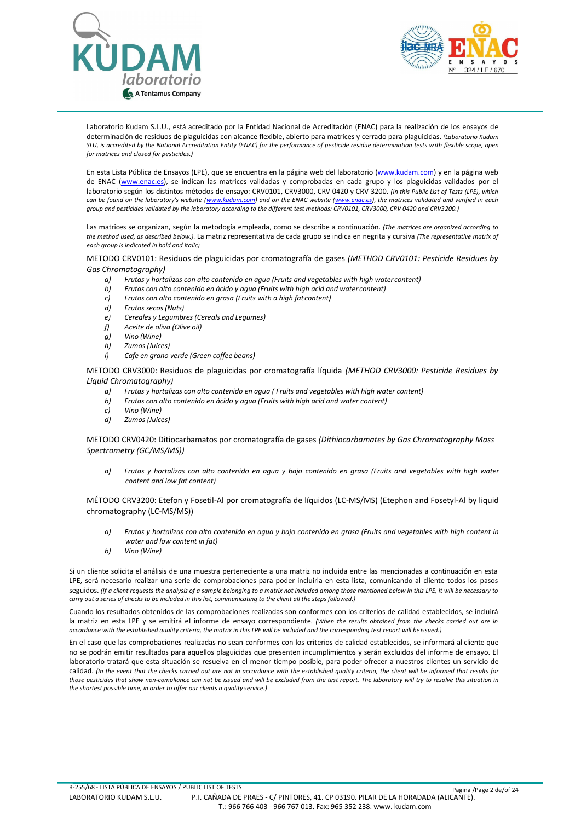



Laboratorio Kudam S.L.U., está acreditado por la Entidad Nacional de Acreditación (ENAC) para la realización de los ensayos de determinación de residuos de plaguicidas con alcance flexible, abierto para matrices y cerrado para plaguicidas. *(Laboratorio Kudam SLU, is accredited by the National Accreditation Entity (ENAC) for the performance of pesticide residue determination tests with flexible scope, open for matrices and closed for pesticides.)*

En esta Lista Pública de Ensayos (LPE), que se encuentra en la página web del laboratorio [\(www.kudam.com\)](www.kudam.com) y en la página web de ENAC [\(www.enac.es\)](www.enac.es), se indican las matrices validadas y comprobadas en cada grupo y los plaguicidas validados por el laboratorio según los distintos métodos de ensayo: CRV0101, CRV3000, CRV 0420 y CRV 3200. *(In this Public List of Tests (LPE), which can be found on the laboratory's website ([www.kudam.com\)](www.kudam.com) and on the ENAC website [\(www.enac.es](www.enac.es)), the matrices validated and verified in each group and pesticides validated by the laboratory according to the different test methods: CRV0101, CRV3000, CRV 0420 and CRV3200.)*

Las matrices se organizan, según la metodogía empleada, como se describe a continuación. *(The matrices are organized according to the method used, as described below.).* La matriz representativa de cada grupo se indica en negrita y cursiva *(The representative matrix of each group is indicated in bold and italic)*

METODO CRV0101: Residuos de plaguicidas por cromatografía de gases *(METHOD CRV0101: Pesticide Residues by Gas Chromatography)*

- *a) Frutas y hortalizas con alto contenido en agua (Fruits and vegetables with high water content)*
- *b) Frutas con alto contenido en ácido y agua (Fruits with high acid and water content)*
- *c) Frutos con alto contenido en grasa (Fruits with a high fat content)*
- *d) Frutos secos (Nuts)*
- *e) Cereales y Legumbres (Cereals and Legumes)*
- *f) Aceite de oliva (Olive oil)*
- *g) Vino (Wine)*
- *h) Zumos (Juices)*
- *i) Cafe en grano verde (Green coffee beans)*

METODO CRV3000: Residuos de plaguicidas por cromatografía líquida *(METHOD CRV3000: Pesticide Residues by Liquid Chromatography)*

- *a) Frutas y hortalizas con alto contenido en agua ( Fruits and vegetables with high water content)*
- *b) Frutas con alto contenido en ácido y agua (Fruits with high acid and water content)*
- *c) Vino (Wine)*
- *d) Zumos (Juices)*

#### METODO CRV0420: Ditiocarbamatos por cromatografía de gases *(Dithiocarbamates by Gas Chromatography Mass Spectrometry (GC/MS/MS))*

*a) Frutas y hortalizas con alto contenido en agua y bajo contenido en grasa (Fruits and vegetables with high water content and low fat content)*

MÉTODO CRV3200: Etefon y Fosetil-Al por cromatografía de líquidos (LC-MS/MS) (Etephon and Fosetyl-Al by liquid chromatography (LC-MS/MS))

- *a) Frutas y hortalizas con alto contenido en agua y bajo contenido en grasa (Fruits and vegetables with high content in water and low content in fat)*
- *b) Vino (Wine)*

Si un cliente solicita el análisis de una muestra perteneciente a una matriz no incluida entre las mencionadas a continuación en esta LPE, será necesario realizar una serie de comprobaciones para poder incluirla en esta lista, comunicando al cliente todos los pasos seguidos. *(If a client requests the analysis of a sample belonging to a matrix not included among those mentioned below in this LPE, it will be necessary to carry out a series of checks to be included in this list, communicating to the client all the steps followed.)*

Cuando los resultados obtenidos de las comprobaciones realizadas son conformes con los criterios de calidad establecidos, se incluirá la matriz en esta LPE y se emitirá el informe de ensayo correspondiente*. (When the results obtained from the checks carried out are in accordance with the established quality criteria, the matrix in this LPE will be included and the corresponding test report will beissued.)*

En el caso que las comprobaciones realizadas no sean conformes con los criterios de calidad establecidos, se informará al cliente que no se podrán emitir resultados para aquellos plaguicidas que presenten incumplimientos y serán excluidos del informe de ensayo. El laboratorio tratará que esta situación se resuelva en el menor tiempo posible, para poder ofrecer a nuestros clientes un servicio de calidad. *(In the event that the checks carried out are not in accordance with the established quality criteria, the client will be informed that results for*  those pesticides that show non-compliance can not be issued and will be excluded from the test report. The laboratory will try to resolve this situation in *the shortest possible time, in order to offer our clients a quality service.)*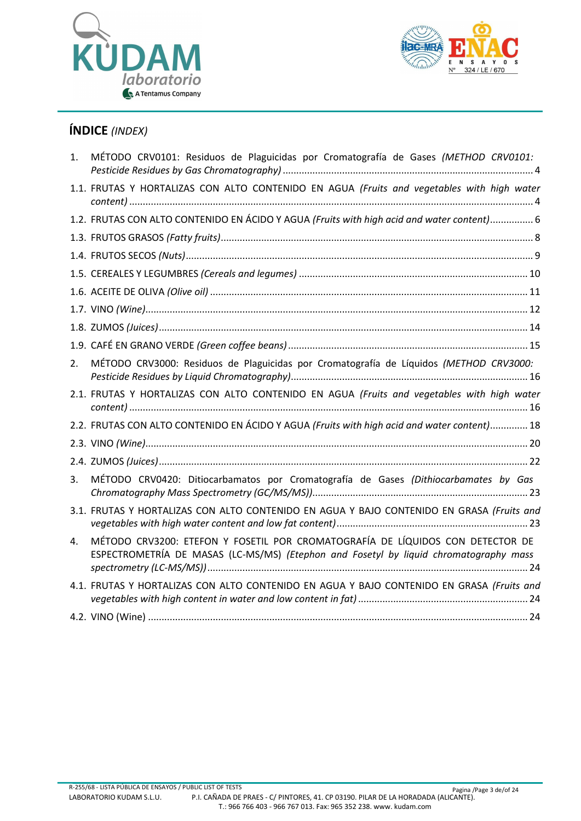



# **ÍNDICE** *(INDEX)*

| 1. | MÉTODO CRV0101: Residuos de Plaguicidas por Cromatografía de Gases (METHOD CRV0101:                                                                                     |
|----|-------------------------------------------------------------------------------------------------------------------------------------------------------------------------|
|    | 1.1. FRUTAS Y HORTALIZAS CON ALTO CONTENIDO EN AGUA (Fruits and vegetables with high water                                                                              |
|    | 1.2. FRUTAS CON ALTO CONTENIDO EN ÁCIDO Y AGUA (Fruits with high acid and water content) 6                                                                              |
|    |                                                                                                                                                                         |
|    |                                                                                                                                                                         |
|    |                                                                                                                                                                         |
|    |                                                                                                                                                                         |
|    |                                                                                                                                                                         |
|    |                                                                                                                                                                         |
|    |                                                                                                                                                                         |
| 2. | MÉTODO CRV3000: Residuos de Plaguicidas por Cromatografía de Líquidos (METHOD CRV3000:                                                                                  |
|    | 2.1. FRUTAS Y HORTALIZAS CON ALTO CONTENIDO EN AGUA (Fruits and vegetables with high water                                                                              |
|    | 2.2. FRUTAS CON ALTO CONTENIDO EN ÁCIDO Y AGUA (Fruits with high acid and water content) 18                                                                             |
|    |                                                                                                                                                                         |
|    |                                                                                                                                                                         |
| 3. | MÉTODO CRV0420: Ditiocarbamatos por Cromatografía de Gases (Dithiocarbamates by Gas                                                                                     |
|    | 3.1. FRUTAS Y HORTALIZAS CON ALTO CONTENIDO EN AGUA Y BAJO CONTENIDO EN GRASA (Fruits and                                                                               |
| 4. | MÉTODO CRV3200: ETEFON Y FOSETIL POR CROMATOGRAFÍA DE LÍQUIDOS CON DETECTOR DE<br>ESPECTROMETRÍA DE MASAS (LC-MS/MS) (Etephon and Fosetyl by liquid chromatography mass |
|    | 4.1. FRUTAS Y HORTALIZAS CON ALTO CONTENIDO EN AGUA Y BAJO CONTENIDO EN GRASA (Fruits and                                                                               |
|    |                                                                                                                                                                         |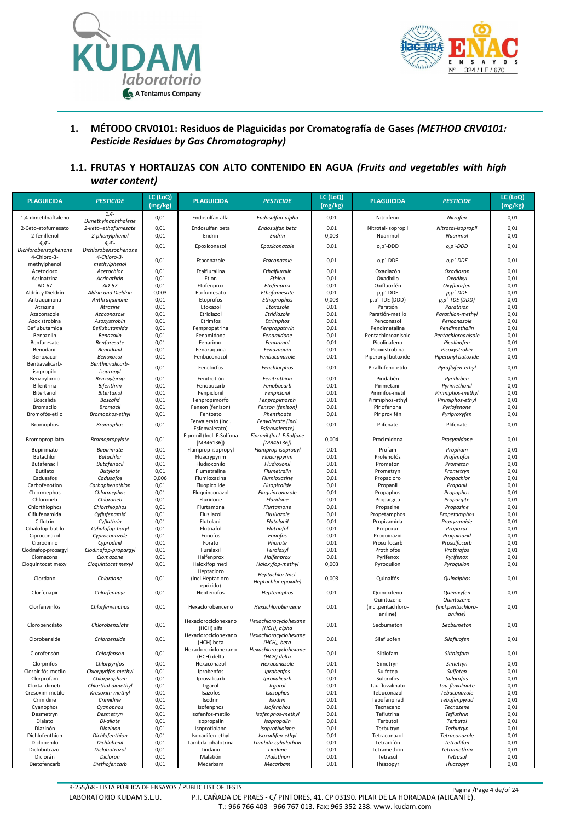



#### **1. MÉTODO CRV0101: Residuos de Plaguicidas por Cromatografía de Gases** *(METHOD CRV0101: Pesticide Residues by Gas Chromatography)*

#### **1.1. FRUTAS Y HORTALIZAS CON ALTO CONTENIDO EN AGUA** *(Fruits and vegetables with high water content)*

| <b>PLAGUICIDA</b>                  | <b>PESTICIDE</b>                      | LC (LoQ)<br>(mg/kg) | <b>PLAGUICIDA</b>                      | <b>PESTICIDE</b>                         | LC (LoQ)<br>(mg/kg) | <b>PLAGUICIDA</b>                    | <b>PESTICIDE</b>                    | LC (LoQ)<br>(mg/kg) |
|------------------------------------|---------------------------------------|---------------------|----------------------------------------|------------------------------------------|---------------------|--------------------------------------|-------------------------------------|---------------------|
| 1,4-dimetilnaftaleno               | $1,4-$<br>Dimethylnaphthalene         | 0,01                | Endosulfan alfa                        | Endosulfan-alpha                         | 0,01                | Nitrofeno                            | Nitrofen                            | 0,01                |
| 2-Ceto-etofumesato                 | 2-keto-ethofumesate                   | 0,01                | Endosulfan beta                        | Endosulfan beta                          | 0,01                | Nitrotal-isopropil                   | Nitrotal-isopropil                  | 0,01                |
| 2-fenilfenol                       | 2-phenylphenol                        | 0,01                | Endrin                                 | Endrin                                   | 0,003               | Nuarimol                             | Nuarimol                            | 0,01                |
| 4,4'<br>Dichlorobenzophenone       | $4,4'$ -<br>Dichlorobenzophenone      | 0,01                | Epoxiconazol                           | Epoxiconazole                            | 0,01                | o,p'-DDD                             | $o, p'$ -DDD                        | 0,01                |
| 4-Chloro-3-<br>methylphenol        | 4-Chloro-3-<br>methylphenol           | 0,01                | Etaconazole                            | Etaconazole                              | 0,01                | o,p'-DDE                             | o,p'-DDE                            | 0,01                |
| Acetocloro                         | Acetochlor                            | 0,01                | Etalfluralina                          | Ethalfluralin                            | 0,01                | Oxadiazón                            | Oxadiazon                           | 0,01                |
| Acrinatrina                        | Acrinathrin                           | 0,01                | Etion                                  | Ethion                                   | 0,01                | Oxadixilo                            | Oxadixyl                            | 0,01                |
| AD-67                              | AD-67<br>Aldrin and Dieldrin          | 0,01<br>0,003       | Etofenprox<br>Etofumesato              | Etofenprox<br>Ethofumesate               | 0,01<br>0,01        | Oxifluorfén<br>p,p'-DDE              | Oxyfluorfen                         | 0,01<br>0,01        |
| Aldrín y Dieldrín<br>Antraquinona  | Anthraquinone                         | 0,01                | Etoprofos                              | Ethoprophos                              | 0,008               | p,p'-TDE (DDD)                       | p,p'-DDE<br>p,p'-TDE (DDD)          | 0,01                |
| Atrazina                           | Atrazine                              | 0,01                | Etoxazol                               | Etoxazole                                | 0,01                | Paratión                             | Parathion                           | 0,01                |
| Azaconazole                        | Azaconazole                           | 0,01                | Etridiazol                             | Etridiazole                              | 0,01                | Paratión-metilo                      | Parathion-methyl                    | 0,01                |
| Azoxistrobina                      | Azoxystrobin                          | 0,01                | Etrimfos                               | Etrimphos                                | 0,01                | Penconazol                           | Penconazole                         | 0,01                |
| Beflubutamida                      | Beflubutamida                         | 0,01                | Fempropatrina                          | Fenpropathrin                            | 0,01                | Pendimetalina                        | Pendimethalin                       | 0,01                |
| Benazolin                          | Benazolin                             | 0,01                | Fenamidona                             | Fenamidone                               | 0,01                | Pentachloroanisole                   | Pentachloroanisole                  | 0,01                |
| Benfuresate                        | Benfuresate                           | 0,01                | Fenarimol                              | Fenarimol                                | 0,01                | Picolinafeno                         | Picolinafen                         | 0,01                |
| Benodanil<br>Benoxacor             | Benodanil<br>Benoxacor                | 0,01<br>0,01        | Fenazaquina<br>Fenbuconazol            | Fenazaquin<br>Fenbuconazole              | 0,01<br>0,01        | Picoxistrobina<br>Piperonyl butoxide | Picoxystrobin<br>Piperonyl butoxide | 0,01<br>0,01        |
| Bentiavalicarb-                    | Benthiavalicarb-                      |                     |                                        |                                          |                     |                                      |                                     |                     |
| isopropilo                         | isopropyl                             | 0,01                | Fenclorfos                             | Fenchlorphos                             | 0,01                | Piraflufeno-etilo                    | Pyraflufen-ethyl                    | 0,01                |
| Benzoylprop                        | Benzoylprop                           | 0,01                | Fenitrotión                            | Fenitrothion                             | 0,01                | Piridabén                            | Pyridaben                           | 0,01                |
| Bifentrina                         | Bifenthrin                            | 0,01                | Fenobucarb                             | Fenobucarb                               | 0,01                | Pirimetanil                          | Pyrimethanil                        | 0,01                |
| Bitertanol                         | <b>Bitertanol</b>                     | 0,01                | Fenpiclonil                            | Fenpiclonil                              | 0,01                | Pirimifos-metil                      | Pirimiphos-methyl                   | 0,01                |
| Boscalida                          | <b>Boscalid</b>                       | 0,01                | Fenpropimorfo                          | Fenpropimorph                            | 0,01                | Pirimiphos-ethyl                     | Pirimiphos-ethyl                    | 0,01                |
| Bromacilo                          | <b>Bromacil</b>                       | 0,01                | Fenson (fenizon)                       | Fenson (fenizon)<br>Phenthoate           | 0,01                | Piriofenona                          | Pyriofenone                         | 0,01                |
| Bromofós-etilo                     | Bromophos-ethyl                       | 0,01                | Fentoato<br>Fenvalerato (incl.         | Fenvalerate (incl.                       | 0,01                | Piriproxifén                         | Pyriproxyfen                        | 0,01                |
| <b>Bromophos</b>                   | <b>Bromophos</b>                      | 0,01                | Esfenvalerato)                         | Esfenvalerate)                           | 0,01                | Plifenate                            | Plifenate                           | 0,01                |
| Bromopropilato                     | Bromopropylate                        | 0,01                | Fipronil (Incl. F.Sulfona<br>[MB46136] | Fipronil (Incl. F.Sulfone<br>[MB46136])  | 0,004               | Procimidona                          | Procymidone                         | 0,01                |
| Bupirimato                         | <b>Bupirimate</b>                     | 0,01                | Flamprop-isopropyl                     | Flamprop-isopropyl                       | 0,01                | Profam                               | Propham                             | 0,01                |
| Butachlor                          | <b>Butachlor</b>                      | 0,01                | Fluacrypyrim                           | Fluacrypyrim<br>Fludioxonil              | 0,01                | Profenofós                           | Profenofos                          | 0,01                |
| Butafenacil<br>Butilato            | <b>Butafenacil</b><br><b>Butylate</b> | 0,01<br>0,01        | Fludioxonilo<br>Flumetralina           | Flumetralin                              | 0,01<br>0,01        | Prometon<br>Prometryn                | Prometon<br>Prometryn               | 0,01<br>0,01        |
| Cadusafos                          | Cadusafos                             | 0,006               | Flumioxazina                           | Flumioxazine                             | 0,01                | Propacloro                           | Propachlor                          | 0,01                |
| Carbofenotion                      | Carbophenothion                       | 0,01                | Fluopicolide                           | Fluopicolide                             | 0,01                | Propanil                             | Propanil                            | 0,01                |
| Chlormephos                        | Chlormephos                           | 0,01                | Fluquinconazol                         | Fluquinconazole                          | 0,01                | Propaphos                            | Propaphos                           | 0,01                |
| Chloroneb                          | Chloroneb                             | 0,01                | Fluridone                              | Fluridone                                | 0,01                | Propargita                           | Propargite                          | 0,01                |
| Chlorthiophos                      | Chlorthiophos                         | 0,01                | Flurtamona                             | Flurtamone                               | 0,01                | Propazine                            | Propazine                           | 0,01                |
| Ciflufenamida                      | Cyflufenamid                          | 0,01                | Flusilazol                             | Flusilazole                              | 0,01                | Propetamphos                         | Propetamphos                        | 0,01                |
| Ciflutrin                          | Cyfluthrin                            | 0,01                | Flutolanil                             | Flutolanil                               | 0,01                | Propizamida                          | Propyzamide                         | 0,01                |
| Cihalofop-butilo<br>Ciproconazol   | Cyhalofop-butyl<br>Cyproconazole      | 0,01<br>0,01        | Flutriafol<br>Fonofos                  | Flutriafol<br>Fonofos                    | 0,01<br>0,01        | Propoxur<br>Proquinazid              | Propoxur<br>Proquinazid             | 0,01<br>0,01        |
| Ciprodinilo                        | Cyprodinil                            | 0,01                | Forato                                 | Phorate                                  | 0,01                | Prosulfocarb                         | Prosulfocarb                        | 0,01                |
| Clodinafop-propargyl               | Clodinafop-propargyl                  | 0,01                | Furalaxil                              | Furalaxyl                                | 0,01                | Prothiofos                           | Prothiofos                          | 0,01                |
| Clomazona                          | Clomazone                             | 0,01                | Halfenprox                             | Halfenprox                               | 0,01                | Pyrifenox                            | Pyrifenox                           | 0,01                |
| Cloquintocet mexyl                 | Cloquintocet mexyl                    | 0,01                | Haloxifop metil<br>Heptacloro          | Haloxyfop-methyl                         | 0,003               | Pyroquilon                           | Pyroquilon                          | 0,01                |
| Clordano                           | Chlordane                             | 0,01                | (incl.Heptacloro-<br>epóxido)          | Heptachlor (incl.<br>Heptachlor epoxide) | 0,003               | Quinalfós                            | Quinalphos                          | 0,01                |
| Clorfenapir                        | Chlorfenapyr                          | 0,01                | Heptenofos                             | Heptenophos                              | 0,01                | Quinoxifeno                          | Quinoxyfen                          | 0,01                |
|                                    |                                       |                     |                                        |                                          |                     | Quintozene                           | Quintozene                          |                     |
| Clorfenvinfós                      | Chlorfenvinphos                       | 0,01                | Hexaclorobenceno                       | Hexachlorobenzene                        | 0,01                | (incl.pentachloro-<br>aniline)       | (incl.pentachloro-<br>aniline)      | 0,01                |
| Clorobencilato                     | Chlorobenzilate                       | 0,01                | Hexaclorociclohexano<br>(нсн) апа      | Hexachlorocyclohexane<br>(НСН), аірпа    | 0,01                | Secbumeton                           | Secbumeton                          | 0,01                |
| Clorobenside                       | Chlorbenside                          | 0,01                | Hexaclorociclohexano<br>(HCH) beta     | Hexachlorocyclohexane<br>(HCH), beta     | 0,01                | Silafluofen                          | Silafluofen                         | 0,01                |
| Clorofensón                        | Chlorfenson                           | 0,01                | Hexaclorociclohexano<br>(HCH) delta    | Hexachlorocyclohexane<br>(HCH) delta     | 0,01                | Siltiofam                            | Silthiofam                          | 0,01                |
| Clorpirifos                        | Chlorpyrifos                          | 0,01                | Hexaconazol                            | Hexaconazole                             | 0,01                | Simetryn                             | Simetryn                            | 0,01                |
| Clorpirifós-metilo                 | Chlorpyrifos-methyl                   | 0,01                | Iprobenfos                             | Iprobenfos                               | 0,01                | Sulfotep                             | Sulfotep                            | 0,01                |
| Clorprofam                         | Chlorpropham                          | 0,01                | Iprovalicarb                           | Iprovalicarb                             | 0,01                | Sulprofos                            | Sulprofos                           | 0,01                |
| Clortal dimetil<br>Cresoxim-metilo | Chlorthal-dimethyl                    | 0,01                | Irgarol                                | Irgarol                                  | 0,01                | Tau fluvalinato<br>Tebuconazol       | Tau-fluvalinate                     | 0,01                |
| Crimidine                          | Kresoxim-methyl<br>Crimidine          | 0,01<br>0,01        | Isazofos<br>Isodrin                    | Isazophos<br>Isodrin                     | 0,01<br>0,01        | Tebufenpirad                         | Tebuconazole<br>Tebufenpyrad        | 0,01<br>0,01        |
| Cyanophos                          | Cyanophos                             | 0,01                | Isofenphos                             | Isofenphos                               | 0,01                | Tecnaceno                            | Tecnazene                           | 0,01                |
| Desmetryn                          | Desmetryn                             | 0,01                | Isofenfos-metilo                       | Isofenphos-methyl                        | 0,01                | Teflutrina                           | Tefluthrin                          | 0,01                |
| Dialato                            | Di-allate                             | 0,01                | Isopropalin                            | Isopropalin                              | 0,01                | Terbutol                             | Terbutol                            | 0,01                |
| Diazinón                           | Diazinon                              | 0,01                | Isoprotiolano                          | Isoprothiolane                           | 0,01                | Terbutryn                            | Terbutryn                           | 0,01                |
| Dichlofenthion                     | Dichlofenthion                        | 0,01                | Isoxadifen-ethyl                       | Isoxadifen-ethyl                         | 0,01                | Tetraconazol                         | Tetraconazole                       | 0,01                |
| Diclobenilo                        | Dichlobenil                           | 0,01                | Lambda-cihalotrina                     | Lambda-cyhalothrin                       | 0,01                | Tetradifón                           | <b>Tetradifon</b>                   | 0,01                |
| Diclobutrazol<br>Diclorán          | Diclobutrazol<br>Dicloran             | 0,01<br>0,01        | Lindano<br>Malatión                    | Lindane<br>Malathion                     | 0,01<br>0,01        | Tetramethrin<br>Tetrasul             | Tetramethrin<br>Tetrasul            | 0,01<br>0,01        |
| Dietofencarb                       | Diethofencarb                         | 0,01                | Mecarbam                               | Mecarbam                                 | 0,01                | Thiazopyr                            | Thiazopyr                           | 0,01                |
|                                    |                                       |                     |                                        |                                          |                     |                                      |                                     |                     |

R-255/68 - LISTA PÚBLICA DE ENSAYOS / PUBLIC LIST OF TESTS Pagina /Page 4 de/of 24 LABORATORIO KUDAM S.L.U. P.I. CAÑADA DE PRAES - C/ PINTORES, 41. CP 03190. PILAR DE LA HORADADA (ALICANTE). T.: 966 766 403 - 966 767 013. Fax: 965 352 238. www. kudam.com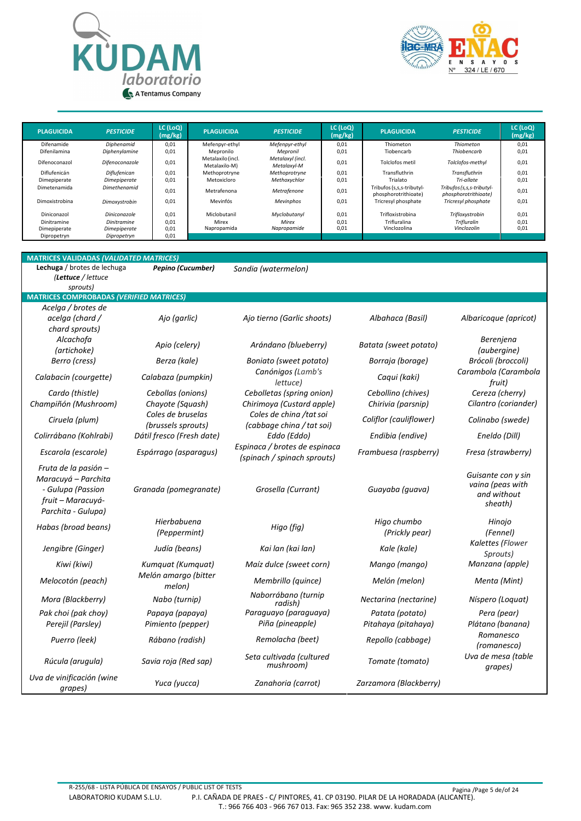



| <b>PLAGUICIDA</b>                          | <b>PESTICIDE</b>                            | LC (LoQ)<br>(mg/kg)  | <b>PLAGUICIDA</b>                    | <b>PESTICIDE</b>                     | LC (LoQ)<br>(mg/kg)  | <b>PLAGUICIDA</b>                                 | <b>PESTICIDE</b>                                     | LC (LoQ)<br>(mg/kg)  |
|--------------------------------------------|---------------------------------------------|----------------------|--------------------------------------|--------------------------------------|----------------------|---------------------------------------------------|------------------------------------------------------|----------------------|
| Difenamide                                 | Diphenamid                                  | 0.01                 | Mefenpyr-ethyl                       | Mefenpyr-ethyl                       | 0,01                 | Thiometon                                         | Thiometon                                            | 0,01                 |
| Difenilamina                               | Diphenylamine                               | 0.01                 | Mepronilo                            | Mepronil                             | 0,01                 | Tiobencarb                                        | Thiobencarb                                          | 0,01                 |
| Difenoconazol                              | Difenoconazole                              | 0.01                 | Metalaxilo (incl.<br>Metalaxilo-M)   | Metalaxyl (incl.<br>Metalaxyl-M      | 0,01                 | Tolclofos metil                                   | Tolclofos-methyl                                     | 0,01                 |
| Diflufenicán                               | Diflufenican                                | 0.01                 | Methoprotryne                        | Methoprotryne                        | 0,01                 | Transfluthrin                                     | Transfluthrin                                        | 0,01                 |
| Dimepiperate                               | Dimepiperate                                | 0.01                 | Metoxicloro                          | Methoxychlor                         | 0,01                 | Trialato                                          | Tri-allate                                           | 0,01                 |
| Dimetenamida                               | Dimethenamid                                | 0.01                 | Metrafenona                          | Metrafenone                          | 0,01                 | Tribufos (s,s,s-tributyl-<br>phosphorotrithioate) | Tribufos (s, s, s-tributyl-<br>phosphorotrithioate)  | 0,01                 |
| Dimoxistrobina                             | Dimoxystrobin                               | 0.01                 | Mevinfós                             | Mevinphos                            | 0,01                 | Tricresyl phosphate                               | Tricresyl phosphate                                  | 0,01                 |
| Diniconazol<br>Dinitramine<br>Dimepiperate | Diniconazole<br>Dinitramine<br>Dimepiperate | 0.01<br>0.01<br>0.01 | Miclobutanil<br>Mirex<br>Napropamida | Myclobutanyl<br>Mirex<br>Napropamide | 0,01<br>0,01<br>0,01 | Trifloxistrobina<br>Trifluralina<br>Vinclozolina  | Trifloxystrobin<br><b>Trifluralin</b><br>Vinclozolin | 0,01<br>0,01<br>0,01 |
| Dipropetryn                                | Dipropetryn                                 | 0,01                 |                                      |                                      |                      |                                                   |                                                      |                      |

| <b>MATRICES VALIDADAS (VALIDATED MATRICES)</b>                                                              |                                         |                                                              |                                        |                                                                  |
|-------------------------------------------------------------------------------------------------------------|-----------------------------------------|--------------------------------------------------------------|----------------------------------------|------------------------------------------------------------------|
| Lechuga / brotes de lechuga<br>(Lettuce / lettuce                                                           | <b>Pepino (Cucumber)</b>                | Sandia (watermelon)                                          |                                        |                                                                  |
| sprouts)                                                                                                    |                                         |                                                              |                                        |                                                                  |
| <b>MATRICES COMPROBADAS (VERIFIED MATRICES)</b><br>Acelga / brotes de                                       |                                         |                                                              |                                        |                                                                  |
| acelga (chard /                                                                                             | Ajo (garlic)                            | Ajo tierno (Garlic shoots)                                   | Albahaca (Basil)                       | Albaricoque (apricot)                                            |
| chard sprouts)                                                                                              |                                         |                                                              |                                        |                                                                  |
| Alcachofa<br>(artichoke)                                                                                    | Apio (celery)                           | Arándano (blueberry)                                         | Batata (sweet potato)                  | Berenjena<br>(aubergine)                                         |
| Berro (cress)                                                                                               | Berza (kale)                            | Boniato (sweet potato)                                       | Borraja (borage)                       | Brócoli (broccoli)                                               |
| Calabacin (courgette)                                                                                       | Calabaza (pumpkin)                      | Canónigos (Lamb's<br>lettuce)                                | Caqui (kaki)                           | Carambola (Carambola<br>fruit)                                   |
| Cardo (thistle)                                                                                             | Cebollas (onions)                       | Cebolletas (spring onion)                                    | Cebollino (chives)                     | Cereza (cherry)                                                  |
| Champiñón (Mushroom)                                                                                        | Chayote (Squash)                        | Chirimoya (Custard apple)                                    | Chirivia (parsnip)                     | Cilantro (coriander)                                             |
| Ciruela (plum)                                                                                              | Coles de bruselas<br>(brussels sprouts) | Coles de china /tat soi<br>(cabbage china / tat soi)         | Coliflor (cauliflower)                 | Colinabo (swede)                                                 |
| Colirrábano (Kohlrabi)                                                                                      | Dátil fresco (Fresh date)               | Eddo (Eddo)                                                  | Endibia (endive)                       | Eneldo (Dill)                                                    |
| Escarola (escarole)                                                                                         | Espárrago (asparagus)                   | Espinaca / brotes de espinaca<br>(spinach / spinach sprouts) | Frambuesa (raspberry)                  | Fresa (strawberry)                                               |
| Fruta de la pasión -<br>Maracuyá – Parchita<br>- Gulupa (Passion<br>fruit - Maracuyá-<br>Parchita - Gulupa) | Granada (pomegranate)                   | Grosella (Currant)                                           | Guayaba (guava)                        | Guisante con y sin<br>vaina (peas with<br>and without<br>sheath) |
| Habas (broad beans)                                                                                         | Hierbabuena<br>(Peppermint)             | Higo (fig)                                                   | Higo chumbo<br>(Prickly pear)          | Hinojo<br>(Fennel)                                               |
| Jengibre (Ginger)                                                                                           | Judía (beans)                           | Kai lan (kai lan)                                            | Kale (kale)                            | Kalettes (Flower<br>Sprouts)                                     |
| Kiwi (kiwi)                                                                                                 | Kumquat (Kumquat)                       | Maíz dulce (sweet corn)                                      | Mango (mango)                          | Manzana (apple)                                                  |
| Melocotón (peach)                                                                                           | Melón amargo (bitter<br>melon)          | Membrillo (quince)                                           | Melón (melon)                          | Menta (Mint)                                                     |
| Mora (Blackberry)                                                                                           | Nabo (turnip)                           | Naborrábano (turnip<br>radish)                               | Nectarina (nectarine)                  | Níspero (Loquat)                                                 |
| Pak choi (pak choy)<br>Perejil (Parsley)                                                                    | Papaya (papaya)<br>Pimiento (pepper)    | Paraguayo (paraguaya)<br>Piña (pineapple)                    | Patata (potato)<br>Pitahaya (pitahaya) | Pera (pear)<br>Plátano (banana)                                  |
| Puerro (leek)                                                                                               | Rábano (radish)                         | Remolacha (beet)                                             | Repollo (cabbage)                      | Romanesco<br>(romanesco)                                         |
| Rúcula (arugula)                                                                                            | Savia roja (Red sap)                    | Seta cultivada (cultured<br>mushroom)                        | Tomate (tomato)                        | Uva de mesa (table<br>qrapes)                                    |
| Uva de vinificación (wine<br>grapes)                                                                        | Yuca (yucca)                            | Zanahoria (carrot)                                           | Zarzamora (Blackberry)                 |                                                                  |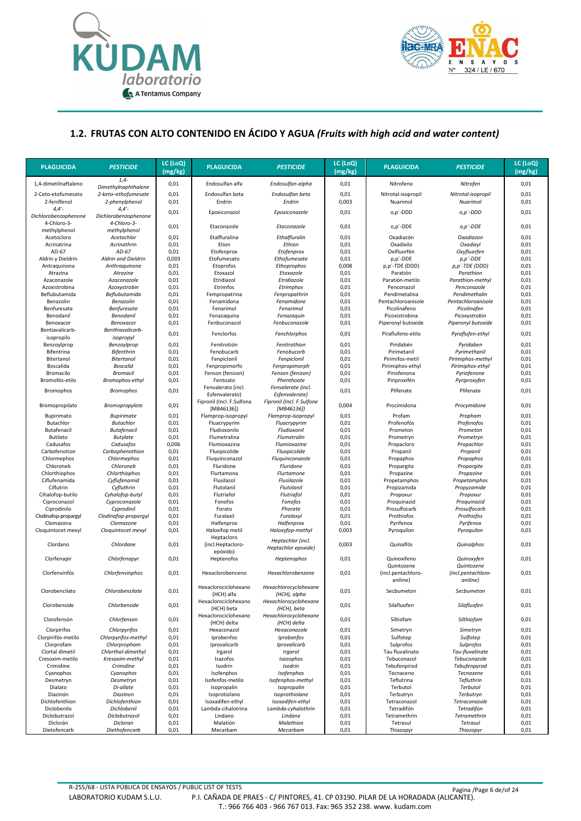



#### **1.2. FRUTAS CON ALTO CONTENIDO EN ÁCIDO Y AGUA** *(Fruits with high acid and water content)*

| <b>PLAGUICIDA</b>                  | <b>PESTICIDE</b>                      | LC (LoQ)<br>(mg/kg) | <b>PLAGUICIDA</b>                      | <b>PESTICIDE</b>                        | LC (LoQ)<br>(mg/kg) | <b>PLAGUICIDA</b>              | <b>PESTICIDE</b>                    | LC (LoQ)<br>(mg/kg) |
|------------------------------------|---------------------------------------|---------------------|----------------------------------------|-----------------------------------------|---------------------|--------------------------------|-------------------------------------|---------------------|
| 1,4-dimetilnaftaleno               | $1,4-$<br>Dimethylnaphthalene         | 0,01                | Endosulfan alfa                        | Endosulfan-alpha                        | 0,01                | Nitrofeno                      | Nitrofen                            | 0,01                |
| 2-Ceto-etofumesato<br>2-fenilfenol | 2-keto-ethofumesate<br>2-phenylphenol | 0,01<br>0,01        | Endosulfan beta<br>Endrin              | Endosulfan beta<br>Endrin               | 0,01<br>0,003       | Nitrotal-isopropil<br>Nuarimol | Nitrotal-isopropil<br>Nuarimol      | 0,01<br>0,01        |
| $4,4'$ -<br>Dichlorobenzophenone   | $4,4'$ -<br>Dichlorobenzophenone      | 0,01                | Epoxiconazol                           | Epoxiconazole                           | 0,01                | o,p'-DDD                       | o,p'-DDD                            | 0,01                |
| 4-Chloro-3-<br>methylphenol        | 4-Chloro-3-<br>methylphenol           | 0,01                | Etaconazole                            | Etaconazole                             | 0,01                | o,p'-DDE                       | o,p'-DDE                            | 0,01                |
| Acetocloro                         | Acetochlor                            | 0,01                | Etalfluralina                          | Ethalfluralin                           | 0,01                | Oxadiazón                      | Oxadiazon                           | 0,01                |
| Acrinatrina                        | Acrinathrin                           | 0,01                | Etion                                  | Ethion                                  | 0,01                | Oxadixilo                      | Oxadixyl                            | 0,01                |
| AD-67                              | AD-67                                 | 0,01                | Etofenprox                             | Etofenprox                              | 0,01                | Oxifluorfén                    | Oxyfluorfen                         | 0,01                |
| Aldrín y Dieldrín                  | Aldrin and Dieldrin                   | 0,003               | Etofumesato                            | Ethofumesate                            | 0,01                | p,p'-DDE                       | $p, p'$ -DDE                        | 0,01                |
| Antraguinona                       | Anthraquinone                         | 0,01                | Etoprofos                              | Ethoprophos                             | 0,008               | p,p'-TDE (DDD)                 | p,p'-TDE (DDD)                      | 0,01                |
| Atrazina                           | Atrazine                              | 0,01                | Etoxazol                               | Etoxazole                               | 0,01                | Paratión                       | Parathion                           | 0,01                |
| Azaconazole                        | Azaconazole                           | 0,01                | Etridiazol                             | Etridiazole                             | 0,01                | Paratión-metilo                | Parathion-methyl                    | 0,01                |
| Azoxistrobina                      | Azoxystrobin                          | 0,01                | Etrimfos                               | Etrimphos                               | 0,01                | Penconazol                     | Penconazole                         | 0,01                |
| Beflubutamida                      | Beflubutamida                         | 0,01                | Fempropatrina                          | Fenpropathrin                           | 0,01                | Pendimetalina                  | Pendimethalin                       | 0,01                |
| Benazolin                          | Benazolin                             | 0,01                | Fenamidona                             | Fenamidone                              | 0,01                | Pentachloroanisole             | Pentachloroanisole                  | 0,01                |
| Benfuresate<br>Benodanil           | Benfuresate<br>Benodanil              | 0,01<br>0,01        | Fenarimol<br>Fenazaguina               | Fenarimol<br>Fenazaquin                 | 0,01<br>0,01        | Picolinafeno<br>Picoxistrobina | Picolinafen                         | 0,01<br>0,01        |
| Benoxacor                          | Benoxacor                             | 0,01                | Fenbuconazol                           | Fenbuconazole                           | 0,01                | Piperonyl butoxide             | Picoxystrobin<br>Piperonyl butoxide | 0,01                |
| Bentiavalicarb-                    | Benthiavalicarb-                      | 0,01                | Fenclorfos                             | Fenchlorphos                            | 0,01                | Piraflufeno-etilo              | Pyraflufen-ethyl                    | 0,01                |
| isopropilo<br>Benzoylprop          | isopropyl<br>Benzoylprop              | 0,01                | Fenitrotión                            | Fenitrothion                            | 0,01                | Piridabén                      | Pyridaben                           | 0,01                |
| Bifentrina                         | <b>Bifenthrin</b>                     | 0,01                | Fenobucarb                             | Fenobucarb                              | 0,01                | Pirimetanil                    | Pyrimethanil                        | 0,01                |
| Bitertanol                         | <b>Bitertanol</b>                     | 0,01                | Fenpiclonil                            | Fenpiclonil                             | 0,01                | Pirimifos-metil                | Pirimiphos-methyl                   | 0,01                |
| Boscalida                          | <b>Boscalid</b>                       | 0,01                | Fenpropimorfo                          | Fenpropimorph                           | 0,01                | Pirimiphos-ethyl               | Pirimiphos-ethyl                    | 0,01                |
| Bromacilo                          | <b>Bromacil</b>                       | 0,01                | Fenson (fenizon)                       | Fenson (fenizon)                        | 0,01                | Piriofenona                    | Pyriofenone                         | 0,01                |
| Bromofós-etilo                     | Bromophos-ethyl                       | 0,01                | Fentoato                               | Phenthoate                              | 0,01                | Piriproxifén                   | Pyriproxyfen                        | 0,01                |
| <b>Bromophos</b>                   | <b>Bromophos</b>                      | 0,01                | Fenvalerato (incl.<br>Esfenvalerato)   | Fenvalerate (incl.<br>Esfenvalerate)    | 0,01                | Plifenate                      | Plifenate                           | 0,01                |
| Bromopropilato                     | Bromopropylate                        | 0,01                | Fipronil (Incl. F.Sulfona<br>[MB46136] | Fipronil (Incl. F.Sulfone<br>[MB46136]) | 0,004               | Procimidona                    | Procymidone                         | 0,01                |
| Bupirimato                         | <b>Bupirimate</b>                     | 0,01                | Flamprop-isopropyl                     | Flamprop-isopropyl                      | 0,01                | Profam                         | Propham                             | 0,01                |
| Butachlor                          | <b>Butachlor</b>                      | 0,01                | Fluacrypyrim                           | Fluacrypyrim                            | 0,01                | Profenofós                     | Profenofos                          | 0,01                |
| Butafenacil                        | <b>Butafenacil</b>                    | 0,01                | Fludioxonilo                           | Fludioxonil                             | 0,01                | Prometon                       | Prometon                            | 0,01                |
| Butilato                           | <b>Butylate</b>                       | 0,01                | Flumetralina                           | Flumetralin                             | 0,01                | Prometryn                      | Prometryn                           | 0,01                |
| Cadusafos                          | Cadusafos                             | 0,006               | Flumioxazina                           | Flumioxazine                            | 0,01                | Propacloro                     | Propachlor                          | 0,01                |
| Carbofenotion                      | Carbophenothion                       | 0,01                | Fluopicolide                           | Fluopicolide                            | 0,01                | Propanil                       | Propanil                            | 0,01                |
| Chlormephos                        | Chlormephos                           | 0,01                | Fluquinconazol                         | Fluquinconazole                         | 0,01                | Propaphos                      | Propaphos                           | 0,01                |
| Chloroneb                          | Chloroneb                             | 0,01                | Fluridone                              | Fluridone                               | 0,01                | Propargita                     | Propargite                          | 0,01                |
| Chlorthiophos                      | Chlorthiophos                         | 0,01                | Flurtamona                             | Flurtamone                              | 0,01                | Propazine                      | Propazine                           | 0,01                |
| Ciflufenamida                      | Cyflufenamid                          | 0,01                | Flusilazol                             | Flusilazole                             | 0,01                | Propetamphos                   | Propetamphos                        | 0,01                |
| Ciflutrin                          | Cyfluthrin                            | 0,01                | Flutolanil                             | Flutolanil                              | 0,01                | Propizamida                    | Propyzamide                         | 0,01                |
| Cihalofop-butilo                   | Cyhalofop-butyl                       | 0,01                | Flutriafol                             | Flutriafol                              | 0,01                | Propoxur                       | Propoxur                            | 0,01                |
| Ciproconazol                       | Cyproconazole                         | 0,01                | Fonofos                                | Fonofos                                 | 0,01                | Proquinazid                    | Proquinazid                         | 0,01                |
| Ciprodinilo                        | Cyprodinil                            | 0,01                | Forato                                 | Phorate                                 | 0,01                | Prosulfocarb                   | Prosulfocarb                        | 0,01                |
| Clodinafop-propargyl               | Clodinafop-propargyl<br>Clomazone     | 0,01<br>0,01        | Furalaxil                              | Furalaxyl                               | 0,01<br>0,01        | Prothiofos                     | Prothiofos                          | 0,01<br>0,01        |
| Clomazona<br>Cloquintocet mexyl    | Cloquintocet mexyl                    | 0,01                | Halfenprox<br>Haloxifop metil          | Halfenprox<br>Haloxyfop-methyl          | 0,003               | Pyrifenox<br>Pyroquilon        | Pyrifenox<br>Pyroquilon             | 0,01                |
| Clordano                           | Chlordane                             | 0,01                | Heptacloro<br>(incl.Heptacloro-        | Heptachlor (incl.                       | 0,003               | Quinalfós                      | Quinalphos                          | 0,01                |
| Clorfenapir                        |                                       |                     | epóxido)                               | Heptachlor epoxide)<br>Heptenophos      |                     | Quinoxifeno                    |                                     |                     |
|                                    | Chlorfenapyr                          | 0,01                | Heptenofos                             |                                         | 0,01                | Quintozene                     | Quinoxyfen<br>Quintozene            | 0,01                |
| Clorfenvinfós                      | Chlorfenvinphos                       | 0,01                | Hexaclorobenceno                       | Hexachlorobenzene                       | 0,01                | (incl.pentachloro-<br>aniline) | (incl.pentachloro-<br>aniline)      | 0,01                |
| Clorobencilato                     | Chlorobenzilate                       | 0,01                | Hexaclorociclohexano<br>(HCH) alfa     | Hexachlorocyclohexane<br>(HCH), alpha   | 0,01                | Secbumeton                     | Secbumeton                          | 0,01                |
| Clorobenside                       | Chlorbenside                          | 0,01                | Hexaclorociclohexano<br>(HCH) beta     | Hexachlorocyclohexane<br>(HCH), beta    | 0,01                | Silafluofen                    | Silafluofen                         | 0,01                |
| Clorofensón                        | Chlorfenson                           | 0,01                | Hexaclorociclohexano<br>(HCH) delta    | Hexachlorocyclohexane<br>(HCH) delta    | 0,01                | Siltiofam                      | Silthiofam                          | 0,01                |
| Clorpirifos                        | Chlorpyrifos                          | 0,01                | Hexaconazol                            | Hexaconazole                            | 0,01                | Simetryn                       | Simetryn                            | 0,01                |
| Clorpirifós-metilo                 | Chlorpyrifos-methyl                   | 0,01                | Iprobenfos                             | Iprobenfos                              | 0,01                | Sulfotep                       | Sulfotep                            | 0,01                |
| Clorprofam                         | Chlorpropham                          | 0,01                | Iprovalicarb                           | Iprovalicarb                            | 0,01                | Sulprofos                      | Sulprofos                           | 0,01                |
| Clortal dimetil                    | Chlorthal-dimethyl                    | 0,01                | Irgarol                                | Irgarol                                 | 0,01                | Tau fluvalinato                | Tau-fluvalinate                     | 0,01                |
| Cresoxim-metilo                    | Kresoxim-methyl                       | 0,01                | Isazofos                               | Isazophos                               | 0,01                | Tebuconazol                    | Tebuconazole                        | 0,01                |
| Crimidine                          | Crimidine                             | 0,01                | Isodrin                                | Isodrin                                 | 0,01                | Tebufenpirad                   | Tebufenpyrad                        | 0,01                |
| Cyanophos                          | Cyanophos                             | 0,01                | Isofenphos                             | Isofenphos                              | 0,01                | Tecnaceno                      | Tecnazene                           | 0,01                |
| Desmetryn                          | Desmetryn<br>Di-allate                | 0,01                | Isofenfos-metilo                       | Isofenphos-methyl                       | 0,01                | Teflutrina                     | Tefluthrin<br><b>Terbutol</b>       | 0,01                |
| Dialato<br>Diazinón                | Diazinon                              | 0,01<br>0,01        | Isopropalin<br>Isoprotiolano           | Isopropalin<br>Isoprothiolane           | 0,01<br>0,01        | Terbutol<br>Terbutryn          | Terbutryn                           | 0,01<br>0,01        |
| Dichlofenthion                     | Dichlofenthion                        | 0,01                | Isoxadifen-ethyl                       | Isoxadifen-ethyl                        | 0,01                | Tetraconazol                   | Tetraconazole                       | 0,01                |
| Diclobenilo                        | Dichlobenil                           | 0,01                | Lambda-cihalotrina                     | Lambda-cyhalothrin                      | 0,01                | Tetradifón                     | Tetradifon                          | 0,01                |
| Diclobutrazol                      | Diclobutrazol                         | 0,01                | Lindano                                | Lindane                                 | 0,01                | Tetramethrin                   | Tetramethrin                        | 0,01                |
| Diclorán                           | Dicloran                              | 0,01                | Malatión                               | Malathion                               | 0,01                | Tetrasul                       | Tetrasul                            | 0,01                |
| Dietofencarb                       | Diethofencarb                         | 0,01                | Mecarbam                               | Mecarbam                                | 0,01                | Thiazopyr                      | Thiazopyr                           | 0,01                |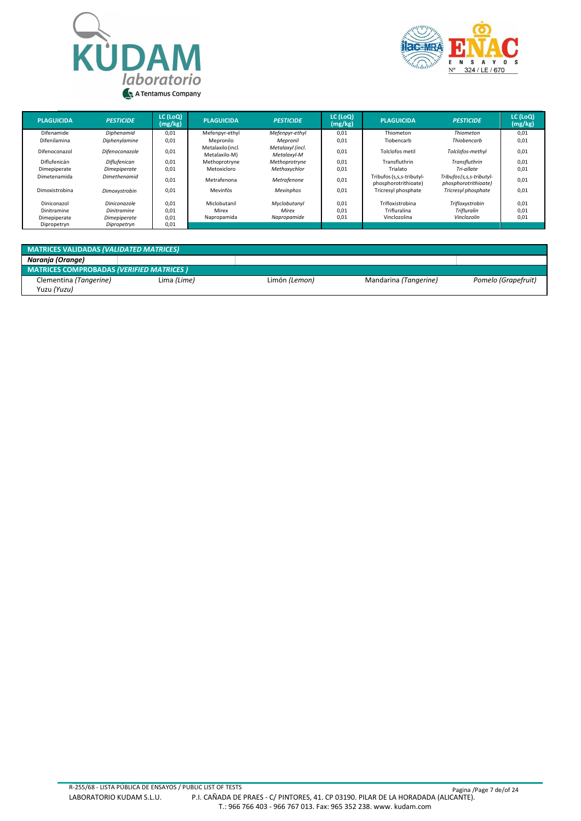



| <b>PLAGUICIDA</b>                          | <b>PESTICIDE</b>                                   | LC (LoQ)<br>(mg/kg)  | <b>PLAGUICIDA</b>                    | <b>PESTICIDE</b>                     | LC (LoQ)<br>(mg/kg)  | <b>PLAGUICIDA</b>                                 | <b>PESTICIDE</b>                                    | LC (LoQ)<br>(mg/kg)  |
|--------------------------------------------|----------------------------------------------------|----------------------|--------------------------------------|--------------------------------------|----------------------|---------------------------------------------------|-----------------------------------------------------|----------------------|
| Difenamide                                 | Diphenamid                                         | 0,01                 | Mefenpyr-ethyl                       | Mefenpyr-ethyl                       | 0,01                 | Thiometon                                         | Thiometon                                           | 0,01                 |
| Difenilamina                               | Diphenylamine                                      | 0,01                 | Mepronilo                            | Mepronil                             | 0,01                 | Tiobencarb                                        | Thiobencarb                                         | 0,01                 |
| Difenoconazol                              | Difenoconazole                                     | 0.01                 | Metalaxilo (incl.<br>Metalaxilo-M)   | Metalaxyl (incl.<br>Metalaxyl-M      | 0.01                 | Tolclofos metil                                   | Tolclofos-methyl                                    | 0,01                 |
| Diflufenicán                               | Diflufenican                                       | 0.01                 | Methoprotryne                        | Methoprotryne                        | 0,01                 | Transfluthrin                                     | Transfluthrin                                       | 0,01                 |
| Dimepiperate                               | Dimepiperate                                       | 0,01                 | Metoxicloro                          | Methoxychlor                         | 0,01                 | Trialato                                          | Tri-allate                                          | 0,01                 |
| Dimetenamida                               | Dimethenamid                                       | 0.01                 | Metrafenona                          | Metrafenone                          | 0,01                 | Tribufos (s.s.s-tributyl-<br>phosphorotrithioate) | Tribufos (s, s, s-tributyl-<br>phosphorotrithioate) | 0,01                 |
| Dimoxistrobina                             | Dimoxystrobin                                      | 0,01                 | Mevinfós                             | Mevinphos                            | 0,01                 | Tricresyl phosphate                               | Tricresyl phosphate                                 | 0,01                 |
| Diniconazol<br>Dinitramine<br>Dimepiperate | Diniconazole<br><b>Dinitramine</b><br>Dimepiperate | 0.01<br>0.01<br>0.01 | Miclobutanil<br>Mirex<br>Napropamida | Myclobutanyl<br>Mirex<br>Napropamide | 0,01<br>0.01<br>0,01 | Trifloxistrobina<br>Trifluralina<br>Vinclozolina  | Trifloxystrobin<br>Trifluralin<br>Vinclozolin       | 0,01<br>0,01<br>0,01 |
| Dipropetryn                                | Dipropetryn                                        | 0,01                 |                                      |                                      |                      |                                                   |                                                     |                      |

| <b>MATRICES VALIDADAS (VALIDATED MATRICES)</b>  |             |               |                       |                     |  |  |  |  |  |
|-------------------------------------------------|-------------|---------------|-----------------------|---------------------|--|--|--|--|--|
| Naranja (Orange)                                |             |               |                       |                     |  |  |  |  |  |
| <b>MATRICES COMPROBADAS (VERIFIED MATRICES)</b> |             |               |                       |                     |  |  |  |  |  |
| Clementina (Tangerine)                          | Lima (Lime) | Limón (Lemon) | Mandarina (Tangerine) | Pomelo (Grapefruit) |  |  |  |  |  |
| Yuzu (Yuzu)                                     |             |               |                       |                     |  |  |  |  |  |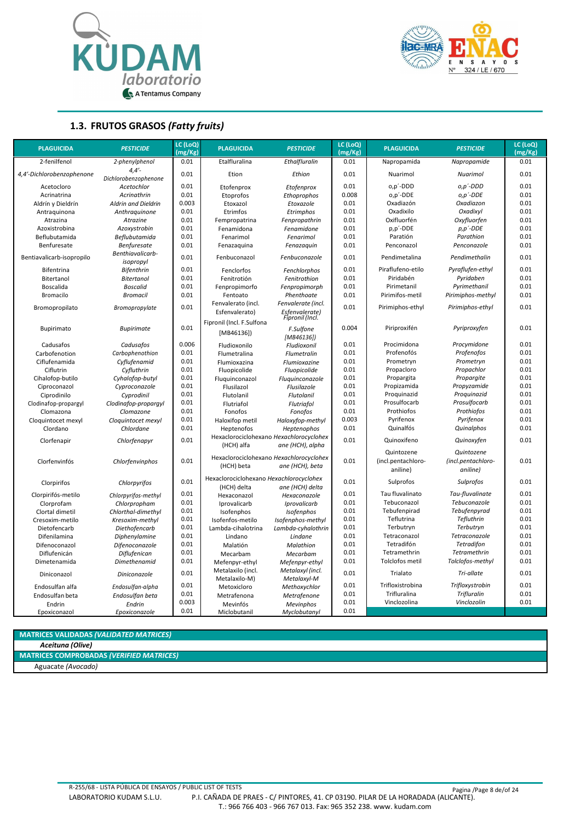



**1.3. FRUTOS GRASOS** *(Fatty fruits)*

| <b>PLAGUICIDA</b>         | <b>PESTICIDE</b>                 | LC (LoQ)<br>(mg/Kg) | <b>PLAGUICIDA</b>                                      | <b>PESTICIDE</b>                                            | LC (LoQ)<br>(mg/Kg) | <b>PLAGUICIDA</b>                            | <b>PESTICIDE</b>                             | LC (LoQ)<br>(mg/Kg) |
|---------------------------|----------------------------------|---------------------|--------------------------------------------------------|-------------------------------------------------------------|---------------------|----------------------------------------------|----------------------------------------------|---------------------|
| 2-fenilfenol              | 2-phenylphenol                   | 0.01                | Etalfluralina                                          | Ethalfluralin                                               | 0.01                | Napropamida                                  | Napropamide                                  | 0.01                |
| 4,4'-Dichlorobenzophenone | $4,4'$ -<br>Dichlorobenzophenone | 0.01                | Etion                                                  | Ethion                                                      | 0.01                | Nuarimol                                     | Nuarimol                                     | 0.01                |
| Acetocloro                | Acetochlor                       | 0.01                | Etofenprox                                             | Etofenprox                                                  | 0.01                | o,p'-DDD                                     | $O, D'$ -DDD                                 | 0.01                |
| Acrinatrina               | Acrinathrin                      | 0.01                | Etoprofos                                              | Ethoprophos                                                 | 0.008               | o,p'-DDE                                     | $o, p'$ -DDE                                 | 0.01                |
| Aldrín y Dieldrín         | <b>Aldrin and Dieldrin</b>       | 0.003               | Etoxazol                                               | Etoxazole                                                   | 0.01                | Oxadiazón                                    | Oxadiazon                                    | 0.01                |
| Antraquinona              | Anthraquinone                    | 0.01                | Etrimfos                                               | Etrimphos                                                   | 0.01                | Oxadixilo                                    | Oxadixyl                                     | 0.01                |
| Atrazina                  | Atrazine                         | 0.01                | Fempropatrina                                          | Fenpropathrin                                               | 0.01                | Oxifluorfén                                  | Oxyfluorfen                                  | 0.01                |
| Azoxistrobina             | Azoxystrobin                     | 0.01                | Fenamidona                                             | Fenamidone                                                  | 0.01                | p,p'-DDE                                     | $p, p'$ -DDE                                 | 0.01                |
| Beflubutamida             | Beflubutamida                    | 0.01                | Fenarimol                                              | Fenarimol                                                   | 0.01                | Paratión                                     | Parathion                                    | 0.01                |
| Benfuresate               | <b>Benfuresate</b>               | 0.01                | Fenazaquina                                            | Fenazaquin                                                  | 0.01                | Penconazol                                   | Penconazole                                  | 0.01                |
| Bentiavalicarb-isopropilo | Benthiavalicarb-<br>isopropyl    | 0.01                | Fenbuconazol                                           | Fenbuconazole                                               | 0.01                | Pendimetalina                                | Pendimethalin                                | 0.01                |
| <b>Bifentrina</b>         | <b>Bifenthrin</b>                | 0.01                | Fenclorfos                                             | Fenchlorphos                                                | 0.01                | Piraflufeno-etilo                            | Pyraflufen-ethyl                             | 0.01                |
| Bitertanol                | <b>Bitertanol</b>                | 0.01                | Fenitrotión                                            | Fenitrothion                                                | 0.01                | Piridabén                                    | Pyridaben                                    | 0.01                |
| Boscalida                 | <b>Boscalid</b>                  | 0.01                | Fenpropimorfo                                          | Fenpropimorph                                               | 0.01                | Pirimetanil                                  | Pyrimethanil                                 | 0.01                |
| Bromacilo                 | <b>Bromacil</b>                  | 0.01                | Fentoato                                               | Phenthoate                                                  | 0.01                | Pirimifos-metil                              | Pirimiphos-methyl                            | 0.01                |
| Bromopropilato            | Bromopropylate                   | 0.01                | Fenvalerato (incl.<br>Esfenvalerato)                   | Fenvalerate (incl.<br>Esfenvalerate)                        | 0.01                | Pirimiphos-ethyl                             | Pirimiphos-ethyl                             | 0.01                |
|                           |                                  |                     | Fipronil (Incl. F.Sulfona                              | Fipronil (Incl.                                             |                     |                                              |                                              |                     |
| Bupirimato                | <b>Bupirimate</b>                | 0.01                | [MB46136]                                              | F.Sulfone<br>[MB46136])                                     | 0.004               | Piriproxifén                                 | Pyriproxyfen                                 | 0.01                |
| Cadusafos                 | Cadusafos                        | 0.006               | Fludioxonilo                                           | Fludioxonil                                                 | 0.01                | Procimidona                                  | Procymidone                                  | 0.01                |
| Carbofenotion             | Carbophenothion                  | 0.01                | Flumetralina                                           | Flumetralin                                                 | 0.01                | Profenofós                                   | Profenofos                                   | 0.01                |
| Ciflufenamida             | Cyflufenamid                     | 0.01                | Flumioxazina                                           | Flumioxazine                                                | 0.01                | Prometryn                                    | Prometryn                                    | 0.01                |
| Ciflutrin                 | Cyfluthrin                       | 0.01                | Fluopicolide                                           | Fluopicolide                                                | 0.01                | Propacloro                                   | Propachlor                                   | 0.01                |
| Cihalofop-butilo          | Cyhalofop-butyl                  | 0.01                | Fluquinconazol                                         | Fluquinconazole                                             | 0.01                | Propargita                                   | Propargite                                   | 0.01                |
| Ciproconazol              | Cyproconazole                    | 0.01                | Flusilazol                                             | Flusilazole                                                 | 0.01                | Propizamida                                  | Propyzamide                                  | 0.01                |
| Ciprodinilo               | Cyprodinil                       | 0.01                | Flutolanil                                             | Flutolanil                                                  | 0.01                | Proguinazid                                  | Proquinazid                                  | 0.01                |
| Clodinafop-propargyl      | Clodinafop-propargyl             | 0.01                | Flutriafol                                             | Flutriafol                                                  | 0.01                | Prosulfocarb                                 | Prosulfocarb                                 | 0.01                |
| Clomazona                 | Clomazone                        | 0.01                | Fonofos                                                | Fonofos                                                     | 0.01                | Prothiofos                                   | Prothiofos                                   | 0.01                |
| Cloquintocet mexyl        | Cloquintocet mexyl               | 0.01                | Haloxifop metil                                        | Haloxyfop-methyl                                            | 0.003               | Pyrifenox                                    | Pyrifenox                                    | 0.01                |
| Clordano                  | Chlordane                        | 0.01                | Heptenofos                                             | Heptenophos                                                 | 0.01                | Quinalfós                                    | Quinalphos                                   | 0.01                |
| Clorfenapir               | Chlorfenapyr                     | 0.01                | (HCH) alfa                                             | Hexaclorociclohexano Hexachlorocyclohex<br>ane (HCH), alpha | 0.01                | Quinoxifeno                                  | Quinoxyfen                                   | 0.01                |
| Clorfenvinfós             | Chlorfenvinphos                  | 0.01                | Hexaclorociclohexano Hexachlorocyclohex<br>(HCH) beta  | ane (HCH), beta                                             | 0.01                | Quintozene<br>(incl.pentachloro-<br>aniline) | Quintozene<br>(incl.pentachloro-<br>aniline) | 0.01                |
| Clorpirifos               | Chlorpyrifos                     | 0.01                | Hexaclorociclohexano Hexachlorocyclohex<br>(HCH) delta | ane (HCH) delta                                             | 0.01                | Sulprofos                                    | Sulprofos                                    | 0.01                |
| Clorpirifós-metilo        | Chlorpyrifos-methyl              | 0.01                | Hexaconazol                                            | Hexaconazole                                                | 0.01                | Tau fluvalinato                              | Tau-fluvalinate                              | 0.01                |
| Clorprofam                | Chlorpropham                     | 0.01                | Iprovalicarb                                           | Iprovalicarb                                                | 0.01                | Tebuconazol                                  | Tebuconazole                                 | 0.01                |
| Clortal dimetil           | Chlorthal-dimethyl               | 0.01                | Isofenphos                                             | Isofenphos                                                  | 0.01                | Tebufenpirad                                 | Tebufenpyrad                                 | 0.01                |
| Cresoxim-metilo           | Kresoxim-methyl                  | 0.01                | Isofenfos-metilo                                       | Isofenphos-methyl                                           | 0.01                | Teflutrina                                   | Tefluthrin                                   | 0.01                |
| Dietofencarb              | Diethofencarb                    | 0.01                | Lambda-cihalotrina                                     | Lambda-cyhalothrin                                          | 0.01                | Terbutryn                                    | Terbutryn                                    | 0.01                |
| Difenilamina              | Diphenylamine                    | 0.01                | Lindano                                                | Lindane                                                     | 0.01                | Tetraconazol                                 | Tetraconazole                                | 0.01                |
| Difenoconazol             | Difenoconazole                   | 0.01                | Malatión                                               | Malathion                                                   | 0.01                | Tetradifón                                   | Tetradifon                                   | 0.01                |
| Diflufenicán              | <b>Diflufenican</b>              | 0.01                | Mecarbam                                               | Mecarbam                                                    | 0.01                | Tetramethrin                                 | Tetramethrin                                 | 0.01                |
| Dimetenamida              | <b>Dimethenamid</b>              | 0.01                | Mefenpyr-ethyl                                         | Mefenpyr-ethyl                                              | 0.01                | Tolclofos metil                              | Tolclofos-methyl                             | 0.01                |
| Diniconazol               | Diniconazole                     | 0.01                | Metalaxilo (incl.<br>Metalaxilo-M)                     | Metalaxyl (incl.<br>Metalaxyl-M                             | 0.01                | Trialato                                     | Tri-allate                                   | 0.01                |
| Endosulfan alfa           | Endosulfan-alpha                 | 0.01                | Metoxicloro                                            | Methoxychlor                                                | 0.01                | Trifloxistrobina                             | Trifloxystrobin                              | 0.01                |
| Endosulfan beta           | Endosulfan beta                  | 0.01                | Metrafenona                                            | Metrafenone                                                 | 0.01                | Trifluralina                                 | <b>Trifluralin</b>                           | 0.01                |
| Endrin                    | Endrin                           | 0.003               | Mevinfós                                               | Mevinphos                                                   | 0.01                | Vinclozolina                                 | Vinclozolin                                  | 0.01                |
| Epoxiconazol              | Epoxiconazole                    | 0.01                | Miclobutanil                                           | Myclobutanyl                                                | 0.01                |                                              |                                              |                     |

| <b>MATRICES VALIDADAS (VALIDATED MATRICES)</b>  |
|-------------------------------------------------|
| Aceituna (Olive)                                |
| <b>MATRICES COMPROBADAS (VERIFIED MATRICES)</b> |
| Aguacate (Avocado)                              |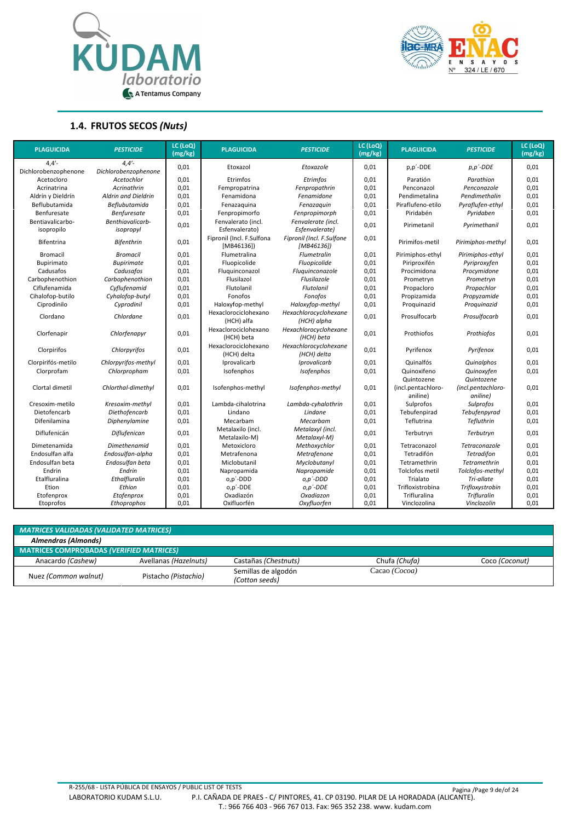



#### **1.4. FRUTOS SECOS** *(Nuts)*

| <b>PLAGUICIDA</b>              | <b>PESTICIDE</b>              | LC (LoQ)<br>(mg/kg) | <b>PLAGUICIDA</b>                      | <b>PESTICIDE</b>                        | LC (LoQ)<br>(mg/kg) | <b>PLAGUICIDA</b>              | <b>PESTICIDE</b>               | LC (LoQ)<br>(mg/kg) |
|--------------------------------|-------------------------------|---------------------|----------------------------------------|-----------------------------------------|---------------------|--------------------------------|--------------------------------|---------------------|
| $4,4'$ -                       | 4.4'                          |                     |                                        |                                         |                     |                                |                                |                     |
| Dichlorobenzophenone           | Dichlorobenzophenone          | 0,01                | Etoxazol                               | Etoxazole                               | 0,01                | p,p'-DDE                       | $p, p'$ -DDE                   | 0,01                |
| Acetocloro                     | Acetochlor                    | 0,01                | Etrimfos                               | Etrimfos                                | 0,01                | Paratión                       | Parathion                      | 0,01                |
| Acrinatrina                    | Acrinathrin                   | 0,01                | Fempropatrina                          | Fenpropathrin                           | 0,01                | Penconazol                     | Penconazole                    | 0,01                |
| Aldrín y Dieldrín              | Aldrin and Dieldrin           | 0,01                | Fenamidona                             | Fenamidone                              | 0,01                | Pendimetalina                  | Pendimethalin                  | 0,01                |
| Beflubutamida                  | Beflubutamida                 | 0,01                | Fenazaguina                            | Fenazaquin                              | 0,01                | Piraflufeno-etilo              | Pyraflufen-ethyl               | 0,01                |
| Benfuresate                    | <b>Benfuresate</b>            | 0,01                | Fenpropimorfo                          | Fenpropimorph                           | 0,01                | Piridabén                      | Pyridaben                      | 0,01                |
| Bentiavalicarbo-<br>isopropilo | Benthiavalicarb-<br>isopropyl | 0,01                | Fenvalerato (incl.<br>Esfenvalerato)   | Fenvalerate (incl.<br>Esfenvalerate)    | 0,01                | Pirimetanil                    | Pyrimethanil                   | 0,01                |
| <b>Bifentrina</b>              | <b>Bifenthrin</b>             | 0,01                | Fipronil (Incl. F.Sulfona<br>[MB46136] | Fipronil (Incl. F.Sulfone<br>[MB46136]) | 0,01                | Pirimifos-metil                | Pirimiphos-methyl              | 0,01                |
| <b>Bromacil</b>                | <b>Bromacil</b>               | 0,01                | Flumetralina                           | Flumetralin                             | 0,01                | Pirimiphos-ethyl               | Pirimiphos-ethyl               | 0,01                |
| Bupirimato                     | <b>Bupirimate</b>             | 0,01                | Fluopicolide                           | Fluopicolide                            | 0,01                | Piriproxifén                   | Pyriproxyfen                   | 0,01                |
| Cadusafos                      | Cadusafos                     | 0,01                | Fluguinconazol                         | Fluguinconazole                         | 0,01                | Procimidona                    | Procymidone                    | 0,01                |
| Carbophenothion                | Carbophenothion               | 0,01                | Flusilazol                             | Flusilazole                             | 0,01                | Prometryn                      | Prometryn                      | 0,01                |
| Ciflufenamida                  | Cyflufenamid                  | 0,01                | Flutolanil                             | Flutolanil                              | 0,01                | Propacloro                     | Propachlor                     | 0,01                |
| Cihalofop-butilo               | Cyhalofop-butyl               | 0,01                | Fonofos                                | Fonofos                                 | 0,01                | Propizamida                    | Propyzamide                    | 0,01                |
| Ciprodinilo                    | Cyprodinil                    | 0,01                | Haloxyfop-methyl                       | Haloxyfop-methyl                        | 0,01                | Proquinazid                    | Proguinazid                    | 0,01                |
| Clordano                       | Chlordane                     | 0,01                | Hexaclorociclohexano<br>(HCH) alfa     | Hexachlorocyclohexane<br>(HCH) alpha    | 0,01                | Prosulfocarb                   | Prosulfocarb                   | 0,01                |
| Clorfenapir                    | Chlorfenapyr                  | 0,01                | Hexaclorociclohexano<br>(HCH) beta     | Hexachlorocyclohexane<br>(HCH) beta     | 0,01                | Prothiofos                     | Prothiofos                     | 0,01                |
| Clorpirifos                    | Chlorpyrifos                  | 0,01                | Hexaclorociclohexano<br>(HCH) delta    | Hexachlorocyclohexane<br>(HCH) delta    | 0,01                | Pyrifenox                      | Pyrifenox                      | 0,01                |
| Clorpirifós-metilo             | Chlorpyrifos-methyl           | 0,01                | Iprovalicarb                           | Iprovalicarb                            | 0,01                | Quinalfós                      | Quinalphos                     | 0,01                |
| Clorprofam                     | Chlorpropham                  | 0,01                | Isofenphos                             | Isofenphos                              | 0,01                | Quinoxifeno<br>Quintozene      | Quinoxyfen<br>Quintozene       | 0,01                |
| Clortal dimetil                | Chlorthal-dimethyl            | 0,01                | Isofenphos-methyl                      | Isofenphos-methyl                       | 0,01                | (incl.pentachloro-<br>aniline) | (incl.pentachloro-<br>aniline) | 0,01                |
| Cresoxim-metilo                | Kresoxim-methyl               | 0,01                | Lambda-cihalotrina                     | Lambda-cyhalothrin                      | 0,01                | Sulprofos                      | Sulprofos                      | 0,01                |
| Dietofencarb                   | Diethofencarb                 | 0,01                | Lindano                                | Lindane                                 | 0,01                | Tebufenpirad                   | Tebufenpyrad                   | 0,01                |
| Difenilamina                   | <b>Diphenylamine</b>          | 0,01                | Mecarbam                               | Mecarbam                                | 0,01                | Teflutrina                     | Tefluthrin                     | 0,01                |
| Diflufenicán                   | <b>Diflufenican</b>           | 0,01                | Metalaxilo (incl.<br>Metalaxilo-M)     | Metalaxyl (incl.<br>Metalaxyl-M)        | 0,01                | Terbutryn                      | Terbutryn                      | 0,01                |
| Dimetenamida                   | <b>Dimethenamid</b>           | 0,01                | Metoxicloro                            | Methoxychlor                            | 0,01                | Tetraconazol                   | Tetraconazole                  | 0,01                |
| Endosulfan alfa                | Endosulfan-alpha              | 0,01                | Metrafenona                            | Metrafenone                             | 0,01                | Tetradifón                     | <b>Tetradifon</b>              | 0,01                |
| Endosulfan beta                | Endosulfan beta               | 0,01                | Miclobutanil                           | Myclobutanyl                            | 0,01                | Tetramethrin                   | Tetramethrin                   | 0,01                |
| Endrin                         | Endrin                        | 0,01                | Napropamida                            | Napropamide                             | 0,01                | Tolclofos metil                | Tolclofos-methyl               | 0,01                |
| Etalfluralina                  | Ethalfluralin                 | 0,01                | o,p'-DDD                               | o,p'-DDD                                | 0,01                | Trialato                       | Tri-allate                     | 0,01                |
| Etion                          | Ethion                        | 0,01                | o,p'-DDE                               | $o, p'$ -DDE                            | 0,01                | Trifloxistrobina               | Trifloxystrobin                | 0,01                |
| Etofenprox                     | Etofenprox                    | 0,01                | Oxadiazón                              | Oxadiazon                               | 0,01                | Trifluralina                   | <b>Trifluralin</b>             | 0,01                |
| Etoprofos                      | Ethoprophos                   | 0.01                | Oxifluorfén                            | Oxvfluorfen                             | 0.01                | Vinclozolina                   | Vinclozolin                    | 0.01                |

| MATRICES VALIDADAS (VALIDATED MATRICES)         |                       |                                       |               |                |
|-------------------------------------------------|-----------------------|---------------------------------------|---------------|----------------|
| Almendras (Almonds)                             |                       |                                       |               |                |
| <b>MATRICES COMPROBADAS (VERIFIED MATRICES)</b> |                       |                                       |               |                |
| Anacardo (Cashew)                               | Avellanas (Hazelnuts) | Castañas (Chestnuts)                  | Chufa (Chufa) | Coco (Coconut) |
| Nuez (Common walnut)                            | Pistacho (Pistachio)  | Semillas de algodón<br>(Cotton seeds) | Cacao (Cocoa) |                |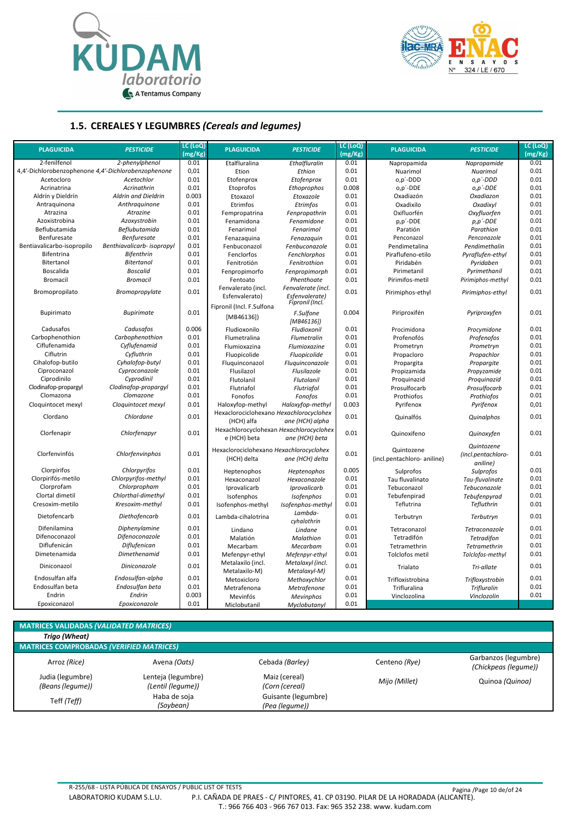



#### **1.5. CEREALES Y LEGUMBRES** *(Cereals and legumes)*

| <b>PLAGUICIDA</b>                                   | <b>PESTICIDE</b>           | LC (LoQ)<br>(mg/Kg) | <b>PLAGUICIDA</b>                                           | <b>PESTICIDE</b>                  | LC (LoQ)<br>(mg/Kg) | <b>PLAGUICIDA</b>           | <b>PESTICIDE</b>   | LC (LOQ)<br>(mg/Kg) |
|-----------------------------------------------------|----------------------------|---------------------|-------------------------------------------------------------|-----------------------------------|---------------------|-----------------------------|--------------------|---------------------|
| 2-fenilfenol                                        | 2-phenylphenol             | 0.01                | Etalfluralina                                               | Ethalfluralin                     | 0.01                | Napropamida                 | Napropamide        | 0.01                |
| 4,4'-Dichlorobenzophenone 4,4'-Dichlorobenzophenone |                            | 0,01                | Etion                                                       | Ethion                            | 0.01                | Nuarimol                    | Nuarimol           | 0.01                |
| Acetocloro                                          | Acetochlor                 | 0.01                | Etofenprox                                                  | Etofenprox                        | 0.01                | o,p'-DDD                    | o,p'-DDD           | 0.01                |
| Acrinatrina                                         | Acrinathrin                | 0.01                | Etoprofos                                                   | Ethoprophos                       | 0.008               | o,p'-DDE                    | $0, p'$ -DDE       | 0.01                |
| Aldrín y Dieldrín                                   | Aldrin and Dieldrin        | 0.003               | Etoxazol                                                    | Etoxazole                         | 0.01                | Oxadiazón                   | Oxadiazon          | 0.01                |
| Antraquinona                                        | Anthraguinone              | 0.01                | Etrimfos                                                    | Etrimfos                          | 0.01                | Oxadixilo                   | Oxadixyl           | 0.01                |
| Atrazina                                            | Atrazine                   | 0.01                | Fempropatrina                                               | Fenpropathrin                     | 0.01                | Oxifluorfén                 | Oxyfluorfen        | 0.01                |
| Azoxistrobina                                       | Azoxystrobin               | 0.01                | Fenamidona                                                  | Fenamidone                        | 0.01                | p,p'-DDE                    | $p, p'$ -DDE       | 0.01                |
| Beflubutamida                                       | <b>Beflubutamida</b>       | 0.01                | Fenarimol                                                   | Fenarimol                         | 0.01                | Paratión                    | Parathion          | 0.01                |
| Benfuresate                                         | <b>Benfuresate</b>         | 0.01                | Fenazaquina                                                 | Fenazaguin                        | 0.01                | Penconazol                  | Penconazole        | 0.01                |
| Bentiavalicarbo-isopropilo                          | Benthiavalicarb- isopropyl | 0.01                | Fenbuconazol                                                | Fenbuconazole                     | 0.01                | Pendimetalina               | Pendimethalin      | 0.01                |
| Bifentrina                                          | <b>Bifenthrin</b>          | 0.01                | Fenclorfos                                                  | Fenchlorphos                      | 0.01                | Piraflufeno-etilo           | Pyraflufen-ethyl   | 0.01                |
| Bitertanol                                          | <b>Bitertanol</b>          | 0.01                | Fenitrotión                                                 | Fenitrothion                      | 0.01                | Piridabén                   | Pyridaben          | 0.01                |
| Boscalida                                           | <b>Boscalid</b>            | 0.01                | Fenpropimorfo                                               | Fenpropimorph                     | 0.01                | Pirimetanil                 | Pyrimethanil       | 0.01                |
| <b>Bromacil</b>                                     | <b>Bromacil</b>            | 0.01                | Fentoato                                                    | Phenthoate                        | 0.01                | Pirimifos-metil             | Pirimiphos-methyl  | 0.01                |
|                                                     |                            |                     | Fenvalerato (incl.                                          | Fenvalerate (incl.                |                     |                             |                    |                     |
| Bromopropilato                                      | Bromopropylate             | 0.01                | Esfenvalerato)                                              | Esfenvalerate)<br>Fipronil (Incl. | 0.01                | Pirimiphos-ethyl            | Pirimiphos-ethyl   | 0.01                |
|                                                     | <b>Bupirimate</b>          | 0.01                | Fipronil (Incl. F.Sulfona                                   |                                   | 0.004               |                             |                    | 0.01                |
| Bupirimato                                          |                            |                     | [MB46136]                                                   | F.Sulfone<br>[MB46136])           |                     | Piriproxifén                | Pyriproxyfen       |                     |
| Cadusafos                                           | Cadusafos                  | 0.006               | Fludioxonilo                                                | Fludioxonil                       | 0.01                | Procimidona                 | Procymidone        | 0.01                |
| Carbophenothion                                     | Carbophenothion            | 0.01                | Flumetralina                                                | <b>Flumetralin</b>                | 0.01                | Profenofós                  | Profenofos         | 0.01                |
| Ciflufenamida                                       | Cyflufenamid               | 0.01                | Flumioxazina                                                | Flumioxazine                      | 0.01                | Prometryn                   | Prometryn          | 0.01                |
| Ciflutrin                                           | Cyfluthrin                 | 0.01                | Fluopicolide                                                | Fluopicolide                      | 0.01                | Propacloro                  | Propachlor         | 0.01                |
| Cihalofop-butilo                                    | Cyhalofop-butyl            | 0.01                | Fluquinconazol                                              | Fluguinconazole                   | 0.01                | Propargita                  | Propargite         | 0.01                |
| Ciproconazol                                        | Cyproconazole              | 0.01                | Flusilazol                                                  | Flusilazole                       | 0.01                | Propizamida                 | Propyzamide        | 0.01                |
| Ciprodinilo                                         | Cyprodinil                 | 0.01                | Flutolanil                                                  | <b>Flutolanil</b>                 | 0.01                | Proquinazid                 | Proquinazid        | 0.01                |
| Clodinafop-propargyl                                | Clodinafop-propargyl       | 0.01                | Flutriafol                                                  | Flutriafol                        | 0.01                | Prosulfocarb                | Prosulfocarb       | 0.01                |
| Clomazona                                           | Clomazone                  | 0.01                | Fonofos                                                     | Fonofos                           | 0.01                | Prothiofos                  | Prothiofos         | 0.01                |
| Cloquintocet mexyl                                  | Cloquintocet mexyl         | 0.01                | Haloxyfop-methyl<br>Hexaclorociclohexano Hexachlorocyclohex | Haloxyfop-methyl                  | 0.003               | Pyrifenox                   | Pyrifenox          | 0,01                |
| Clordano                                            | Chlordane                  | 0.01                | (HCH) alfa                                                  | ane (HCH) alpha                   | 0.01                | Quinalfós                   | Quinalphos         | 0.01                |
| Clorfenapir                                         | Chlorfenapyr               | 0.01                | Hexachlorocyclohexan Hexachlorocyclohex<br>e (HCH) beta     | ane (HCH) beta                    | 0.01                | Quinoxifeno                 | Quinoxyfen         | 0.01                |
|                                                     |                            |                     | Hexaclorociclohexano Hexachlorocyclohex                     |                                   |                     | Quintozene                  | Quintozene         |                     |
| Clorfenvinfós                                       | Chlorfenvinphos            | 0.01                | (HCH) delta                                                 | ane (HCH) delta                   | 0.01                | (incl.pentachloro- aniline) | (incl.pentachloro- | 0.01                |
|                                                     |                            |                     |                                                             |                                   |                     |                             | aniline)           |                     |
| Clorpirifos                                         | Chlorpyrifos               | 0.01                | Heptenophos                                                 | Heptenophos                       | 0.005               | Sulprofos                   | Sulprofos          | 0.01                |
| Clorpirifós-metilo                                  | Chlorpyrifos-methyl        | 0.01                | Hexaconazol                                                 | Hexaconazole                      | 0.01                | Tau fluvalinato             | Tau-fluvalinate    | 0.01                |
| Clorprofam                                          | Chlorpropham               | 0.01                | Iprovalicarb                                                | Iprovalicarb                      | 0.01                | Tebuconazol                 | Tebuconazole       | 0.01                |
| Clortal dimetil                                     | Chlorthal-dimethyl         | 0.01                | Isofenphos                                                  | Isofenphos                        | 0.01                | Tebufenpirad                | Tebufenpyrad       | 0.01                |
| Cresoxim-metilo                                     | Kresoxim-methyl            | 0.01                | Isofenphos-methyl                                           | Isofenphos-methyl                 | 0.01                | Teflutrina                  | Tefluthrin         | 0.01                |
| Dietofencarb                                        | <b>Diethofencarb</b>       | 0.01                | Lambda-cihalotrina                                          | Lambda-<br>cyhalothrin            | 0.01                | Terbutryn                   | Terbutryn          | 0.01                |
| Difenilamina                                        | Diphenylamine              | 0.01                | Lindano                                                     | Lindane                           | 0.01                | Tetraconazol                | Tetraconazole      | 0.01                |
| Difenoconazol                                       | Difenoconazole             | 0.01                | Malatión                                                    | Malathion                         | 0.01                | Tetradifón                  | Tetradifon         | 0.01                |
| Diflufenicán                                        | Diflufenican               | 0.01                | Mecarbam                                                    | Mecarbam                          | 0.01                | Tetramethrin                | Tetramethrin       | 0.01                |
| Dimetenamida                                        | <b>Dimethenamid</b>        | 0.01                | Mefenpyr-ethyl                                              | Mefenpyr-ethyl                    | 0.01                | Tolclofos metil             | Tolclofos-methyl   | 0.01                |
| Diniconazol                                         | Diniconazole               | 0.01                | Metalaxilo (incl.                                           | Metalaxyl (incl.                  | 0.01                | Trialato                    | Tri-allate         | 0.01                |
| Endosulfan alfa                                     | Endosulfan-alpha           | 0.01                | Metalaxilo-M)<br>Metoxicloro                                | Metalaxyl-M)<br>Methoxychlor      | 0.01                | Trifloxistrobina            | Trifloxystrobin    | 0.01                |
| Endosulfan beta                                     | Endosulfan beta            | 0.01                |                                                             | Metrafenone                       | 0.01                | Trifluralina                | <b>Trifluralin</b> | 0.01                |
| Endrin                                              | Endrin                     | 0.003               | Metrafenona<br>Mevinfós                                     | <b>Mevinphos</b>                  | 0.01                | Vinclozolina                | Vinclozolin        | 0.01                |
| Epoxiconazol                                        | Epoxiconazole              | 0.01                | Miclobutanil                                                | Myclobutanyl                      | 0.01                |                             |                    |                     |
|                                                     |                            |                     |                                                             |                                   |                     |                             |                    |                     |

## **MATRICES VALIDADAS** *(VALIDATED MATRICES)*

| Trigo (Wheat)                                   |                    |                     |               |                                              |  |  |  |  |  |  |
|-------------------------------------------------|--------------------|---------------------|---------------|----------------------------------------------|--|--|--|--|--|--|
| <b>MATRICES COMPROBADAS (VERIFIED MATRICES)</b> |                    |                     |               |                                              |  |  |  |  |  |  |
| Arroz (Rice)                                    | Avena (Oats)       | Cebada (Barley)     | Centeno (Rye) | Garbanzos (legumbre)<br>(Chickpeas (legume)) |  |  |  |  |  |  |
| Judia (legumbre)                                | Lenteja (legumbre) | Maiz (cereal)       | Mijo (Millet) | Quinoa (Quinoa)                              |  |  |  |  |  |  |
| (Beans (legume))                                | (Lentil (legume))  | (Corn (cereal)      |               |                                              |  |  |  |  |  |  |
| Teff (Teff)                                     | Haba de soja       | Guisante (legumbre) |               |                                              |  |  |  |  |  |  |
|                                                 | (Soybean)          | (Pea (legume))      |               |                                              |  |  |  |  |  |  |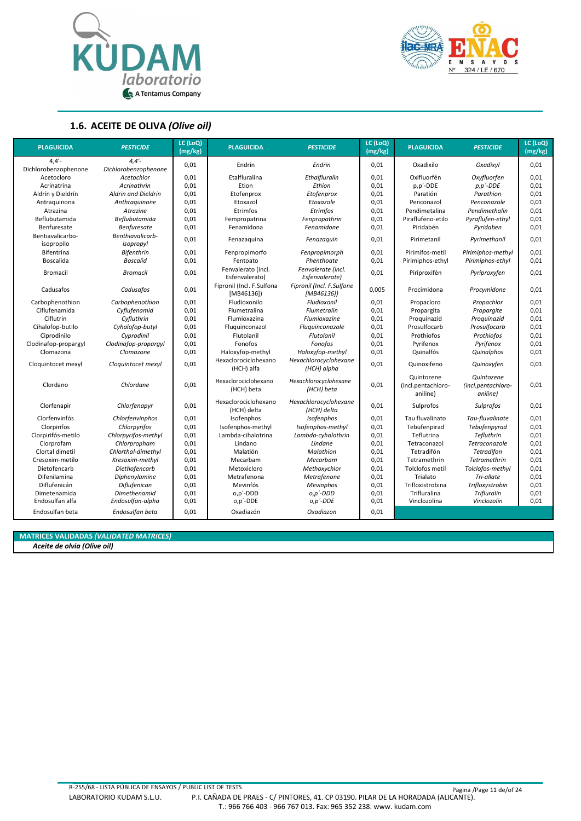



#### **1.6. ACEITE DE OLIVA** *(Olive oil)*

| <b>PLAGUICIDA</b>              | <b>PESTICIDE</b>              | LC (LoQ)<br>$\sqrt{mg/kg}$ | <b>PLAGUICIDA</b>                      | <b>PESTICIDE</b>                        | LC (LoQ)<br>(mg/kg) | <b>PLAGUICIDA</b>                            | <b>PESTICIDE</b>                             | LC (LoQ)<br>(mg/kg) |
|--------------------------------|-------------------------------|----------------------------|----------------------------------------|-----------------------------------------|---------------------|----------------------------------------------|----------------------------------------------|---------------------|
| 4.4'                           | 4.4'                          |                            |                                        |                                         |                     |                                              |                                              |                     |
| Dichlorobenzophenone           | Dichlorobenzophenone          | 0,01                       | Endrin                                 | Endrin                                  | 0,01                | Oxadixilo                                    | Oxadixyl                                     | 0,01                |
| Acetocloro                     | Acetochlor                    | 0,01                       | Etalfluralina                          | Ethalfluralin                           | 0,01                | Oxifluorfén                                  | Oxyfluorfen                                  | 0,01                |
| Acrinatrina                    | Acrinathrin                   | 0,01                       | Etion                                  | Ethion                                  | 0,01                | $p, p'$ -DDE                                 | $p, p'$ -DDE                                 | 0,01                |
| Aldrín y Dieldrín              | Aldrin and Dieldrin           | 0,01                       | Etofenprox                             | Etofenprox                              | 0,01                | Paratión                                     | Parathion                                    | 0,01                |
| Antraquinona                   | Anthraguinone                 | 0,01                       | Etoxazol                               | Etoxazole                               | 0,01                | Penconazol                                   | Penconazole                                  | 0,01                |
| Atrazina                       | Atrazine                      | 0,01                       | Etrimfos                               | Etrimfos                                | 0,01                | Pendimetalina                                | Pendimethalin                                | 0,01                |
| Beflubutamida                  | Beflubutamida                 | 0,01                       | Fempropatrina                          | Fenpropathrin                           | 0,01                | Piraflufeno-etilo                            | Pyraflufen-ethyl                             | 0,01                |
| Benfuresate                    | <b>Benfuresate</b>            | 0,01                       | Fenamidona                             | Fenamidone                              | 0,01                | Piridabén                                    | Pyridaben                                    | 0,01                |
| Bentiavalicarbo-<br>isopropilo | Benthiavalicarb-<br>isopropyl | 0,01                       | Fenazaquina                            | Fenazaquin                              | 0,01                | Pirimetanil                                  | Pyrimethanil                                 | 0,01                |
| Bifentrina                     | <b>Bifenthrin</b>             | 0,01                       | Fenpropimorfo                          | Fenpropimorph                           | 0,01                | Pirimifos-metil                              | Pirimiphos-methyl                            | 0,01                |
| Boscalida                      | <b>Boscalid</b>               | 0,01                       | Fentoato                               | Phenthoate                              | 0,01                | Pirimiphos-ethyl                             | Pirimiphos-ethyl                             | 0,01                |
| <b>Bromacil</b>                | <b>Bromacil</b>               | 0,01                       | Fenvalerato (incl.<br>Esfenvalerato)   | Fenvalerate (incl.<br>Esfenvalerate)    | 0,01                | Piriproxifén                                 | Pyriproxyfen                                 | 0,01                |
| Cadusafos                      | Cadusafos                     | 0,01                       | Fipronil (Incl. F.Sulfona<br>[MB46136] | Fipronil (Incl. F.Sulfone<br>[MB46136]) | 0,005               | Procimidona                                  | Procymidone                                  | 0,01                |
| Carbophenothion                | Carbophenothion               | 0,01                       | Fludioxonilo                           | Fludioxonil                             | 0,01                | Propacloro                                   | Propachlor                                   | 0,01                |
| Ciflufenamida                  | Cyflufenamid                  | 0,01                       | Flumetralina                           | Flumetralin                             | 0,01                | Propargita                                   | Propargite                                   | 0,01                |
| Ciflutrin                      | Cyfluthrin                    | 0,01                       | Flumioxazina                           | Flumioxazine                            | 0,01                | Proquinazid                                  | Proguinazid                                  | 0,01                |
| Cihalofop-butilo               | Cyhalofop-butyl               | 0,01                       | Fluguinconazol                         | Fluguinconazole                         | 0,01                | Prosulfocarb                                 | Prosulfocarb                                 | 0,01                |
| Ciprodinilo                    | Cyprodinil                    | 0,01                       | Flutolanil                             | Flutolanil                              | 0,01                | Prothiofos                                   | Prothiofos                                   | 0,01                |
| Clodinafop-propargyl           | Clodinafop-propargyl          | 0,01                       | Fonofos                                | Fonofos                                 | 0,01                | Pyrifenox                                    | Pyrifenox                                    | 0,01                |
| Clomazona                      | Clomazone                     | 0,01                       | Haloxyfop-methyl                       | Haloxyfop-methyl                        | 0,01                | Quinalfós                                    | Quinalphos                                   | 0,01                |
| Cloquintocet mexyl             | Cloquintocet mexyl            | 0,01                       | Hexaclorociclohexano<br>(HCH) alfa     | Hexachlorocyclohexane<br>(HCH) alpha    | 0,01                | Quinoxifeno                                  | Quinoxyfen                                   | 0,01                |
| Clordano                       | Chlordane                     | 0,01                       | Hexaclorociclohexano<br>(HCH) beta     | Hexachlorocyclohexane<br>(HCH) beta     | 0,01                | Quintozene<br>(incl.pentachloro-<br>aniline) | Quintozene<br>(incl.pentachloro-<br>aniline) | 0,01                |
| Clorfenapir                    | Chlorfenapyr                  | 0,01                       | Hexaclorociclohexano<br>(HCH) delta    | Hexachlorocyclohexane<br>(HCH) delta    | 0,01                | Sulprofos                                    | Sulprofos                                    | 0,01                |
| Clorfenvinfós                  | Chlorfenvinphos               | 0,01                       | Isofenphos                             | <b>Isofenphos</b>                       | 0,01                | Tau fluvalinato                              | Tau-fluvalinate                              | 0,01                |
| Clorpirifos                    | Chlorpyrifos                  | 0,01                       | Isofenphos-methyl                      | Isofenphos-methyl                       | 0,01                | Tebufenpirad                                 | Tebufenpyrad                                 | 0,01                |
| Clorpirifós-metilo             | Chlorpyrifos-methyl           | 0,01                       | Lambda-cihalotrina                     | Lambda-cyhalothrin                      | 0,01                | Teflutrina                                   | Tefluthrin                                   | 0,01                |
| Clorprofam                     | Chlorpropham                  | 0,01                       | Lindano                                | Lindane                                 | 0,01                | Tetraconazol                                 | Tetraconazole                                | 0,01                |
| Clortal dimetil                | Chlorthal-dimethyl            | 0,01                       | Malatión                               | Malathion                               | 0,01                | Tetradifón                                   | <b>Tetradifon</b>                            | 0,01                |
| Cresoxim-metilo                | Kresoxim-methyl               | 0,01                       | Mecarbam                               | Mecarbam                                | 0,01                | Tetramethrin                                 | <b>Tetramethrin</b>                          | 0,01                |
| Dietofencarb                   | Diethofencarb                 | 0,01                       | Metoxicloro                            | Methoxychlor                            | 0,01                | Tolclofos metil                              | Tolclofos-methyl                             | 0,01                |
| Difenilamina                   | Diphenylamine                 | 0,01                       | Metrafenona                            | Metrafenone                             | 0,01                | Trialato                                     | Tri-allate                                   | 0,01                |
| Diflufenicán                   | Diflufenican                  | 0,01                       | Mevinfós                               | <b>Mevinphos</b>                        | 0,01                | Trifloxistrobina                             | Trifloxystrobin                              | 0,01                |
| Dimetenamida                   | <b>Dimethenamid</b>           | 0,01                       | o,p'-DDD                               | $0, p'$ -DDD                            | 0,01                | Trifluralina                                 | <b>Trifluralin</b>                           | 0,01                |
| Endosulfan alfa                | Endosulfan-alpha              | 0,01                       | o,p'-DDE                               | o,p'-DDE                                | 0,01                | Vinclozolina                                 | Vinclozolin                                  | 0,01                |
| Endosulfan beta                | Endosulfan beta               | 0,01                       | Oxadiazón                              | Oxadiazon                               | 0.01                |                                              |                                              |                     |

**MATRICES VALIDADAS** *(VALIDATED MATRICES)*

*Aceite de olvia (Olive oil)*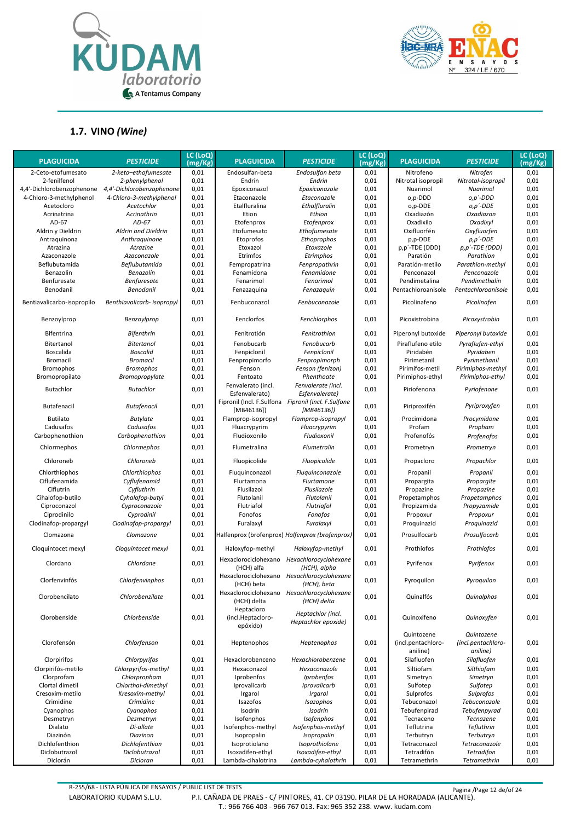



#### **1.7. VINO** *(Wine)*

| <b>PLAGUICIDA</b>          | <b>PESTICIDE</b>           | LC (LoQ)<br>(mg/Kg) | <b>PLAGUICIDA</b>                                 | <b>PESTICIDE</b>                                               | LC (LoQ)<br>(mg/Kg) | <b>PLAGUICIDA</b>                            | <b>PESTICIDE</b>                             | LC (LoQ)<br>(mg/Kg) |
|----------------------------|----------------------------|---------------------|---------------------------------------------------|----------------------------------------------------------------|---------------------|----------------------------------------------|----------------------------------------------|---------------------|
| 2-Ceto-etofumesato         | 2-keto-ethofumesate        | 0,01                | Endosulfan-beta                                   | Endosulfan beta                                                | 0,01                | Nitrofeno                                    | Nitrofen                                     | 0,01                |
| 2-fenilfenol               | 2-phenylphenol             | 0,01                | Endrin                                            | Endrin                                                         | 0,01                | Nitrotal isopropil                           | Nitrotal-isopropil                           | 0,01                |
| 4,4'-Dichlorobenzophenone  | 4,4'-Dichlorobenzophenone  | 0,01                | Epoxiconazol                                      | Epoxiconazole                                                  | 0,01                | Nuarimol                                     | Nuarimol                                     | 0,01                |
| 4-Chloro-3-methylphenol    | 4-Chloro-3-methylphenol    | 0,01                | Etaconazole                                       | Etaconazole                                                    | 0,01                | o,p-DDD                                      | o,p´-DDD                                     | 0,01                |
| Acetocloro                 | Acetochlor                 | 0,01                | Etalfluralina                                     | Ethalfluralin                                                  | 0,01                | o,p-DDE                                      | o,p'-DDE                                     | 0,01                |
| Acrinatrina                | Acrinathrin                | 0,01                | Etion                                             | Ethion                                                         | 0,01                | Oxadiazón                                    | Oxadiazon                                    | 0,01                |
| AD-67                      | AD-67                      | 0,01                | Etofenprox                                        | Etofenprox                                                     | 0,01                | Oxadixilo                                    | Oxadixyl                                     | 0,01                |
| Aldrin y Dieldrin          | Aldrin and Dieldrin        | 0,01                | Etofumesato                                       | Ethofumesate                                                   | 0,01                | Oxifluorfén                                  | Oxyfluorfen                                  | 0,01                |
| Antraguinona               | Anthraquinone              | 0,01                | Etoprofos                                         | Ethoprophos                                                    | 0,01                | p,p-DDE                                      | $p, p'$ -DDE                                 | 0,01                |
| Atrazina                   | Atrazine                   | 0,01                | Etoxazol                                          | Etoxazole                                                      | 0,01                | p,p'-TDE (DDD)                               | p,p'-TDE (DDD)                               | 0,01                |
| Azaconazole                | Azaconazole                | 0,01                | Etrimfos                                          | Etrimphos                                                      | 0,01                | Paratión                                     | Parathion                                    | 0,01                |
| Beflubutamida              | Beflubutamida              | 0,01                | Fempropatrina                                     | Fenpropathrin                                                  | 0,01                | Paratión-metilo                              | Parathion-methyl                             | 0,01                |
| Benazolin                  | Benazolin                  | 0,01                | Fenamidona                                        | Fenamidone                                                     | 0,01                | Penconazol                                   | Penconazole                                  | 0,01                |
| Benfuresate                | <b>Benfuresate</b>         | 0,01                | Fenarimol                                         | Fenarimol                                                      | 0,01                | Pendimetalina                                | Pendimethalin                                | 0,01                |
| Benodanil                  | Benodanil                  | 0,01                | Fenazaquina                                       | Fenazaquin                                                     | 0,01                | Pentachloroanisole                           | Pentachloroanisole                           | 0,01                |
| Bentiavalicarbo-isopropilo | Benthiavalicarb- isopropyl | 0,01                | Fenbuconazol                                      | Fenbuconazole                                                  | 0,01                | Picolinafeno                                 | Picolinafen                                  | 0,01                |
| Benzoylprop                | Benzoylprop                | 0,01                | Fenclorfos                                        | Fenchlorphos                                                   | 0,01                | Picoxistrobina                               | Picoxystrobin                                | 0,01                |
| Bifentrina                 | <b>Bifenthrin</b>          | 0,01                | Fenitrotión                                       | Fenitrothion                                                   | 0,01                | Piperonyl butoxide                           | Piperonyl butoxide                           | 0,01                |
| Bitertanol                 | <b>Bitertanol</b>          | 0,01                | Fenobucarb                                        | Fenobucarb                                                     | 0,01                | Piraflufeno etilo                            | Pyraflufen-ethyl                             | 0,01                |
| Boscalida                  | <b>Boscalid</b>            | 0,01                | Fenpiclonil                                       | Fenpiclonil                                                    | 0,01                | Piridabén                                    | Pyridaben                                    | 0,01                |
| <b>Bromacil</b>            | <b>Bromacil</b>            | 0,01                | Fenpropimorfo                                     | Fenpropimorph                                                  | 0,01                | Pirimetanil                                  | Pyrimethanil                                 | 0,01                |
| <b>Bromophos</b>           | <b>Bromophos</b>           | 0,01                | Fenson                                            | Fenson (fenizon)                                               | 0,01                | Pirimifos-metil                              | Pirimiphos-methyl                            | 0,01                |
| Bromopropilato             | Bromopropylate             | 0,01                | Fentoato                                          | Phenthoate                                                     | 0,01                | Pirimiphos-ethyl                             | Pirimiphos-ethyl                             | 0,01                |
| Butachlor                  | <b>Butachlor</b>           | 0,01                | Fenvalerato (incl.<br>Esfenvalerato)              | Fenvalerate (incl.<br>Esfenvalerate)                           | 0,01                | Piriofenona                                  | Pyriofenone                                  | 0,01                |
| Butafenacil                | <b>Butafenacil</b>         | 0,01                | Fipronil (Incl. F.Sulfona<br>[MB46136]            | Fipronil (Incl. F.Sulfone<br>[MB46136])                        | 0,01                | Piriproxifén                                 | Pyriproxyfen                                 | 0,01                |
| <b>Butilato</b>            | <b>Butylate</b>            | 0,01                | Flamprop-isopropyl                                | Flamprop-isopropyl                                             | 0,01                | Procimidona                                  | Procymidone                                  | 0,01                |
| Cadusafos                  | Cadusafos                  | 0,01                | Fluacrypyrim                                      | Fluacrypyrim                                                   | 0,01                | Profam                                       | Propham                                      | 0,01                |
| Carbophenothion            | Carbophenothion            | 0,01                | Fludioxonilo                                      | Fludioxonil                                                    | 0,01                | Profenofós                                   | Profenofos                                   | 0,01                |
| Chlormephos                | Chlormephos                | 0,01                | Flumetralina                                      | Flumetralin                                                    | 0,01                | Prometryn                                    | Prometryn                                    | 0,01                |
| Chloroneb                  | Chloroneb                  | 0,01                | Fluopicolide                                      | Fluopicolide                                                   | 0,01                | Propacloro                                   | Propachlor                                   | 0,01                |
| Chlorthiophos              | Chlorthiophos              | 0,01                | Fluquinconazol                                    | Fluquinconazole                                                | 0,01                | Propanil                                     | Propanil                                     | 0,01                |
| Ciflufenamida              | Cyflufenamid               | 0,01                | Flurtamona                                        | Flurtamone                                                     | 0,01                | Propargita                                   | Propargite                                   | 0,01                |
| Ciflutrin                  | Cyfluthrin                 | 0,01                | Flusilazol                                        | Flusilazole                                                    | 0,01                | Propazine                                    | Propazine                                    | 0,01                |
| Cihalofop-butilo           | Cyhalofop-butyl            | 0,01                | Flutolanil                                        | Flutolanil                                                     | 0,01                | Propetamphos                                 | Propetamphos                                 | 0,01                |
| Ciproconazol               | Cyproconazole              | 0,01                | Flutriafol                                        | Flutriafol                                                     | 0,01                | Propizamida                                  | Propyzamide                                  | 0,01                |
| Ciprodinilo                | Cyprodinil                 | 0,01                | Fonofos                                           | Fonofos                                                        | 0,01                | Propoxur                                     | Propoxur                                     | 0,01                |
| Clodinafop-propargyl       | Clodinafop-propargyl       | 0,01                | Furalaxyl                                         | Furalaxyl                                                      | 0,01                | Proquinazid                                  | Proquinazid                                  | 0,01                |
| Clomazona                  | Clomazone                  | 0,01                |                                                   | Halfenprox (brofenprox) Halfenprox (brofenprox)                | 0,01                | Prosulfocarb                                 | Prosulfocarb                                 | 0,01                |
| Cloquintocet mexyl         | Cloquintocet mexyl         | 0,01                | Haloxyfop-methyl                                  | Haloxyfop-methyl<br>Hexaclorociclohexano Hexachlorocyclohexane | 0,01                | Prothiofos                                   | Prothiofos                                   | 0,01                |
| Clordano                   | Chlordane                  | 0,01                | (HCH) alfa                                        | (HCH), alpha                                                   | 0,01                | Pyrifenox                                    | Pyrifenox                                    | 0,01                |
| Clorfenvinfós              | Chlorfenvinphos            | 0,01                | (HCH) beta                                        | Hexaclorociclohexano Hexachlorocyclohexane<br>(HCH), beta      | 0,01                | Pyroquilon                                   | Pyroquilon                                   | 0,01                |
| Clorobencilato             | Chlorobenzilate            | 0,01                | Hexaclorociclohexano<br>(HCH) delta<br>Heptacloro | Hexachlorocyclohexane<br>(HCH) delta                           | 0,01                | Quinalfós                                    | Quinalphos                                   | 0,01                |
| Clorobenside               | Chlorbenside               | 0,01                | (incl.Heptacloro-<br>epóxido)                     | Heptachlor (incl.<br>Heptachlor epoxide)                       | 0,01                | Quinoxifeno                                  | Quinoxyfen                                   | 0,01                |
| Clorofensón                | Chlorfenson                | 0,01                | Heptenophos                                       | Heptenophos                                                    | 0,01                | Quintozene<br>(incl.pentachloro-<br>aniline) | Quintozene<br>(incl.pentachloro-<br>aniline) | 0,01                |
| Clorpirifos                | Chlorpyrifos               | 0,01                | Hexaclorobenceno                                  | Hexachlorobenzene                                              | 0,01                | Silafluofen                                  | Silafluofen                                  | 0,01                |
| Clorpirifós-metilo         | Chlorpyrifos-methyl        | 0,01                | Hexaconazol                                       | Hexaconazole                                                   | 0,01                | Siltiofam                                    | Silthiofam                                   | 0,01                |
| Clorprofam                 | Chlorpropham               | 0,01                | Iprobenfos                                        | Iprobenfos                                                     | 0,01                | Simetryn                                     | Simetryn                                     | 0,01                |
| Clortal dimetil            | Chlorthal-dimethyl         | 0,01                | Iprovalicarb                                      | Iprovalicarb                                                   | 0,01                | Sulfotep                                     | Sulfotep                                     | 0,01                |
| Cresoxim-metilo            | Kresoxim-methyl            | 0,01                | Irgarol                                           | Irgarol                                                        | 0,01                | Sulprofos                                    | Sulprofos                                    | 0,01                |
| Crimidine                  | Crimidine                  | 0,01                | Isazofos                                          | Isazophos                                                      | 0,01                | Tebuconazol                                  | Tebuconazole                                 | 0,01                |
| Cyanophos                  | Cyanophos                  | 0,01                | Isodrin                                           | Isodrin                                                        | 0,01                | Tebufenpirad                                 | Tebufenpyrad                                 | 0,01                |
| Desmetryn                  | Desmetryn                  | 0,01                | Isofenphos                                        | Isofenphos                                                     | 0,01                | Tecnaceno                                    | Tecnazene                                    | 0,01                |
| Dialato                    | Di-allate                  | 0,01                | Isofenphos-methyl                                 | Isofenphos-methyl                                              | 0,01                | Teflutrina                                   | Tefluthrin                                   | 0,01                |
| Diazinón                   | Diazinon                   | 0,01                | Isopropalin                                       | Isopropalin                                                    | 0,01                | Terbutryn                                    | Terbutryn                                    | 0,01                |
| Dichlofenthion             | Dichlofenthion             | 0,01                | Isoprotiolano                                     | Isoprothiolane                                                 | 0,01                | Tetraconazol                                 | Tetraconazole                                | 0,01                |
| Diclobutrazol              | Diclobutrazol              | 0,01                | Isoxadifen-ethyl                                  | Isoxadifen-ethyl                                               | 0,01                | Tetradifón                                   | Tetradifon                                   | 0,01                |
| Diclorán                   | Dicloran                   | 0,01                | Lambda-cihalotrina                                | Lambda-cyhalothrin                                             | 0,01                | Tetramethrin                                 | Tetramethrin                                 | 0,01                |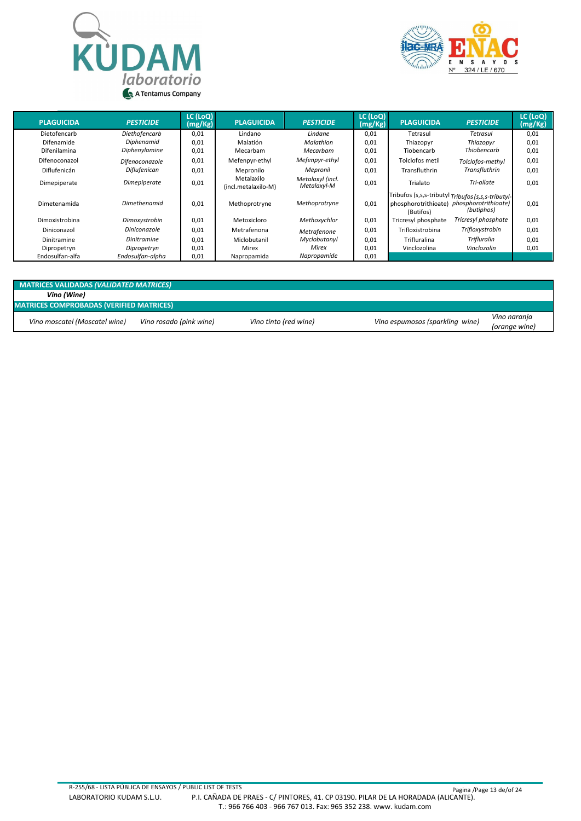



| <b>PLAGUICIDA</b> | <b>PESTICIDE</b>   | LC (LoQ)<br>(mg/Kg) | <b>PLAGUICIDA</b>                 | <b>PESTICIDE</b>                | LC (LoQ)<br>(mg/Kg) | <b>PLAGUICIDA</b>                 | <b>PESTICIDE</b>                                                                         | LC (LoQ)<br>(mg/Kg) |
|-------------------|--------------------|---------------------|-----------------------------------|---------------------------------|---------------------|-----------------------------------|------------------------------------------------------------------------------------------|---------------------|
| Dietofencarb      | Diethofencarb      | 0,01                | Lindano                           | Lindane                         | 0,01                | Tetrasul                          | Tetrasul                                                                                 | 0,01                |
| Difenamide        | Diphenamid         | 0,01                | Malatión                          | Malathion                       | 0,01                | Thiazopyr                         | Thiazopyr                                                                                | 0,01                |
| Difenilamina      | Diphenylamine      | 0,01                | Mecarbam                          | Mecarbam                        | 0,01                | Tiobencarb                        | Thiobencarb                                                                              | 0,01                |
| Difenoconazol     | Difenoconazole     | 0,01                | Mefenpyr-ethyl                    | Mefenpyr-ethyl                  | 0,01                | Tolclofos metil                   | Tolclofos-methyl                                                                         | 0,01                |
| Diflufenicán      | Diflufenican       | 0,01                | Mepronilo                         | Mepronil                        | 0,01                | Transfluthrin                     | <b>Transfluthrin</b>                                                                     | 0,01                |
| Dimepiperate      | Dimepiperate       | 0,01                | Metalaxilo<br>(incl.metalaxilo-M) | Metalaxyl (incl.<br>Metalaxyl-M | 0,01                | Trialato                          | Tri-allate                                                                               | 0,01                |
| Dimetenamida      | Dimethenamid       | 0,01                | Methoprotryne                     | Methoprotryne                   | 0,01                | phosphorotrithioate)<br>(Butifos) | Tribufos (s,s,s-tributyl Tribufos (s,s,s-tributyl-<br>phosphorotrithioate)<br>(butiphos) | 0,01                |
| Dimoxistrobina    | Dimoxystrobin      | 0,01                | Metoxicloro                       | Methoxychlor                    | 0,01                | Tricresyl phosphate               | Tricresyl phosphate                                                                      | 0,01                |
| Diniconazol       | Diniconazole       | 0,01                | Metrafenona                       | Metrafenone                     | 0,01                | Trifloxistrobina                  | Trifloxystrobin                                                                          | 0,01                |
| Dinitramine       | <b>Dinitramine</b> | 0,01                | Miclobutanil                      | Myclobutanyl                    | 0,01                | <b>Trifluralina</b>               | <b>Trifluralin</b>                                                                       | 0,01                |
| Dipropetryn       | Dipropetryn        | 0,01                | Mirex                             | Mirex                           | 0,01                | Vinclozolina                      | Vinclozolin                                                                              | 0,01                |
| Endosulfan-alfa   | Endosulfan-alpha   | 0,01                | Napropamida                       | Napropamide                     | 0,01                |                                   |                                                                                          |                     |

| MATRICES VALIDADAS (VALIDATED MATRICES)         |                         |                       |                                 |               |  |  |  |  |  |  |  |
|-------------------------------------------------|-------------------------|-----------------------|---------------------------------|---------------|--|--|--|--|--|--|--|
| Vino (Wine)                                     |                         |                       |                                 |               |  |  |  |  |  |  |  |
| <b>MATRICES COMPROBADAS (VERIFIED MATRICES)</b> |                         |                       |                                 |               |  |  |  |  |  |  |  |
| Vino moscatel (Moscatel wine)                   | Vino rosado (pink wine) | Vino tinto (red wine) | Vino espumosos (sparkling wine) | Vino naranja  |  |  |  |  |  |  |  |
|                                                 |                         |                       |                                 | (orange wine) |  |  |  |  |  |  |  |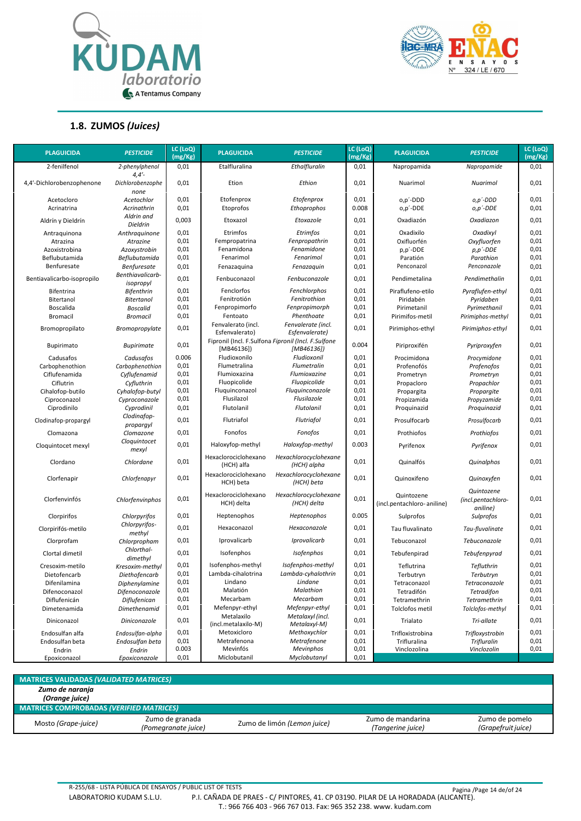



#### **1.8. ZUMOS** *(Juices)*

| <b>PLAGUICIDA</b>          | <b>PESTICIDE</b>                | LC (LoQ)<br>(mg/Kg) | <b>PLAGUICIDA</b>                    | <b>PESTICIDE</b>                                                  | LC (LoQ)<br>(mg/Kg) | <b>PLAGUICIDA</b>                        | <b>PESTICIDE</b>                             | LC (LoQ)<br>(mg/Kg) |
|----------------------------|---------------------------------|---------------------|--------------------------------------|-------------------------------------------------------------------|---------------------|------------------------------------------|----------------------------------------------|---------------------|
| 2-fenilfenol               | 2-phenylphenol<br>4,4'          | 0,01                | Etalfluralina                        | Ethalfluralin                                                     | 0,01                | Napropamida                              | Napropamide                                  | 0,01                |
| 4,4'-Dichlorobenzophenone  | Dichlorobenzophe<br>none        | 0,01                | Etion                                | Ethion                                                            | 0,01                | Nuarimol                                 | Nuarimol                                     | 0,01                |
| Acetocloro                 | Acetochlor                      | 0,01                | Etofenprox                           | Etofenprox                                                        | 0,01                | o,p'-DDD                                 | o,p'-DDD                                     | 0,01                |
| Acrinatrina                | Acrinathrin                     | 0,01                | Etoprofos                            | Ethoprophos                                                       | 0.008               | o,p'-DDE                                 | o,p'-DDE                                     | 0,01                |
| Aldrín y Dieldrín          | Aldrin and<br>Dieldrin          | 0,003               | Etoxazol                             | Etoxazole                                                         | 0,01                | Oxadiazón                                | Oxadiazon                                    | 0,01                |
| Antraquinona               | Anthraquinone                   | 0,01                | Etrimfos                             | Etrimfos                                                          | 0,01                | Oxadixilo                                | Oxadixyl                                     | 0,01                |
| Atrazina                   | Atrazine                        | 0,01                | Fempropatrina                        | Fenpropathrin                                                     | 0,01                | Oxifluorfén                              | Oxyfluorfen                                  | 0,01                |
| Azoxistrobina              | Azoxystrobin                    | 0,01                | Fenamidona                           | Fenamidone                                                        | 0,01                | p,p'-DDE                                 | $p, p'$ -DDE                                 | 0,01                |
| Beflubutamida              | Beflubutamida                   | 0,01                | Fenarimol                            | Fenarimol                                                         | 0,01                | Paratión                                 | Parathion                                    | 0,01                |
| Benfuresate                | Benfuresate<br>Benthiavalicarb- | 0,01                | Fenazaquina                          | Fenazaquin                                                        | 0,01                | Penconazol                               | Penconazole                                  | 0,01                |
| Bentiavalicarbo-isopropilo | isopropyl                       | 0,01                | Fenbuconazol                         | Fenbuconazole                                                     | 0,01                | Pendimetalina                            | Pendimethalin                                | 0,01                |
| Bifentrina                 | <b>Bifenthrin</b>               | 0,01                | Fenclorfos                           | Fenchlorphos                                                      | 0,01                | Piraflufeno-etilo                        | Pyraflufen-ethyl                             | 0,01                |
| Bitertanol                 | <b>Bitertanol</b>               | 0,01                | Fenitrotión                          | Fenitrothion                                                      | 0,01                | Piridabén                                | Pyridaben                                    | 0,01                |
| Boscalida                  | <b>Boscalid</b>                 | 0,01                | Fenpropimorfo                        | Fenpropimorph                                                     | 0,01                | Pirimetanil                              | Pyrimethanil                                 | 0,01                |
| <b>Bromacil</b>            | <b>Bromacil</b>                 | 0,01                | Fentoato                             | Phenthoate                                                        | 0,01                | Pirimifos-metil                          | Pirimiphos-methyl                            | 0,01                |
| Bromopropilato             | <b>Bromopropylate</b>           | 0,01                | Fenvalerato (incl.<br>Esfenvalerato) | Fenvalerate (incl.<br>Esfenvalerate)                              | 0,01                | Pirimiphos-ethyl                         | Pirimiphos-ethyl                             | 0,01                |
| Bupirimato                 | <b>Bupirimate</b>               | 0,01                | [MB46136])                           | Fipronil (Incl. F.Sulfona Fipronil (Incl. F.Sulfone<br>[MB46136]) | 0.004               | Piriproxifén                             | Pyriproxyfen                                 | 0,01                |
| Cadusafos                  | Cadusafos                       | 0.006               | Fludioxonilo                         | Fludioxonil                                                       | 0,01                | Procimidona                              | Procymidone                                  | 0,01                |
| Carbophenothion            | Carbophenothion                 | 0,01                | Flumetralina                         | Flumetralin                                                       | 0,01                | Profenofós                               | Profenofos                                   | 0,01                |
| Ciflufenamida              | Cyflufenamid                    | 0,01                | Flumioxazina                         | Flumioxazine                                                      | 0,01                | Prometryn                                | Prometryn                                    | 0,01                |
| Ciflutrin                  | Cyfluthrin                      | 0,01                | Fluopicolide                         | Fluopicolide                                                      | 0,01                | Propacloro                               | Propachlor                                   | 0,01                |
| Cihalofop-butilo           | Cyhalofop-butyl                 | 0,01                | Fluquinconazol                       | Fluquinconazole                                                   | 0,01                | Propargita                               | Propargite                                   | 0,01                |
| Ciproconazol               | Cyproconazole                   | 0,01                | Flusilazol                           | Flusilazole                                                       | 0,01                | Propizamida                              | Propyzamide                                  | 0,01                |
| Ciprodinilo                | Cyprodinil                      | 0,01                | Flutolanil                           | <b>Flutolanil</b>                                                 | 0,01                | Proquinazid                              | Proquinazid                                  | 0,01                |
| Clodinafop-propargyl       | Clodinafop-<br>propargyl        | 0,01                | Flutriafol                           | Flutriafol                                                        | 0,01                | Prosulfocarb                             | Prosulfocarb                                 | 0,01                |
| Clomazona                  | Clomazone                       | 0,01                | Fonofos                              | Fonofos                                                           | 0,01                | Prothiofos                               | Prothiofos                                   | 0,01                |
| Cloquintocet mexyl         | Cloquintocet<br>mexyl           | 0,01                | Haloxyfop-methyl                     | Haloxyfop-methyl                                                  | 0.003               | Pyrifenox                                | Pyrifenox                                    | 0,01                |
| Clordano                   | Chlordane                       | 0,01                | Hexaclorociclohexano<br>(HCH) alfa   | Hexachlorocyclohexane<br>(HCH) alpha                              | 0,01                | Quinalfós                                | Quinalphos                                   | 0,01                |
| Clorfenapir                | Chlorfenapyr                    | 0,01                | Hexaclorociclohexano<br>HCH) beta    | Hexachlorocyclohexane<br>(HCH) beta                               | 0,01                | Quinoxifeno                              | Quinoxyfen                                   | 0,01                |
| Clorfenvinfós              | Chlorfenvinphos                 | 0,01                | Hexaclorociclohexano<br>HCH) delta   | Hexachlorocyclohexane<br>(HCH) delta                              | 0,01                | Quintozene<br>(incl.pentachloro-aniline) | Quintozene<br>(incl.pentachloro-<br>aniline) | 0,01                |
| Clorpirifos                | Chlorpyrifos                    | 0,01                | Heptenophos                          | Heptenophos                                                       | 0.005               | Sulprofos                                | Sulprofos                                    | 0,01                |
| Clorpirifós-metilo         | Chlorpyrifos-<br>methyl         | 0,01                | Hexaconazol                          | Hexaconazole                                                      | 0,01                | Tau fluvalinato                          | Tau-fluvalinate                              | 0,01                |
| Clorprofam                 | Chlorpropham                    | 0,01                | Iprovalicarb                         | Iprovalicarb                                                      | 0,01                | Tebuconazol                              | Tebuconazole                                 | 0,01                |
| Clortal dimetil            | Chlorthal-<br>dimethyl          | 0,01                | Isofenphos                           | Isofenphos                                                        | 0,01                | Tebufenpirad                             | Tebufenpyrad                                 | 0,01                |
| Cresoxim-metilo            | Kresoxim-methyl                 | 0,01                | Isofenphos-methyl                    | Isofenphos-methyl                                                 | 0,01                | Teflutrina                               | Tefluthrin                                   | 0,01                |
| Dietofencarb               | Diethofencarb                   | 0,01                | Lambda-cihalotrina                   | Lambda-cyhalothrin                                                | 0,01                | Terbutryn                                | Terbutryn                                    | 0,01                |
| Difenilamina               | Diphenylamine                   | 0,01                | Lindano                              | Lindane                                                           | 0,01                | Tetraconazol                             | Tetraconazole                                | 0,01                |
| Difenoconazol              | Difenoconazole                  | 0,01                | Malatión                             | Malathion                                                         | 0,01                | Tetradifón                               | <b>Tetradifon</b>                            | 0,01                |
| Diflufenicán               | Diflufenican                    | 0,01                | Mecarbam                             | Mecarbam                                                          | 0,01                | Tetramethrin                             | Tetramethrin                                 | 0,01                |
| Dimetenamida               | <b>Dimethenamid</b>             | 0,01                | Mefenpyr-ethyl                       | Mefenpyr-ethyl                                                    | 0,01                | Tolclofos metil                          | Tolclofos-methyl                             | 0,01                |
| Diniconazol                | Diniconazole                    | 0,01                | Metalaxilo<br>(incl.metalaxilo-M)    | Metalaxyl (incl.<br>Metalaxyl-M)                                  | 0,01                | Trialato                                 | Tri-allate                                   | 0,01                |
| Endosulfan alfa            | Endosulfan-alpha                | 0,01                | Metoxicloro                          | Methoxychlor                                                      | 0,01                | Trifloxistrobina                         | Trifloxystrobin                              | 0,01                |
| Endosulfan beta            | Endosulfan beta                 | 0,01                | Metrafenona                          | Metrafenone                                                       | 0,01                | Trifluralina                             | <b>Trifluralin</b>                           | 0,01                |
| Endrin                     | Endrin                          | 0.003               | Mevinfós                             | Mevinphos                                                         | 0,01                | Vinclozolina                             | Vinclozolin                                  | 0,01                |
| Epoxiconazol               | Epoxiconazole                   | 0,01                | Miclobutanil                         | Myclobutanyl                                                      | 0,01                |                                          |                                              |                     |

| <b>MATRICES VALIDADAS (VALIDATED MATRICES)</b>  |                                        |                             |                                        |                                      |
|-------------------------------------------------|----------------------------------------|-----------------------------|----------------------------------------|--------------------------------------|
| Zumo de naranja                                 |                                        |                             |                                        |                                      |
| (Orange juice)                                  |                                        |                             |                                        |                                      |
| <b>MATRICES COMPROBADAS (VERIFIED MATRICES)</b> |                                        |                             |                                        |                                      |
| Mosto (Grape-juice)                             | Zumo de granada<br>(Pomegranate juice) | Zumo de limón (Lemon juice) | Zumo de mandarina<br>(Tangerine juice) | Zumo de pomelo<br>(Grapefruit juice) |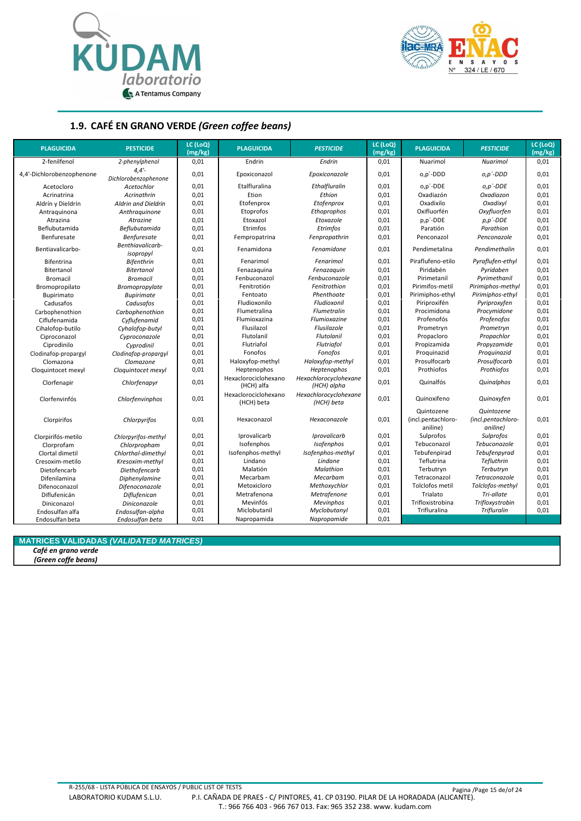



#### **1.9. CAFÉ EN GRANO VERDE** *(Green coffee beans)*

| <b>PLAGUICIDA</b>         | <b>PESTICIDE</b>              | LC (LoQ)<br>(mg/kg) | <b>PLAGUICIDA</b>                  | <b>PESTICIDE</b>                     | LC (LoQ)<br>(mg/kg) | <b>PLAGUICIDA</b>                            | <b>PESTICIDE</b>                             | LC (LoQ)<br>(mg/kg) |
|---------------------------|-------------------------------|---------------------|------------------------------------|--------------------------------------|---------------------|----------------------------------------------|----------------------------------------------|---------------------|
| 2-fenilfenol              | 2-phenylphenol                | 0,01                | Endrin                             | Endrin                               | 0,01                | Nuarimol                                     | Nuarimol                                     | 0,01                |
| 4,4'-Dichlorobenzophenone | 4.4'<br>Dichlorobenzophenone  | 0,01                | Epoxiconazol                       | Epoxiconazole                        | 0,01                | o,p'-DDD                                     | o,p'-DDD                                     | 0,01                |
| Acetocloro                | Acetochlor                    | 0,01                | Etalfluralina                      | Ethalfluralin                        | 0,01                | o,p'-DDE                                     | $o, p'$ -DDE                                 | 0,01                |
| Acrinatrina               | Acrinathrin                   | 0,01                | Etion                              | Ethion                               | 0,01                | Oxadiazón                                    | Oxadiazon                                    | 0,01                |
| Aldrín y Dieldrín         | <b>Aldrin and Dieldrin</b>    | 0,01                | Etofenprox                         | Etofenprox                           | 0,01                | Oxadixilo                                    | Oxadixyl                                     | 0,01                |
| Antraquinona              | Anthraquinone                 | 0,01                | Etoprofos                          | Ethoprophos                          | 0,01                | Oxifluorfén                                  | Oxyfluorfen                                  | 0,01                |
| Atrazina                  | Atrazine                      | 0,01                | Etoxazol                           | Etoxazole                            | 0,01                | p,p'-DDE                                     | $p, p'$ -DDE                                 | 0,01                |
| Beflubutamida             | Beflubutamida                 | 0,01                | Etrimfos                           | Etrimfos                             | 0,01                | Paratión                                     | Parathion                                    | 0,01                |
| Benfuresate               | <b>Benfuresate</b>            | 0,01                | Fempropatrina                      | Fenpropathrin                        | 0,01                | Penconazol                                   | Penconazole                                  | 0,01                |
| Bentiavalicarbo-          | Benthiavalicarb-<br>isopropyl | 0,01                | Fenamidona                         | Fenamidone                           | 0,01                | Pendimetalina                                | Pendimethalin                                | 0,01                |
| Bifentrina                | <b>Bifenthrin</b>             | 0,01                | Fenarimol                          | Fenarimol                            | 0,01                | Piraflufeno-etilo                            | Pyraflufen-ethyl                             | 0,01                |
| Bitertanol                | <b>Bitertanol</b>             | 0,01                | Fenazaguina                        | Fenazaguin                           | 0,01                | Piridabén                                    | Pyridaben                                    | 0,01                |
| <b>Bromacil</b>           | <b>Bromacil</b>               | 0,01                | Fenbuconazol                       | Fenbuconazole                        | 0,01                | Pirimetanil                                  | Pyrimethanil                                 | 0,01                |
| Bromopropilato            | Bromopropylate                | 0,01                | Fenitrotión                        | Fenitrothion                         | 0,01                | Pirimifos-metil                              | Pirimiphos-methyl                            | 0,01                |
| Bupirimato                | <b>Bupirimate</b>             | 0,01                | Fentoato                           | Phenthoate                           | 0,01                | Pirimiphos-ethyl                             | Pirimiphos-ethyl                             | 0,01                |
| Cadusafos                 | Cadusafos                     | 0,01                | Fludioxonilo                       | Fludioxonil                          | 0,01                | Piriproxifén                                 | Pyriproxyfen                                 | 0,01                |
| Carbophenothion           | Carbophenothion               | 0,01                | Flumetralina                       | <b>Flumetralin</b>                   | 0,01                | Procimidona                                  | Procymidone                                  | 0,01                |
| Ciflufenamida             | Cyflufenamid                  | 0,01                | Flumioxazina                       | Flumioxazine                         | 0,01                | Profenofós                                   | Profenofos                                   | 0,01                |
| Cihalofop-butilo          | Cyhalofop-butyl               | 0,01                | Flusilazol                         | Flusilazole                          | 0,01                | Prometryn                                    | Prometryn                                    | 0,01                |
| Ciproconazol              | Cyproconazole                 | 0,01                | Flutolanil                         | <b>Flutolanil</b>                    | 0,01                | Propacloro                                   | Propachlor                                   | 0,01                |
| Ciprodinilo               | Cyprodinil                    | 0,01                | Flutriafol                         | Flutriafol                           | 0,01                | Propizamida                                  | Propyzamide                                  | 0,01                |
| Clodinafop-propargyl      | Clodinafop-proparayl          | 0,01                | Fonofos                            | Fonofos                              | 0,01                | Proquinazid                                  | Proquinazid                                  | 0,01                |
| Clomazona                 | Clomazone                     | 0,01                | Haloxyfop-methyl                   | Haloxyfop-methyl                     | 0,01                | Prosulfocarb                                 | Prosulfocarb                                 | 0,01                |
| Cloquintocet mexyl        | Cloquintocet mexyl            | 0,01                | Heptenophos                        | Heptenophos                          | 0,01                | Prothiofos                                   | Prothiofos                                   | 0,01                |
| Clorfenapir               | Chlorfenapyr                  | 0,01                | Hexaclorociclohexano<br>(HCH) alfa | Hexachlorocyclohexane<br>(HCH) alpha | 0,01                | Quinalfós                                    | Quinalphos                                   | 0,01                |
| Clorfenvinfós             | Chlorfenvinphos               | 0,01                | Hexaclorociclohexano<br>(HCH) beta | Hexachlorocyclohexane<br>(HCH) beta  | 0,01                | Quinoxifeno                                  | Quinoxyfen                                   | 0,01                |
| Clorpirifos               | Chlorpyrifos                  | 0,01                | Hexaconazol                        | Hexaconazole                         | 0,01                | Quintozene<br>(incl.pentachloro-<br>aniline) | Quintozene<br>(incl.pentachloro-<br>aniline) | 0,01                |
| Clorpirifós-metilo        | Chlorpyrifos-methyl           | 0,01                | Iprovalicarb                       | Iprovalicarb                         | 0,01                | Sulprofos                                    | Sulprofos                                    | 0,01                |
| Clorprofam                | Chlorpropham                  | 0,01                | Isofenphos                         | Isofenphos                           | 0,01                | Tebuconazol                                  | Tebuconazole                                 | 0,01                |
| Clortal dimetil           | Chlorthal-dimethyl            | 0,01                | Isofenphos-methyl                  | Isofenphos-methyl                    | 0,01                | Tebufenpirad                                 | Tebufenpyrad                                 | 0,01                |
| Cresoxim-metilo           | Kresoxim-methyl               | 0,01                | Lindano                            | Lindane                              | 0,01                | Teflutrina                                   | Tefluthrin                                   | 0,01                |
| Dietofencarb              | Diethofencarb                 | 0,01                | Malatión                           | Malathion                            | 0,01                | Terbutryn                                    | Terbutryn                                    | 0,01                |
| Difenilamina              | Diphenylamine                 | 0,01                | Mecarbam                           | Mecarbam                             | 0,01                | Tetraconazol                                 | Tetraconazole                                | 0,01                |
| Difenoconazol             | Difenoconazole                | 0,01                | Metoxicloro                        | Methoxychlor                         | 0,01                | Tolclofos metil                              | Tolclofos-methyl                             | 0,01                |
| Diflufenicán              | <b>Diflufenican</b>           | 0,01                | Metrafenona                        | Metrafenone                          | 0,01                | Trialato                                     | Tri-allate                                   | 0,01                |
| Diniconazol               | Diniconazole                  | 0,01                | Mevinfós                           | Mevinphos                            | 0,01                | Trifloxistrobina                             | Trifloxystrobin                              | 0,01                |
| Endosulfan alfa           | Endosulfan-alpha              | 0,01                | Miclobutanil                       | Myclobutanyl                         | 0,01                | Trifluralina                                 | <b>Trifluralin</b>                           | 0,01                |
| Endosulfan beta           | Endosulfan beta               | 0.01                | Napropamida                        | Napropamide                          | 0,01                |                                              |                                              |                     |

#### **MATRICES VALIDADAS** *(VALIDATED MATRICES)*

*Café en grano verde*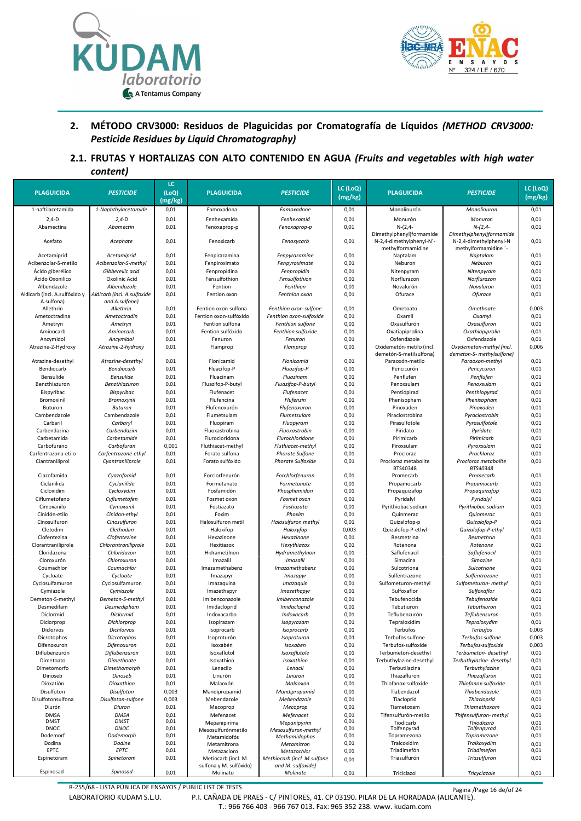



#### **2. MÉTODO CRV3000: Residuos de Plaguicidas por Cromatografía de Líquidos** *(METHOD CRV3000: Pesticide Residues by Liquid Chromatography)*

**2.1. FRUTAS Y HORTALIZAS CON ALTO CONTENIDO EN AGUA** *(Fruits and vegetables with high water content)*

| <b>PLAGUICIDA</b>                                        | <b>PESTICIDE</b>                                           | LC<br>(LOQ)  | <b>PLAGUICIDA</b>                              | <b>PESTICIDE</b>                                 | LC (LoQ)      | <b>PLAGUICIDA</b>                                                         | <b>PESTICIDE</b>                                                           | LC (LoQ)      |
|----------------------------------------------------------|------------------------------------------------------------|--------------|------------------------------------------------|--------------------------------------------------|---------------|---------------------------------------------------------------------------|----------------------------------------------------------------------------|---------------|
|                                                          |                                                            | (mg/kg)      |                                                |                                                  | (mg/kg)       |                                                                           |                                                                            | (mg/kg)       |
| 1-naftilacetamida                                        | 1-Naphthylacetamide                                        | 0,01         | Famoxadona                                     | Famoxadone                                       | 0,01          | Monolinurón                                                               | Monolinuron                                                                | 0,01          |
| $2,4-D$                                                  | $2,4-D$                                                    | 0,01         | Fenhexamida                                    | Fenhexamid                                       | 0,01          | Monurón                                                                   | Monuron                                                                    | 0,01          |
| Abamectina                                               | Abamectin                                                  | 0,01         | Fenoxaprop-p                                   | Fenoxaprop-p                                     | 0,01          | $N-(2,4-$                                                                 | $N-(2,4-$                                                                  | 0,01          |
| Acefato                                                  | Acephate                                                   | 0,01         | Fenoxicarb                                     | Fenoxycarb                                       | 0,01          | Dimethylphenyl)formamide<br>N-2,4-dimethylphenyl-N'-<br>methylformamidine | Dimethylphenyl)formamide<br>N-2,4-dimethylphenyl-N<br>methylformamidine '- | 0,01          |
| Acetamiprid                                              | Acetamiprid                                                | 0,01         | Fenpirazamina                                  | Fenpyrazamine                                    | 0,01          | Naptalam                                                                  | Naptalam                                                                   | 0,01          |
| Acibenzolar-S-metilo                                     | Acibenzolar-S-methyl                                       | 0,01         | Fenpiroximato                                  | Fenpyroximate                                    | 0,01          | Neburon                                                                   | Neburon                                                                    | 0,01          |
| Ácido giberélico                                         | Gibberellic acid                                           | 0,01         | Fenpropidina                                   | Fenpropidin                                      | 0,01          | Nitenpyram                                                                | Nitenpyram                                                                 | 0,01          |
| Ácido Oxonilico                                          | Oxolinic Acid                                              | 0,01         | Fensulfothion                                  | Fensulfothion                                    | 0,01          | Norflurazon                                                               | Norflurazon                                                                | 0,01          |
| Albendazole                                              | Albendazole                                                | 0,01         | Fention                                        | Fenthion                                         | 0,01          | Novalurón                                                                 | Novaluron                                                                  | 0,01          |
| Aldicarb (incl. A.sulfóxido y<br>A.sulfona)<br>Allethrin | Aldicarb (incl. A.sulfoxide<br>and A.sulfone)<br>Allethrin | 0,01<br>0,01 | Fention oxon<br>Fention oxon-sulfona           | Fenthion oxon<br>Fenthion oxon-sulfone           | 0,01<br>0,01  | Ofurace<br>Ometoato                                                       | <b>Ofurace</b><br>Omethoate                                                | 0,01<br>0,003 |
| Ametoctradina                                            | Ametoctradin                                               | 0,01         | Fention oxon-sulfóxido                         | Fenthion oxon-sulfoxide                          | 0,01          | Oxamil                                                                    | Oxamyl                                                                     | 0,01          |
| Ametryn                                                  | Ametryn                                                    | 0,01         | Fention sulfona                                | Fenthion sulfone                                 | 0,01          | Oxasulfurón                                                               | Oxasulfuron                                                                | 0,01          |
| Aminocarb                                                | Aminocarb                                                  | 0,01         | Fention sulfóxido                              | Fenthion sulfoxide                               | 0,01          | Oxatiapiprolina                                                           | Oxathiapiprolin                                                            | 0,01          |
| Ancymidol                                                | Ancymidol                                                  | 0,01         | Fenuron                                        | Fenuron                                          | 0,01          | Oxfendazole                                                               | Oxfendazole                                                                | 0,01          |
| Atrazine-2-Hydroxy                                       | Atrazine-2-hydroxy                                         | 0,01         | Flamprop                                       | Flamprop                                         | 0,01          | Oxidemetón-metilo (incl.                                                  | Oxydemeton-methyl (incl.                                                   | 0,006         |
|                                                          |                                                            |              |                                                |                                                  |               | demetón-S-metilsulfona)                                                   | demeton-S- methylsulfone)                                                  |               |
| Atrazine-desethyl                                        | Atrazine-desethyl                                          | 0,01         | Flonicamid                                     | Flonicamid                                       | 0,01          | Paraoxón-metilo                                                           | Paraoxon-methyl                                                            | 0,01          |
| Bendiocarb                                               | <b>Bendiocarb</b>                                          | 0,01         | Fluacifop-P                                    | Fluazifop-P                                      | 0,01          | Pencicurón                                                                | Pencycuron                                                                 | 0,01          |
| Bensulide                                                | <b>Bensulide</b>                                           | 0,01         | Fluacinam                                      | Fluazinam                                        | 0,01          | Penflufen                                                                 | Penflufen                                                                  | 0,01          |
| Benzthiazuron                                            | Benzthiazuron                                              | 0,01         | Fluazifop-P-butyl                              | Fluazifop-P-butyl                                | 0,01          | Penoxsulam                                                                | Penoxsulam                                                                 | 0,01          |
| Bispyribac                                               | Bispyribac                                                 | 0,01         | Flufenacet                                     | Flufenacet                                       | 0,01          | Pentiopirad                                                               | Penthiopyrad                                                               | 0,01          |
| Bromoxinil                                               | Bromoxynil                                                 | 0,01         | Flufencina                                     | Flufenzin                                        | 0,01          | Phenisopham                                                               | Phenisopham                                                                | 0,01          |
| Buturon                                                  | <b>Buturon</b>                                             | 0,01         | Flufenoxurón                                   | Flufenoxuron                                     | 0,01          | Pinoxaden                                                                 | Pinoxaden                                                                  | 0,01          |
| Cambendazole<br>Carbaril                                 | Cambendazole<br>Carbaryl                                   | 0,01<br>0,01 | Flumetsulam<br>Fluopiram                       | Flumetsulam<br>Fluopyram                         | 0,01<br>0,01  | Piraclostrobina<br>Pirasulfotole                                          | Pyraclostrobin<br>Pyrasulfotole                                            | 0,01<br>0,01  |
| Carbendazina                                             | Carbendazim                                                | 0,01         | Fluoxastrobina                                 | Fluoxastrobin                                    | 0,01          | Piridato                                                                  | Pyridate                                                                   | 0,01          |
| Carbetamida                                              | Carbetamide                                                | 0,01         | Flurocloridona                                 | Flurochloridone                                  | 0,01          | Pirimicarb                                                                | Pirimicarb                                                                 | 0,01          |
| Carbofurano                                              | Carbofuran                                                 | 0,001        | Fluthiacet-methyl                              | Fluthiacet-methyl                                | 0,01          | Piroxsulam                                                                | Pyroxsulam                                                                 | 0,01          |
| Carfentrazona-etilo                                      | Carfentrazone-ethyl                                        | 0,01         | Forato sulfona                                 | <b>Phorate Sulfone</b>                           | 0,01          | Procloraz                                                                 | Prochloraz                                                                 | 0,01          |
| Ciantraniliprol                                          | Cyantraniliprole                                           | 0,01         | Forato sulfóxido                               | Phorate Sulfoxide                                | 0,01          | Procloraz metabolite                                                      | Procloraz metabolite                                                       | 0,01          |
|                                                          |                                                            |              |                                                |                                                  |               | BTS40348                                                                  | BTS40348                                                                   |               |
| Ciazofamida                                              | Cyazofamid                                                 | 0,01         | Forclorfenurón                                 | Forchlorfenuron                                  | 0,01          | Promecarb                                                                 | Promecarb                                                                  | 0,01          |
| Ciclanilida                                              | Cyclanilide                                                | 0,01         | Formetanato                                    | Formetanate                                      | 0,01          | Propamocarb                                                               | Propamocarb                                                                | 0,01          |
| Cicloxidim                                               | Cycloxydim                                                 | 0,01         | Fosfamidón                                     | Phosphamidon                                     | 0,01          | Propaquizafop                                                             | Propaquizafop                                                              | 0,01          |
| Ciflumetofeno                                            | Cyflumetofen                                               | 0,01         | Fosmet oxon                                    | Fosmet oxon                                      | 0,01          | Pyridalyl                                                                 | Pyridalyl                                                                  | 0,01          |
| Cimoxanilo                                               | Cymoxanil                                                  | 0,01         | Fostiazato                                     | Fostiazato                                       | 0,01          | Pyrithiobac sodium                                                        | Pyrithiobac sodium                                                         | 0,01          |
| Cinidón-etilo                                            | Cinidon-ethyl                                              | 0,01         | Foxim                                          | Phoxim                                           | 0,01          | Quinmerac                                                                 | Quinmerac                                                                  | 0,01          |
| Cinosulfuron                                             | Cinosulfuron                                               | 0,01         | Halosulfuron metil                             | Halosulfuron methyl                              | 0,01          | Quizalofop-p                                                              | Quizalofop-P                                                               | 0,01          |
| Cletodim<br>Clofentezina                                 | Clethodim<br>Clofentezine                                  | 0,01<br>0,01 | Haloxifop<br>Hexazinone                        | Haloxyfop<br>Hexazinone                          | 0,003<br>0,01 | Quizalofop-P-ethyl<br>Resmetrina                                          | Quizalofop-P-ethyl<br>Resmethrin                                           | 0,01<br>0,01  |
| Clorantraniliprole                                       | Chlorantraniliprole                                        | 0,01         | Hexitiazox                                     | Hexythiazox                                      | 0,01          | Rotenona                                                                  | Rotenone                                                                   | 0,01          |
| Cloridazona                                              | Chloridazon                                                | 0,01         | Hidrametilnon                                  | Hydramethylnon                                   | 0,01          | Saflufenacil                                                              | Saflufenacil                                                               | 0,01          |
| Cloroxurón                                               | Chloroxuron                                                | 0,01         | Imazalil                                       | <b>Imazalil</b>                                  | 0,01          | Simacina                                                                  | Simazine                                                                   | 0,01          |
| Coumachlor                                               | Coumachlor                                                 | 0,01         | Imazamethabenz                                 | Imazamethabenz                                   | 0,01          | Sulcotriona                                                               | Sulcotrione                                                                | 0,01          |
| Cycloate                                                 | Cycloate                                                   | 0,01         | Imazapyr                                       | Imazapyr                                         | 0,01          | Sulfentrazone                                                             | Sulfentrazone                                                              | 0,01          |
| Cyclosulfamuron                                          | Cyclosulfamuron                                            | 0,01         | Imazaquina                                     | Imazaquin                                        | 0,01          | Sulfometuron-methyl                                                       | Sulfometuron- methyl                                                       | 0,01          |
| Cymiazole                                                | Cymiazole                                                  | 0,01         | Imazethapyr                                    | Imazethapyr                                      | 0,01          | Sulfoxaflor                                                               | Sulfoxaflor                                                                | 0,01          |
| Demeton-S-methyl                                         | Demeton-S-methyl                                           | 0,01         | Imibenconazole                                 | Imibenconazole                                   | 0,01          | Tebufenocida                                                              | Tebufenozide                                                               | 0,01          |
| Desmedifam                                               | Desmedipham                                                | 0,01         | Imidacloprid                                   | Imidacloprid                                     | 0,01          | Tebutiuron                                                                | Tebuthiuron                                                                | 0,01          |
| Diclormid                                                | <b>Diclormid</b>                                           | 0,01         | Indoxacarbo                                    | Indoxacarb                                       | 0,01          | Teflubenzurón                                                             | Teflubenzuron                                                              | 0,01          |
| Diclorprop                                               | Dichlorprop                                                | 0,01         | Isopirazam                                     | Isopyrazam                                       | 0,01          | Tepraloxidim                                                              | Tepraloxydim                                                               | 0,01          |
| Diclorvos                                                | Dichlorvos                                                 | 0,01         | Isoprocarb                                     | Isoprocarb                                       | 0,01          | Terbufos                                                                  | <b>Terbufos</b>                                                            | 0,003         |
| Dicrotophos                                              | <b>Dicrotophos</b>                                         | 0,01         | Isoproturón                                    | Isoproturon                                      | 0,01          | Terbufos sulfone                                                          | Terbufos sulfone                                                           | 0,003         |
| Difenoxuron                                              | Difenoxuron                                                | 0,01         | Isoxabén                                       | Isoxaben                                         | 0,01          | Terbufos-sulfoxide                                                        | Terbufos-sulfoxide                                                         | 0,003         |
| Diflubenzurón                                            | Diflubenzuron                                              | 0,01         | Isoxaflutol                                    | Isoxaflutole                                     | 0,01          | Terbumeton-desethyl                                                       | Terbumeton- desethyl<br>Terbuthylazine-desethyl                            | 0,01          |
| Dimetoato<br>Dimetomorfo                                 | Dimethoate<br>Dimethomorph                                 | 0,01<br>0,01 | Isoxathion<br>Lenacilo                         | Isoxathion<br>Lenacil                            | 0,01<br>0,01  | Terbuthylazine-desethyl<br>Terbutilacina                                  | Terbuthylazine                                                             | 0,01<br>0,01  |
| Dinoseb                                                  | Dinoseb                                                    | 0,01         | Linurón                                        | Linuron                                          | 0,01          | Thiazafluron                                                              | Thiazafluron                                                               | 0,01          |
| Dioxatión                                                | Dioxathion                                                 | 0,01         | Malaoxón                                       | Malaoxon                                         | 0,01          | Thiofanox-sulfoxide                                                       | Thiofanox-sulfoxide                                                        | 0,01          |
| Disulfoton                                               | Disulfoton                                                 | 0,003        | Mandipropamid                                  | Mandipropamid                                    | 0,01          | Tiabendazol                                                               | Thiabendazole                                                              | 0,01          |
| Disulfotonsulfona                                        | Disulfoton-sulfone                                         | 0,003        | Mebendazole                                    | Mebendazole                                      | 0,01          | Tiacloprid                                                                | <b>Thiacloprid</b>                                                         | 0,01          |
| Diurón                                                   | Diuron                                                     | 0,01         | Mecoprop                                       | Mecoprop                                         | 0,01          | Tiametoxam                                                                | Thiamethoxam                                                               | 0,01          |
| <b>DMSA</b>                                              | <b>DMSA</b>                                                | 0,01         | Mefenacet                                      | Mefenacet                                        | 0,01          | Tifensulfurón-metilo                                                      | Thifensulfuron- methyl                                                     | 0,01          |
| <b>DMST</b>                                              | DMST                                                       | 0,01         | Mepanipirima                                   | Mepanipyrim                                      | 0,01          | Tiodicarb                                                                 | Thiodicarb                                                                 | 0,01          |
| <b>DNOC</b>                                              | DNOC                                                       | 0,01         | Mesosulfurónmetilo                             | Mesosulfuron-methyl                              | 0,01          | Tolfenpyrad                                                               | Tolfenpyrad                                                                | 0,01          |
| Dodemorf                                                 | Dodemorph                                                  | 0,01         | Metamidofós                                    | Methamidophos                                    | 0,01          | Topramezona                                                               | Topramezone                                                                | 0,01          |
| Dodina<br>EPTC                                           | Dodine<br><b>EPTC</b>                                      | 0,01<br>0,01 | Metamitrona                                    | Metamitron                                       | 0,01          | Tralcoxidim<br>Triadimefón                                                | Tralkoxydim<br>Triadimefon                                                 | 0,01<br>0,01  |
| Espinetoram                                              | Spinetoram                                                 | 0,01         | Metazacloro                                    | Metazachlor                                      | 0,01          | Triasulfurón                                                              | Triasulfuron                                                               | 0,01          |
|                                                          |                                                            |              | Metiocarb (incl. M.<br>sulfona y M. sulfóxido) | Methiocarb (incl. M.sulfone<br>and M. sulfoxide) | 0,01          |                                                                           |                                                                            |               |
| Espinosad                                                | Spinosad                                                   | 0,01         | Molinato                                       | Molinate                                         | 0,01          | Triciclazol                                                               | Tricyclazole                                                               | 0,01          |

R-255/68 - LISTA PÚBLICA DE ENSAYOS / PUBLIC LIST OF TESTS Pagina /Page 16 de/of 24

LABORATORIO KUDAM S.L.U. P.I. CAÑADA DE PRAES - C/ PINTORES, 41. CP 03190. PILAR DE LA HORADADA (ALICANTE). T.: 966 766 403 - 966 767 013. Fax: 965 352 238. www. kudam.com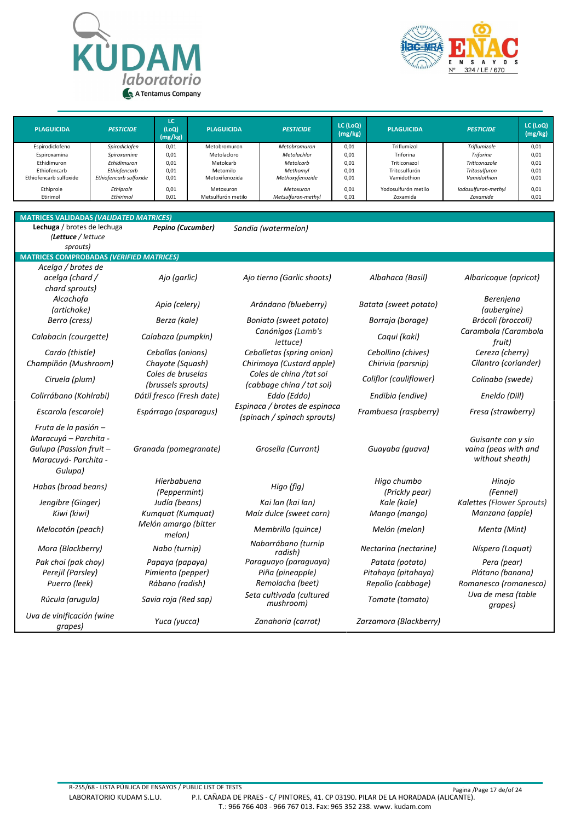



| <b>PLAGUICIDA</b>      | <b>PESTICIDE</b>       | LC<br>(LoQ)<br>(mg/kg) | <b>PLAGUICIDA</b>  | <b>PESTICIDE</b>   | LC (LoQ)<br>(mg/kg) | <b>PLAGUICIDA</b>   | <b>PESTICIDE</b>    | LC (LoQ)<br>(mg/kg) |
|------------------------|------------------------|------------------------|--------------------|--------------------|---------------------|---------------------|---------------------|---------------------|
| Espirodiclofeno        | Spirodiclofen          | 0,01                   | Metobromuron       | Metobromuron       | 0,01                | Triflumizol         | Triflumizole        | 0,01                |
| Espiroxamina           | Spiroxamine            | 0,01                   | Metolacloro        | Metolachlor        | 0,01                | Triforina           | <b>Triforine</b>    | 0,01                |
| Ethidimuron            | Ethidimuron            | 0,01                   | Metolcarb          | Metolcarb          | 0,01                | Triticonazol        | Triticonazole       | 0,01                |
| Ethiofencarb           | Ethiofencarb           | 0,01                   | Metomilo           | Methomyl           | 0,01                | Tritosulfurón       | Tritosulfuron       | 0,01                |
| Ethiofencarb sulfoxide | Ethiofencarb sulfoxide | 0,01                   | Metoxifenozida     | Methoxyfenozide    | 0,01                | Vamidothion         | Vamidothion         | 0,01                |
| Ethiprole              | Ethiprole              | 0,01                   | Metoxuron          | Metoxuron          | 0,01                | Yodosulfurón metilo | Iodosulfuron-methyl | 0,01                |
| Etirimol               | Ethirimol              | 0,01                   | Metsulfurón metilo | Metsulfuron-methyl | 0,01                | Zoxamida            | Zoxamide            | 0,01                |

| <b>MATRICES VALIDADAS (VALIDATED MATRICES)</b>                                                              |                                                         |                                                               |                                                             |                                                               |
|-------------------------------------------------------------------------------------------------------------|---------------------------------------------------------|---------------------------------------------------------------|-------------------------------------------------------------|---------------------------------------------------------------|
| Lechuga / brotes de lechuga<br>(Lettuce / lettuce<br>sprouts)                                               | Pepino (Cucumber)                                       | Sandia (watermelon)                                           |                                                             |                                                               |
| <b>MATRICES COMPROBADAS (VERIFIED MATRICES)</b>                                                             |                                                         |                                                               |                                                             |                                                               |
| Acelga / brotes de<br>acelga (chard /<br>chard sprouts)                                                     | Ajo (garlic)                                            | Ajo tierno (Garlic shoots)                                    | Albahaca (Basil)                                            | Albaricoque (apricot)                                         |
| Alcachofa<br>(artichoke)                                                                                    | Apio (celery)                                           | Arándano (blueberry)                                          | Batata (sweet potato)                                       | Berenjena<br>(aubergine)                                      |
| Berro (cress)                                                                                               | Berza (kale)                                            | Boniato (sweet potato)                                        | Borraja (borage)                                            | Brócoli (broccoli)                                            |
| Calabacin (courgette)                                                                                       | Calabaza (pumpkin)                                      | Canónigos (Lamb's<br>lettuce)                                 | Caqui (kaki)                                                | Carambola (Carambola<br>fruit)                                |
| Cardo (thistle)<br>Champiñón (Mushroom)                                                                     | Cebollas (onions)<br>Chayote (Squash)                   | Cebolletas (spring onion)<br>Chirimoya (Custard apple)        | Cebollino (chives)<br>Chirivia (parsnip)                    | Cereza (cherry)<br>Cilantro (coriander)                       |
| Ciruela (plum)                                                                                              | Coles de bruselas<br>(brussels sprouts)                 | Coles de china /tat soi<br>(cabbage china / tat soi)          | Coliflor (cauliflower)                                      | Colinabo (swede)                                              |
| Colirrábano (Kohlrabi)                                                                                      | Dátil fresco (Fresh date)                               | Eddo (Eddo)                                                   | Endibia (endive)                                            | Eneldo (Dill)                                                 |
| Escarola (escarole)                                                                                         | Espárrago (asparagus)                                   | Espinaca / brotes de espinaca<br>(spinach / spinach sprouts)  | Frambuesa (raspberry)                                       | Fresa (strawberry)                                            |
| Fruta de la pasión -<br>Maracuyá – Parchita -<br>Gulupa (Passion fruit -<br>Maracuyá- Parchita -<br>Gulupa) | Granada (pomegranate)                                   | Grosella (Currant)                                            | Guayaba (guava)                                             | Guisante con y sin<br>vaina (peas with and<br>without sheath) |
| Habas (broad beans)                                                                                         | Hierbabuena<br>(Peppermint)                             | Higo (fig)                                                    | Higo chumbo<br>(Prickly pear)                               | Hinojo<br>(Fennel)                                            |
| Jengibre (Ginger)                                                                                           | Judía (beans)                                           | Kai lan (kai lan)                                             | Kale (kale)                                                 | Kalettes (Flower Sprouts)                                     |
| Kiwi (kiwi)                                                                                                 | Kumquat (Kumquat)                                       | Maíz dulce (sweet corn)                                       | Mango (mango)                                               | Manzana (apple)                                               |
| Melocotón (peach)                                                                                           | Melón amargo (bitter<br>melon)                          | Membrillo (guince)                                            | Melón (melon)                                               | Menta (Mint)                                                  |
| Mora (Blackberry)                                                                                           | Nabo (turnip)                                           | Naborrábano (turnip<br>radish)                                | Nectarina (nectarine)                                       | Níspero (Loquat)                                              |
| Pak choi (pak choy)<br>Perejil (Parsley)<br>Puerro (leek)                                                   | Papaya (papaya)<br>Pimiento (pepper)<br>Rábano (radish) | Paraguayo (paraguaya)<br>Piña (pineapple)<br>Remolacha (beet) | Patata (potato)<br>Pitahaya (pitahaya)<br>Repollo (cabbage) | Pera (pear)<br>Plátano (banana)<br>Romanesco (romanesco)      |
| Rúcula (arugula)                                                                                            | Savia roja (Red sap)                                    | Seta cultivada (cultured<br>mushroom)                         | Tomate (tomato)                                             | Uva de mesa (table<br>grapes)                                 |
| Uva de vinificación (wine<br>grapes)                                                                        | Yuca (yucca)                                            | Zanahoria (carrot)                                            | Zarzamora (Blackberry)                                      |                                                               |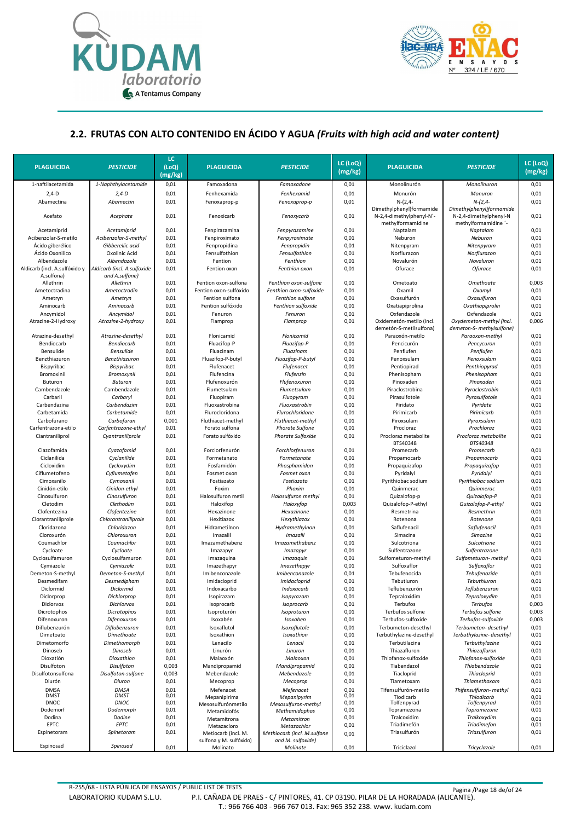



#### **2.2. FRUTAS CON ALTO CONTENIDO EN ÁCIDO Y AGUA** *(Fruits with high acid and water content)*

| 1-naftilacetamida<br>1-Naphthylacetamide<br>0,01<br>0,01<br>Monolinurón<br>Monolinuron<br>0,01<br>Famoxadona<br>Famoxadone<br>0,01<br>$2,4-D$<br>$2,4-D$<br>0,01<br>0,01<br>Fenhexamida<br>Fenhexamid<br>Monurón<br>Monuron<br>Abamectina<br>Abamectin<br>0,01<br>0,01<br>$N-(2,4-$<br>$N-(2,4-$<br>0,01<br>Fenoxaprop-p<br>Fenoxaprop-p<br>Dimethylphenyl)formamide<br>Dimethylphenyl)formamide<br>0,01<br>0,01<br>0,01<br>Acefato<br>Acephate<br>Fenoxicarb<br>Fenoxycarb<br>N-2,4-dimethylphenyl-N'-<br>N-2,4-dimethylphenyl-N<br>methylformamidine<br>methylformamidine '-<br>0,01<br>0,01<br>0,01<br>Acetamiprid<br>Acetamiprid<br>Fenpirazamina<br>Fenpyrazamine<br>Naptalam<br>Naptalam<br>0,01<br>0,01<br>0,01<br>Acibenzolar-S-metilo<br>Acibenzolar-S-methyl<br>Fenpiroximato<br>Fenpyroximate<br>Neburon<br>Neburon<br>Ácido giberélico<br>Gibberellic acid<br>0,01<br>0,01<br>0,01<br>Fenpropidina<br>Fenpropidin<br>Nitenpyram<br>Nitenpyram<br>Ácido Oxonilico<br>Oxolinic Acid<br>0,01<br>Fensulfothion<br>0,01<br>Norflurazon<br>0,01<br>Fensulfothion<br>Norflurazon<br>0,01<br>0,01<br>Novalurón<br>Novaluron<br>0,01<br>Albendazole<br>Albendazole<br>Fention<br>Fenthion<br>Aldicarb (incl. A.sulfoxide<br>Ofurace<br>Aldicarb (incl. A.sulfóxido y<br>0,01<br>Fention oxon<br>Fenthion oxon<br>0,01<br><b>Ofurace</b><br>0,01<br>A.sulfona)<br>and A.sulfone)<br>0,01<br>0,003<br>Allethrin<br>Allethrin<br>Fention oxon-sulfona<br>Fenthion oxon-sulfone<br>0,01<br>Ometoato<br>Omethoate<br>0,01<br>Fention oxon-sulfóxido<br>0,01<br>Oxamil<br>Oxamyl<br>0,01<br>Ametoctradina<br>Ametoctradin<br>Fenthion oxon-sulfoxide<br>0,01<br>0,01<br>Oxasulfurón<br>0,01<br>Ametryn<br>Ametryn<br>Fention sulfona<br>Fenthion sulfone<br>Oxasulfuron<br>0,01<br>Fention sulfóxido<br>0,01<br>Oxatiapiprolina<br>0,01<br>Aminocarb<br>Aminocarb<br>Fenthion sulfoxide<br>Oxathiapiprolin<br>Ancymidol<br>0,01<br>Oxfendazole<br>0,01<br>Ancymidol<br>Fenuron<br>Fenuron<br>0,01<br>Oxfendazole<br>0,01<br>0,01<br>Oxidemetón-metilo (incl.<br>Oxydemeton-methyl (incl.<br>0,006<br>Atrazine-2-Hydroxy<br>Atrazine-2-hydroxy<br>Flamprop<br>Flamprop<br>demetón-S-metilsulfona)<br>demeton-S- methylsulfone)<br>0,01<br>0,01<br>0,01<br>Atrazine-desethyl<br>Atrazine-desethyl<br>Flonicamid<br>Flonicamid<br>Paraoxón-metilo<br>Paraoxon-methyl<br>Bendiocarb<br><b>Bendiocarb</b><br>0,01<br>Fluacifop-P<br>Fluazifop-P<br>0,01<br>Pencicurón<br>0,01<br>Pencycuron<br>Bensulide<br><b>Bensulide</b><br>0,01<br>Fluacinam<br>0,01<br>Penflufen<br>Penflufen<br>0,01<br>Fluazinam<br>Benzthiazuron<br>Benzthiazuron<br>0,01<br>0,01<br>Penoxsulam<br>0,01<br>Fluazifop-P-butyl<br>Fluazifop-P-butyl<br>Penoxsulam<br>0,01<br>Pentiopirad<br>0,01<br>Bispyribac<br>Bispyribac<br>Flufenacet<br>Flufenacet<br>0,01<br>Penthiopyrad<br>Bromoxinil<br>Bromoxynil<br>0,01<br>Flufencina<br>0,01<br>Phenisopham<br>0,01<br>Flufenzin<br>Phenisopham<br>0,01<br>Flufenoxurón<br>0,01<br>Pinoxaden<br>0,01<br>Buturon<br><b>Buturon</b><br>Flufenoxuron<br>Pinoxaden<br>Cambendazole<br>0,01<br>Flumetsulam<br>0,01<br>Piraclostrobina<br>0,01<br>Cambendazole<br>Flumetsulam<br>Pyraclostrobin<br>Carbaril<br>Carbaryl<br>0,01<br>0,01<br>Pirasulfotole<br>0,01<br>Fluopiram<br>Fluopyram<br>Pyrasulfotole<br>Carbendazina<br>Carbendazim<br>0,01<br>Fluoxastrobina<br>Fluoxastrobin<br>0,01<br>Piridato<br>0,01<br>Pyridate<br>Carbetamida<br>Carbetamide<br>0,01<br>Flurocloridona<br>Flurochloridone<br>0,01<br>0,01<br>Pirimicarb<br>Pirimicarb<br>Carbofuran<br>Piroxsulam<br>0,01<br>Carbofurano<br>0,001<br>Fluthiacet-methyl<br>Fluthiacet-methyl<br>0,01<br>Pyroxsulam<br>Carfentrazona-etilo<br>0,01<br>0,01<br>Procloraz<br>Prochloraz<br>0,01<br>Carfentrazone-ethyl<br>Forato sulfona<br><b>Phorate Sulfone</b><br>0,01<br>Forato sulfóxido<br>0,01<br>Procloraz metabolite<br>Procloraz metabolite<br>0,01<br>Ciantraniliprol<br>Cyantraniliprole<br><b>Phorate Sulfoxide</b><br>BTS40348<br>BTS40348<br>Ciazofamida<br>Cyazofamid<br>0,01<br>Forclorfenurón<br>0,01<br>Promecarb<br>Promecarb<br>0,01<br>Forchlorfenuron<br>Ciclanilida<br>Cyclanilide<br>0,01<br>0,01<br>Propamocarb<br>Propamocarb<br>0,01<br>Formetanato<br>Formetanate<br>Cicloxidim<br>Cycloxydim<br>0,01<br>Phosphamidon<br>0,01<br>Propaquizafop<br>0,01<br>Fosfamidón<br>Propaquizafop<br>Ciflumetofeno<br>Cyflumetofen<br>0,01<br>Fosmet oxon<br>Fosmet oxon<br>0,01<br>Pyridalyl<br>Pyridalyl<br>0,01<br>Cimoxanilo<br>Cymoxanil<br>0,01<br>Fostiazato<br>Fostiazato<br>0,01<br>Pyrithiobac sodium<br>Pyrithiobac sodium<br>0,01<br>0,01<br>Cinidón-etilo<br>Cinidon-ethyl<br>0,01<br>0,01<br>Foxim<br>Phoxim<br>Quinmerac<br>Quinmerac<br>0,01<br>0,01<br>Cinosulfuron<br>Cinosulfuron<br>Halosulfuron metil<br>Halosulfuron methyl<br>0,01<br>Quizalofop-p<br>Quizalofop-P<br>Cletodim<br>Clethodim<br>0,01<br>Haloxifop<br>0,003<br>Quizalofop-P-ethyl<br>Quizalofop-P-ethyl<br>0,01<br>Haloxyfop<br>Clofentezine<br>0,01<br>0,01<br>Resmetrina<br>Resmethrin<br>0,01<br>Clofentezina<br>Hexazinone<br>Hexazinone<br>0,01<br>Hexitiazox<br>0,01<br>Rotenona<br>Rotenone<br>0,01<br>Clorantraniliprole<br>Chlorantraniliprole<br>Hexythiazox<br>0,01<br>Hidrametilnon<br>Saflufenacil<br>0,01<br>Cloridazona<br>Chloridazon<br>Hydramethylnon<br>0,01<br>Saflufenacil<br>Chloroxuron<br>0,01<br>0,01<br>Simacina<br>0,01<br>Cloroxurón<br>Imazalil<br><b>Imazalil</b><br>Simazine<br>Coumachlor<br>Coumachlor<br>0,01<br>Imazamethabenz<br>0,01<br>Sulcotriona<br>0,01<br>Imazamethabenz<br>Sulcotrione<br>0,01<br>0,01<br>0,01<br>Cycloate<br>Cycloate<br>Imazapyr<br>Imazapyr<br>Sulfentrazone<br>Sulfentrazone<br>Cyclosulfamuron<br>0,01<br>Cyclosulfamuron<br>0,01<br>Imazaquina<br>Imazaquin<br>0,01<br>Sulfometuron-methyl<br>Sulfometuron- methyl<br>Cymiazole<br>Cymiazole<br>0,01<br>Sulfoxaflor<br>Sulfoxaflor<br>0,01<br>Imazethapyr<br>Imazethapyr<br>0,01<br>0,01<br>Imibenconazole<br>Imibenconazole<br>0,01<br>Tebufenocida<br>Tebufenozide<br>0,01<br>Demeton-S-methyl<br>Demeton-S-methyl<br>Desmedifam<br>0,01<br>Imidacloprid<br>Imidacloprid<br>0,01<br>0,01<br>Desmedipham<br>Tebutiuron<br>Tebuthiuron<br>0,01<br>0,01<br>Diclormid<br>Diclormid<br>0,01<br>Indoxacarbo<br>Indoxacarb<br>Teflubenzurón<br>Teflubenzuron<br>0,01<br>0,01<br>0,01<br>Diclorprop<br>Dichlorprop<br>Tepraloxidim<br>Tepraloxydim<br>Isopirazam<br>Isopyrazam<br>0,003<br>Diclorvos<br>Dichlorvos<br>0,01<br>Isoprocarb<br>0,01<br>Terbufos<br><b>Terbufos</b><br>Isoprocarb<br>Isoproturón<br>Terbufos sulfone<br>0,003<br>Dicrotophos<br>Dicrotophos<br>0,01<br>Isoproturon<br>0,01<br>Terbufos sulfone<br>Difenoxuron<br>0,01<br>Isoxabén<br>0,01<br>Terbufos-sulfoxide<br>Terbufos-sulfoxide<br>0,003<br>Difenoxuron<br>Isoxaben<br>Diflubenzurón<br>Diflubenzuron<br>0,01<br>Isoxaflutol<br>Isoxaflutole<br>0,01<br>0,01<br>Terbumeton-desethyl<br>Terbumeton- desethyl<br>0,01<br>Isoxathion<br>0,01<br>0,01<br>Dimetoato<br>Dimethoate<br>Isoxathion<br>Terbuthylazine-desethyl<br>Terbuthylazine- desethyl<br>Lenacilo<br>Dimetomorfo<br>Dimethomorph<br>0,01<br>Lenacil<br>0,01<br>Terbutilacina<br>Terbuthylazine<br>0,01<br>Dinoseb<br>Dinoseb<br>0,01<br>Linurón<br>0,01<br>Thiazafluron<br>Thiazafluron<br>0,01<br>Linuron<br>Dioxatión<br>Dioxathion<br>0,01<br>Malaoxón<br>0,01<br>Thiofanox-sulfoxide<br>Thiofanox-sulfoxide<br>0,01<br>Malaoxon<br>Disulfoton<br>Disulfoton<br>0,01<br>Tiabendazol<br>Thiabendazole<br>0,01<br>0,003<br>Mandipropamid<br>Mandipropamid<br>0,003<br>0,01<br>Tiacloprid<br>0,01<br>Disulfotonsulfona<br>Disulfoton-sulfone<br>Mebendazole<br>Mebendazole<br><b>Thiacloprid</b><br>Diurón<br>0,01<br>0,01<br>Tiametoxam<br>Thiamethoxam<br>0,01<br>Diuron<br>Mecoprop<br>Mecoprop<br><b>DMSA</b><br><b>DMSA</b><br>0,01<br>Mefenacet<br>0,01<br>Tifensulfurón-metilo<br>Thifensulfuron- methyl<br>0,01<br>Mefenacet<br><b>DMST</b><br><b>DMST</b><br>0,01<br>0,01<br>Tiodicarb<br>Thiodicarb<br>0,01<br>Mepanipirima<br>Mepanipyrim<br><b>DNOC</b><br>DNOC<br>0,01<br>0,01<br>Tolfenpyrad<br>Tolfenpyrad<br>0,01<br>Mesosulfurónmetilo<br>Mesosulfuron-methyl<br>0,01<br>Dodemorf<br>Dodemorph<br>0,01<br>0,01<br>Topramezona<br>Topramezone<br>Methamidophos<br>Metamidofós<br>0,01<br>Tralcoxidim<br>Tralkoxydim<br>Dodina<br>Dodine<br>0,01<br>0,01<br>Metamitrona<br>Metamitron<br>EPTC<br>EPTC<br>Triadimefón<br>Triadimefon<br>0,01<br>0,01<br>0,01<br>Metazacloro<br>Metazachlor<br>Espinetoram<br>Spinetoram<br>0,01<br>Triasulfurón<br>Triasulfuron<br>0,01<br>Methiocarb (incl. M.sulfone<br>Metiocarb (incl. M.<br>0,01<br>sulfona y M. sulfóxido)<br>and M. sulfoxide)<br>Espinosad<br>Spinosad<br>0,01<br>Molinato<br>Molinate<br>0,01<br>Triciclazol<br>Tricyclazole<br>0,01 | <b>PLAGUICIDA</b> | <b>PESTICIDE</b> | LC<br>(LOQ)<br>(mg/kg) | <b>PLAGUICIDA</b> | <b>PESTICIDE</b> | LC (LoQ)<br>(mg/kg) | <b>PLAGUICIDA</b> | <b>PESTICIDE</b> | LC (LoQ)<br>(mg/kg) |
|-----------------------------------------------------------------------------------------------------------------------------------------------------------------------------------------------------------------------------------------------------------------------------------------------------------------------------------------------------------------------------------------------------------------------------------------------------------------------------------------------------------------------------------------------------------------------------------------------------------------------------------------------------------------------------------------------------------------------------------------------------------------------------------------------------------------------------------------------------------------------------------------------------------------------------------------------------------------------------------------------------------------------------------------------------------------------------------------------------------------------------------------------------------------------------------------------------------------------------------------------------------------------------------------------------------------------------------------------------------------------------------------------------------------------------------------------------------------------------------------------------------------------------------------------------------------------------------------------------------------------------------------------------------------------------------------------------------------------------------------------------------------------------------------------------------------------------------------------------------------------------------------------------------------------------------------------------------------------------------------------------------------------------------------------------------------------------------------------------------------------------------------------------------------------------------------------------------------------------------------------------------------------------------------------------------------------------------------------------------------------------------------------------------------------------------------------------------------------------------------------------------------------------------------------------------------------------------------------------------------------------------------------------------------------------------------------------------------------------------------------------------------------------------------------------------------------------------------------------------------------------------------------------------------------------------------------------------------------------------------------------------------------------------------------------------------------------------------------------------------------------------------------------------------------------------------------------------------------------------------------------------------------------------------------------------------------------------------------------------------------------------------------------------------------------------------------------------------------------------------------------------------------------------------------------------------------------------------------------------------------------------------------------------------------------------------------------------------------------------------------------------------------------------------------------------------------------------------------------------------------------------------------------------------------------------------------------------------------------------------------------------------------------------------------------------------------------------------------------------------------------------------------------------------------------------------------------------------------------------------------------------------------------------------------------------------------------------------------------------------------------------------------------------------------------------------------------------------------------------------------------------------------------------------------------------------------------------------------------------------------------------------------------------------------------------------------------------------------------------------------------------------------------------------------------------------------------------------------------------------------------------------------------------------------------------------------------------------------------------------------------------------------------------------------------------------------------------------------------------------------------------------------------------------------------------------------------------------------------------------------------------------------------------------------------------------------------------------------------------------------------------------------------------------------------------------------------------------------------------------------------------------------------------------------------------------------------------------------------------------------------------------------------------------------------------------------------------------------------------------------------------------------------------------------------------------------------------------------------------------------------------------------------------------------------------------------------------------------------------------------------------------------------------------------------------------------------------------------------------------------------------------------------------------------------------------------------------------------------------------------------------------------------------------------------------------------------------------------------------------------------------------------------------------------------------------------------------------------------------------------------------------------------------------------------------------------------------------------------------------------------------------------------------------------------------------------------------------------------------------------------------------------------------------------------------------------------------------------------------------------------------------------------------------------------------------------------------------------------------------------------------------------------------------------------------------------------------------------------------------------------------------------------------------------------------------------------------------------------------------------------------------------------------------------------------------------------------------------------------------------------------------------------------------------------------------------------------------------------------------------------------------------------------------------------------------------------------------------------------------------------------------------------------------------------------------------------------------------------------------------------------------------------------------------------------------------------------------------------------------------------------------------------------------------------------------------------------------------------------------------------------------------------------------------------------------------------------------------------------------------------------------------------------------------------------------------------------------------------------------------------------------------------------------------------------------------------------------------------------------------------------------------------------------------------------------------------------------------------------------------------------------------------------------------------------------------------------------------------------------------------------------------------------------------------------------------------------------------------------------------------------------------------------------------------------------------------------------------|-------------------|------------------|------------------------|-------------------|------------------|---------------------|-------------------|------------------|---------------------|
|                                                                                                                                                                                                                                                                                                                                                                                                                                                                                                                                                                                                                                                                                                                                                                                                                                                                                                                                                                                                                                                                                                                                                                                                                                                                                                                                                                                                                                                                                                                                                                                                                                                                                                                                                                                                                                                                                                                                                                                                                                                                                                                                                                                                                                                                                                                                                                                                                                                                                                                                                                                                                                                                                                                                                                                                                                                                                                                                                                                                                                                                                                                                                                                                                                                                                                                                                                                                                                                                                                                                                                                                                                                                                                                                                                                                                                                                                                                                                                                                                                                                                                                                                                                                                                                                                                                                                                                                                                                                                                                                                                                                                                                                                                                                                                                                                                                                                                                                                                                                                                                                                                                                                                                                                                                                                                                                                                                                                                                                                                                                                                                                                                                                                                                                                                                                                                                                                                                                                                                                                                                                                                                                                                                                                                                                                                                                                                                                                                                                                                                                                                                                                                                                                                                                                                                                                                                                                                                                                                                                                                                                                                                                                                                                                                                                                                                                                                                                                                                                                                                                                                                                                                                                                                                                                                                                                                                                                                                                                                                                                                                                                                                                                                                                                                                                                                                                                                                                                                                                                                                                                                                                                                                                                                                                                                                                                                               |                   |                  |                        |                   |                  |                     |                   |                  |                     |
|                                                                                                                                                                                                                                                                                                                                                                                                                                                                                                                                                                                                                                                                                                                                                                                                                                                                                                                                                                                                                                                                                                                                                                                                                                                                                                                                                                                                                                                                                                                                                                                                                                                                                                                                                                                                                                                                                                                                                                                                                                                                                                                                                                                                                                                                                                                                                                                                                                                                                                                                                                                                                                                                                                                                                                                                                                                                                                                                                                                                                                                                                                                                                                                                                                                                                                                                                                                                                                                                                                                                                                                                                                                                                                                                                                                                                                                                                                                                                                                                                                                                                                                                                                                                                                                                                                                                                                                                                                                                                                                                                                                                                                                                                                                                                                                                                                                                                                                                                                                                                                                                                                                                                                                                                                                                                                                                                                                                                                                                                                                                                                                                                                                                                                                                                                                                                                                                                                                                                                                                                                                                                                                                                                                                                                                                                                                                                                                                                                                                                                                                                                                                                                                                                                                                                                                                                                                                                                                                                                                                                                                                                                                                                                                                                                                                                                                                                                                                                                                                                                                                                                                                                                                                                                                                                                                                                                                                                                                                                                                                                                                                                                                                                                                                                                                                                                                                                                                                                                                                                                                                                                                                                                                                                                                                                                                                                                               |                   |                  |                        |                   |                  |                     |                   |                  |                     |
|                                                                                                                                                                                                                                                                                                                                                                                                                                                                                                                                                                                                                                                                                                                                                                                                                                                                                                                                                                                                                                                                                                                                                                                                                                                                                                                                                                                                                                                                                                                                                                                                                                                                                                                                                                                                                                                                                                                                                                                                                                                                                                                                                                                                                                                                                                                                                                                                                                                                                                                                                                                                                                                                                                                                                                                                                                                                                                                                                                                                                                                                                                                                                                                                                                                                                                                                                                                                                                                                                                                                                                                                                                                                                                                                                                                                                                                                                                                                                                                                                                                                                                                                                                                                                                                                                                                                                                                                                                                                                                                                                                                                                                                                                                                                                                                                                                                                                                                                                                                                                                                                                                                                                                                                                                                                                                                                                                                                                                                                                                                                                                                                                                                                                                                                                                                                                                                                                                                                                                                                                                                                                                                                                                                                                                                                                                                                                                                                                                                                                                                                                                                                                                                                                                                                                                                                                                                                                                                                                                                                                                                                                                                                                                                                                                                                                                                                                                                                                                                                                                                                                                                                                                                                                                                                                                                                                                                                                                                                                                                                                                                                                                                                                                                                                                                                                                                                                                                                                                                                                                                                                                                                                                                                                                                                                                                                                                               |                   |                  |                        |                   |                  |                     |                   |                  |                     |
|                                                                                                                                                                                                                                                                                                                                                                                                                                                                                                                                                                                                                                                                                                                                                                                                                                                                                                                                                                                                                                                                                                                                                                                                                                                                                                                                                                                                                                                                                                                                                                                                                                                                                                                                                                                                                                                                                                                                                                                                                                                                                                                                                                                                                                                                                                                                                                                                                                                                                                                                                                                                                                                                                                                                                                                                                                                                                                                                                                                                                                                                                                                                                                                                                                                                                                                                                                                                                                                                                                                                                                                                                                                                                                                                                                                                                                                                                                                                                                                                                                                                                                                                                                                                                                                                                                                                                                                                                                                                                                                                                                                                                                                                                                                                                                                                                                                                                                                                                                                                                                                                                                                                                                                                                                                                                                                                                                                                                                                                                                                                                                                                                                                                                                                                                                                                                                                                                                                                                                                                                                                                                                                                                                                                                                                                                                                                                                                                                                                                                                                                                                                                                                                                                                                                                                                                                                                                                                                                                                                                                                                                                                                                                                                                                                                                                                                                                                                                                                                                                                                                                                                                                                                                                                                                                                                                                                                                                                                                                                                                                                                                                                                                                                                                                                                                                                                                                                                                                                                                                                                                                                                                                                                                                                                                                                                                                                               |                   |                  |                        |                   |                  |                     |                   |                  |                     |
|                                                                                                                                                                                                                                                                                                                                                                                                                                                                                                                                                                                                                                                                                                                                                                                                                                                                                                                                                                                                                                                                                                                                                                                                                                                                                                                                                                                                                                                                                                                                                                                                                                                                                                                                                                                                                                                                                                                                                                                                                                                                                                                                                                                                                                                                                                                                                                                                                                                                                                                                                                                                                                                                                                                                                                                                                                                                                                                                                                                                                                                                                                                                                                                                                                                                                                                                                                                                                                                                                                                                                                                                                                                                                                                                                                                                                                                                                                                                                                                                                                                                                                                                                                                                                                                                                                                                                                                                                                                                                                                                                                                                                                                                                                                                                                                                                                                                                                                                                                                                                                                                                                                                                                                                                                                                                                                                                                                                                                                                                                                                                                                                                                                                                                                                                                                                                                                                                                                                                                                                                                                                                                                                                                                                                                                                                                                                                                                                                                                                                                                                                                                                                                                                                                                                                                                                                                                                                                                                                                                                                                                                                                                                                                                                                                                                                                                                                                                                                                                                                                                                                                                                                                                                                                                                                                                                                                                                                                                                                                                                                                                                                                                                                                                                                                                                                                                                                                                                                                                                                                                                                                                                                                                                                                                                                                                                                                               |                   |                  |                        |                   |                  |                     |                   |                  |                     |
|                                                                                                                                                                                                                                                                                                                                                                                                                                                                                                                                                                                                                                                                                                                                                                                                                                                                                                                                                                                                                                                                                                                                                                                                                                                                                                                                                                                                                                                                                                                                                                                                                                                                                                                                                                                                                                                                                                                                                                                                                                                                                                                                                                                                                                                                                                                                                                                                                                                                                                                                                                                                                                                                                                                                                                                                                                                                                                                                                                                                                                                                                                                                                                                                                                                                                                                                                                                                                                                                                                                                                                                                                                                                                                                                                                                                                                                                                                                                                                                                                                                                                                                                                                                                                                                                                                                                                                                                                                                                                                                                                                                                                                                                                                                                                                                                                                                                                                                                                                                                                                                                                                                                                                                                                                                                                                                                                                                                                                                                                                                                                                                                                                                                                                                                                                                                                                                                                                                                                                                                                                                                                                                                                                                                                                                                                                                                                                                                                                                                                                                                                                                                                                                                                                                                                                                                                                                                                                                                                                                                                                                                                                                                                                                                                                                                                                                                                                                                                                                                                                                                                                                                                                                                                                                                                                                                                                                                                                                                                                                                                                                                                                                                                                                                                                                                                                                                                                                                                                                                                                                                                                                                                                                                                                                                                                                                                                               |                   |                  |                        |                   |                  |                     |                   |                  |                     |
|                                                                                                                                                                                                                                                                                                                                                                                                                                                                                                                                                                                                                                                                                                                                                                                                                                                                                                                                                                                                                                                                                                                                                                                                                                                                                                                                                                                                                                                                                                                                                                                                                                                                                                                                                                                                                                                                                                                                                                                                                                                                                                                                                                                                                                                                                                                                                                                                                                                                                                                                                                                                                                                                                                                                                                                                                                                                                                                                                                                                                                                                                                                                                                                                                                                                                                                                                                                                                                                                                                                                                                                                                                                                                                                                                                                                                                                                                                                                                                                                                                                                                                                                                                                                                                                                                                                                                                                                                                                                                                                                                                                                                                                                                                                                                                                                                                                                                                                                                                                                                                                                                                                                                                                                                                                                                                                                                                                                                                                                                                                                                                                                                                                                                                                                                                                                                                                                                                                                                                                                                                                                                                                                                                                                                                                                                                                                                                                                                                                                                                                                                                                                                                                                                                                                                                                                                                                                                                                                                                                                                                                                                                                                                                                                                                                                                                                                                                                                                                                                                                                                                                                                                                                                                                                                                                                                                                                                                                                                                                                                                                                                                                                                                                                                                                                                                                                                                                                                                                                                                                                                                                                                                                                                                                                                                                                                                                               |                   |                  |                        |                   |                  |                     |                   |                  |                     |
|                                                                                                                                                                                                                                                                                                                                                                                                                                                                                                                                                                                                                                                                                                                                                                                                                                                                                                                                                                                                                                                                                                                                                                                                                                                                                                                                                                                                                                                                                                                                                                                                                                                                                                                                                                                                                                                                                                                                                                                                                                                                                                                                                                                                                                                                                                                                                                                                                                                                                                                                                                                                                                                                                                                                                                                                                                                                                                                                                                                                                                                                                                                                                                                                                                                                                                                                                                                                                                                                                                                                                                                                                                                                                                                                                                                                                                                                                                                                                                                                                                                                                                                                                                                                                                                                                                                                                                                                                                                                                                                                                                                                                                                                                                                                                                                                                                                                                                                                                                                                                                                                                                                                                                                                                                                                                                                                                                                                                                                                                                                                                                                                                                                                                                                                                                                                                                                                                                                                                                                                                                                                                                                                                                                                                                                                                                                                                                                                                                                                                                                                                                                                                                                                                                                                                                                                                                                                                                                                                                                                                                                                                                                                                                                                                                                                                                                                                                                                                                                                                                                                                                                                                                                                                                                                                                                                                                                                                                                                                                                                                                                                                                                                                                                                                                                                                                                                                                                                                                                                                                                                                                                                                                                                                                                                                                                                                                               |                   |                  |                        |                   |                  |                     |                   |                  |                     |
|                                                                                                                                                                                                                                                                                                                                                                                                                                                                                                                                                                                                                                                                                                                                                                                                                                                                                                                                                                                                                                                                                                                                                                                                                                                                                                                                                                                                                                                                                                                                                                                                                                                                                                                                                                                                                                                                                                                                                                                                                                                                                                                                                                                                                                                                                                                                                                                                                                                                                                                                                                                                                                                                                                                                                                                                                                                                                                                                                                                                                                                                                                                                                                                                                                                                                                                                                                                                                                                                                                                                                                                                                                                                                                                                                                                                                                                                                                                                                                                                                                                                                                                                                                                                                                                                                                                                                                                                                                                                                                                                                                                                                                                                                                                                                                                                                                                                                                                                                                                                                                                                                                                                                                                                                                                                                                                                                                                                                                                                                                                                                                                                                                                                                                                                                                                                                                                                                                                                                                                                                                                                                                                                                                                                                                                                                                                                                                                                                                                                                                                                                                                                                                                                                                                                                                                                                                                                                                                                                                                                                                                                                                                                                                                                                                                                                                                                                                                                                                                                                                                                                                                                                                                                                                                                                                                                                                                                                                                                                                                                                                                                                                                                                                                                                                                                                                                                                                                                                                                                                                                                                                                                                                                                                                                                                                                                                                               |                   |                  |                        |                   |                  |                     |                   |                  |                     |
|                                                                                                                                                                                                                                                                                                                                                                                                                                                                                                                                                                                                                                                                                                                                                                                                                                                                                                                                                                                                                                                                                                                                                                                                                                                                                                                                                                                                                                                                                                                                                                                                                                                                                                                                                                                                                                                                                                                                                                                                                                                                                                                                                                                                                                                                                                                                                                                                                                                                                                                                                                                                                                                                                                                                                                                                                                                                                                                                                                                                                                                                                                                                                                                                                                                                                                                                                                                                                                                                                                                                                                                                                                                                                                                                                                                                                                                                                                                                                                                                                                                                                                                                                                                                                                                                                                                                                                                                                                                                                                                                                                                                                                                                                                                                                                                                                                                                                                                                                                                                                                                                                                                                                                                                                                                                                                                                                                                                                                                                                                                                                                                                                                                                                                                                                                                                                                                                                                                                                                                                                                                                                                                                                                                                                                                                                                                                                                                                                                                                                                                                                                                                                                                                                                                                                                                                                                                                                                                                                                                                                                                                                                                                                                                                                                                                                                                                                                                                                                                                                                                                                                                                                                                                                                                                                                                                                                                                                                                                                                                                                                                                                                                                                                                                                                                                                                                                                                                                                                                                                                                                                                                                                                                                                                                                                                                                                                               |                   |                  |                        |                   |                  |                     |                   |                  |                     |
|                                                                                                                                                                                                                                                                                                                                                                                                                                                                                                                                                                                                                                                                                                                                                                                                                                                                                                                                                                                                                                                                                                                                                                                                                                                                                                                                                                                                                                                                                                                                                                                                                                                                                                                                                                                                                                                                                                                                                                                                                                                                                                                                                                                                                                                                                                                                                                                                                                                                                                                                                                                                                                                                                                                                                                                                                                                                                                                                                                                                                                                                                                                                                                                                                                                                                                                                                                                                                                                                                                                                                                                                                                                                                                                                                                                                                                                                                                                                                                                                                                                                                                                                                                                                                                                                                                                                                                                                                                                                                                                                                                                                                                                                                                                                                                                                                                                                                                                                                                                                                                                                                                                                                                                                                                                                                                                                                                                                                                                                                                                                                                                                                                                                                                                                                                                                                                                                                                                                                                                                                                                                                                                                                                                                                                                                                                                                                                                                                                                                                                                                                                                                                                                                                                                                                                                                                                                                                                                                                                                                                                                                                                                                                                                                                                                                                                                                                                                                                                                                                                                                                                                                                                                                                                                                                                                                                                                                                                                                                                                                                                                                                                                                                                                                                                                                                                                                                                                                                                                                                                                                                                                                                                                                                                                                                                                                                                               |                   |                  |                        |                   |                  |                     |                   |                  |                     |
|                                                                                                                                                                                                                                                                                                                                                                                                                                                                                                                                                                                                                                                                                                                                                                                                                                                                                                                                                                                                                                                                                                                                                                                                                                                                                                                                                                                                                                                                                                                                                                                                                                                                                                                                                                                                                                                                                                                                                                                                                                                                                                                                                                                                                                                                                                                                                                                                                                                                                                                                                                                                                                                                                                                                                                                                                                                                                                                                                                                                                                                                                                                                                                                                                                                                                                                                                                                                                                                                                                                                                                                                                                                                                                                                                                                                                                                                                                                                                                                                                                                                                                                                                                                                                                                                                                                                                                                                                                                                                                                                                                                                                                                                                                                                                                                                                                                                                                                                                                                                                                                                                                                                                                                                                                                                                                                                                                                                                                                                                                                                                                                                                                                                                                                                                                                                                                                                                                                                                                                                                                                                                                                                                                                                                                                                                                                                                                                                                                                                                                                                                                                                                                                                                                                                                                                                                                                                                                                                                                                                                                                                                                                                                                                                                                                                                                                                                                                                                                                                                                                                                                                                                                                                                                                                                                                                                                                                                                                                                                                                                                                                                                                                                                                                                                                                                                                                                                                                                                                                                                                                                                                                                                                                                                                                                                                                                                               |                   |                  |                        |                   |                  |                     |                   |                  |                     |
|                                                                                                                                                                                                                                                                                                                                                                                                                                                                                                                                                                                                                                                                                                                                                                                                                                                                                                                                                                                                                                                                                                                                                                                                                                                                                                                                                                                                                                                                                                                                                                                                                                                                                                                                                                                                                                                                                                                                                                                                                                                                                                                                                                                                                                                                                                                                                                                                                                                                                                                                                                                                                                                                                                                                                                                                                                                                                                                                                                                                                                                                                                                                                                                                                                                                                                                                                                                                                                                                                                                                                                                                                                                                                                                                                                                                                                                                                                                                                                                                                                                                                                                                                                                                                                                                                                                                                                                                                                                                                                                                                                                                                                                                                                                                                                                                                                                                                                                                                                                                                                                                                                                                                                                                                                                                                                                                                                                                                                                                                                                                                                                                                                                                                                                                                                                                                                                                                                                                                                                                                                                                                                                                                                                                                                                                                                                                                                                                                                                                                                                                                                                                                                                                                                                                                                                                                                                                                                                                                                                                                                                                                                                                                                                                                                                                                                                                                                                                                                                                                                                                                                                                                                                                                                                                                                                                                                                                                                                                                                                                                                                                                                                                                                                                                                                                                                                                                                                                                                                                                                                                                                                                                                                                                                                                                                                                                                               |                   |                  |                        |                   |                  |                     |                   |                  |                     |
|                                                                                                                                                                                                                                                                                                                                                                                                                                                                                                                                                                                                                                                                                                                                                                                                                                                                                                                                                                                                                                                                                                                                                                                                                                                                                                                                                                                                                                                                                                                                                                                                                                                                                                                                                                                                                                                                                                                                                                                                                                                                                                                                                                                                                                                                                                                                                                                                                                                                                                                                                                                                                                                                                                                                                                                                                                                                                                                                                                                                                                                                                                                                                                                                                                                                                                                                                                                                                                                                                                                                                                                                                                                                                                                                                                                                                                                                                                                                                                                                                                                                                                                                                                                                                                                                                                                                                                                                                                                                                                                                                                                                                                                                                                                                                                                                                                                                                                                                                                                                                                                                                                                                                                                                                                                                                                                                                                                                                                                                                                                                                                                                                                                                                                                                                                                                                                                                                                                                                                                                                                                                                                                                                                                                                                                                                                                                                                                                                                                                                                                                                                                                                                                                                                                                                                                                                                                                                                                                                                                                                                                                                                                                                                                                                                                                                                                                                                                                                                                                                                                                                                                                                                                                                                                                                                                                                                                                                                                                                                                                                                                                                                                                                                                                                                                                                                                                                                                                                                                                                                                                                                                                                                                                                                                                                                                                                                               |                   |                  |                        |                   |                  |                     |                   |                  |                     |
|                                                                                                                                                                                                                                                                                                                                                                                                                                                                                                                                                                                                                                                                                                                                                                                                                                                                                                                                                                                                                                                                                                                                                                                                                                                                                                                                                                                                                                                                                                                                                                                                                                                                                                                                                                                                                                                                                                                                                                                                                                                                                                                                                                                                                                                                                                                                                                                                                                                                                                                                                                                                                                                                                                                                                                                                                                                                                                                                                                                                                                                                                                                                                                                                                                                                                                                                                                                                                                                                                                                                                                                                                                                                                                                                                                                                                                                                                                                                                                                                                                                                                                                                                                                                                                                                                                                                                                                                                                                                                                                                                                                                                                                                                                                                                                                                                                                                                                                                                                                                                                                                                                                                                                                                                                                                                                                                                                                                                                                                                                                                                                                                                                                                                                                                                                                                                                                                                                                                                                                                                                                                                                                                                                                                                                                                                                                                                                                                                                                                                                                                                                                                                                                                                                                                                                                                                                                                                                                                                                                                                                                                                                                                                                                                                                                                                                                                                                                                                                                                                                                                                                                                                                                                                                                                                                                                                                                                                                                                                                                                                                                                                                                                                                                                                                                                                                                                                                                                                                                                                                                                                                                                                                                                                                                                                                                                                                               |                   |                  |                        |                   |                  |                     |                   |                  |                     |
|                                                                                                                                                                                                                                                                                                                                                                                                                                                                                                                                                                                                                                                                                                                                                                                                                                                                                                                                                                                                                                                                                                                                                                                                                                                                                                                                                                                                                                                                                                                                                                                                                                                                                                                                                                                                                                                                                                                                                                                                                                                                                                                                                                                                                                                                                                                                                                                                                                                                                                                                                                                                                                                                                                                                                                                                                                                                                                                                                                                                                                                                                                                                                                                                                                                                                                                                                                                                                                                                                                                                                                                                                                                                                                                                                                                                                                                                                                                                                                                                                                                                                                                                                                                                                                                                                                                                                                                                                                                                                                                                                                                                                                                                                                                                                                                                                                                                                                                                                                                                                                                                                                                                                                                                                                                                                                                                                                                                                                                                                                                                                                                                                                                                                                                                                                                                                                                                                                                                                                                                                                                                                                                                                                                                                                                                                                                                                                                                                                                                                                                                                                                                                                                                                                                                                                                                                                                                                                                                                                                                                                                                                                                                                                                                                                                                                                                                                                                                                                                                                                                                                                                                                                                                                                                                                                                                                                                                                                                                                                                                                                                                                                                                                                                                                                                                                                                                                                                                                                                                                                                                                                                                                                                                                                                                                                                                                                               |                   |                  |                        |                   |                  |                     |                   |                  |                     |
|                                                                                                                                                                                                                                                                                                                                                                                                                                                                                                                                                                                                                                                                                                                                                                                                                                                                                                                                                                                                                                                                                                                                                                                                                                                                                                                                                                                                                                                                                                                                                                                                                                                                                                                                                                                                                                                                                                                                                                                                                                                                                                                                                                                                                                                                                                                                                                                                                                                                                                                                                                                                                                                                                                                                                                                                                                                                                                                                                                                                                                                                                                                                                                                                                                                                                                                                                                                                                                                                                                                                                                                                                                                                                                                                                                                                                                                                                                                                                                                                                                                                                                                                                                                                                                                                                                                                                                                                                                                                                                                                                                                                                                                                                                                                                                                                                                                                                                                                                                                                                                                                                                                                                                                                                                                                                                                                                                                                                                                                                                                                                                                                                                                                                                                                                                                                                                                                                                                                                                                                                                                                                                                                                                                                                                                                                                                                                                                                                                                                                                                                                                                                                                                                                                                                                                                                                                                                                                                                                                                                                                                                                                                                                                                                                                                                                                                                                                                                                                                                                                                                                                                                                                                                                                                                                                                                                                                                                                                                                                                                                                                                                                                                                                                                                                                                                                                                                                                                                                                                                                                                                                                                                                                                                                                                                                                                                                               |                   |                  |                        |                   |                  |                     |                   |                  |                     |
|                                                                                                                                                                                                                                                                                                                                                                                                                                                                                                                                                                                                                                                                                                                                                                                                                                                                                                                                                                                                                                                                                                                                                                                                                                                                                                                                                                                                                                                                                                                                                                                                                                                                                                                                                                                                                                                                                                                                                                                                                                                                                                                                                                                                                                                                                                                                                                                                                                                                                                                                                                                                                                                                                                                                                                                                                                                                                                                                                                                                                                                                                                                                                                                                                                                                                                                                                                                                                                                                                                                                                                                                                                                                                                                                                                                                                                                                                                                                                                                                                                                                                                                                                                                                                                                                                                                                                                                                                                                                                                                                                                                                                                                                                                                                                                                                                                                                                                                                                                                                                                                                                                                                                                                                                                                                                                                                                                                                                                                                                                                                                                                                                                                                                                                                                                                                                                                                                                                                                                                                                                                                                                                                                                                                                                                                                                                                                                                                                                                                                                                                                                                                                                                                                                                                                                                                                                                                                                                                                                                                                                                                                                                                                                                                                                                                                                                                                                                                                                                                                                                                                                                                                                                                                                                                                                                                                                                                                                                                                                                                                                                                                                                                                                                                                                                                                                                                                                                                                                                                                                                                                                                                                                                                                                                                                                                                                                               |                   |                  |                        |                   |                  |                     |                   |                  |                     |
|                                                                                                                                                                                                                                                                                                                                                                                                                                                                                                                                                                                                                                                                                                                                                                                                                                                                                                                                                                                                                                                                                                                                                                                                                                                                                                                                                                                                                                                                                                                                                                                                                                                                                                                                                                                                                                                                                                                                                                                                                                                                                                                                                                                                                                                                                                                                                                                                                                                                                                                                                                                                                                                                                                                                                                                                                                                                                                                                                                                                                                                                                                                                                                                                                                                                                                                                                                                                                                                                                                                                                                                                                                                                                                                                                                                                                                                                                                                                                                                                                                                                                                                                                                                                                                                                                                                                                                                                                                                                                                                                                                                                                                                                                                                                                                                                                                                                                                                                                                                                                                                                                                                                                                                                                                                                                                                                                                                                                                                                                                                                                                                                                                                                                                                                                                                                                                                                                                                                                                                                                                                                                                                                                                                                                                                                                                                                                                                                                                                                                                                                                                                                                                                                                                                                                                                                                                                                                                                                                                                                                                                                                                                                                                                                                                                                                                                                                                                                                                                                                                                                                                                                                                                                                                                                                                                                                                                                                                                                                                                                                                                                                                                                                                                                                                                                                                                                                                                                                                                                                                                                                                                                                                                                                                                                                                                                                                               |                   |                  |                        |                   |                  |                     |                   |                  |                     |
|                                                                                                                                                                                                                                                                                                                                                                                                                                                                                                                                                                                                                                                                                                                                                                                                                                                                                                                                                                                                                                                                                                                                                                                                                                                                                                                                                                                                                                                                                                                                                                                                                                                                                                                                                                                                                                                                                                                                                                                                                                                                                                                                                                                                                                                                                                                                                                                                                                                                                                                                                                                                                                                                                                                                                                                                                                                                                                                                                                                                                                                                                                                                                                                                                                                                                                                                                                                                                                                                                                                                                                                                                                                                                                                                                                                                                                                                                                                                                                                                                                                                                                                                                                                                                                                                                                                                                                                                                                                                                                                                                                                                                                                                                                                                                                                                                                                                                                                                                                                                                                                                                                                                                                                                                                                                                                                                                                                                                                                                                                                                                                                                                                                                                                                                                                                                                                                                                                                                                                                                                                                                                                                                                                                                                                                                                                                                                                                                                                                                                                                                                                                                                                                                                                                                                                                                                                                                                                                                                                                                                                                                                                                                                                                                                                                                                                                                                                                                                                                                                                                                                                                                                                                                                                                                                                                                                                                                                                                                                                                                                                                                                                                                                                                                                                                                                                                                                                                                                                                                                                                                                                                                                                                                                                                                                                                                                                               |                   |                  |                        |                   |                  |                     |                   |                  |                     |
|                                                                                                                                                                                                                                                                                                                                                                                                                                                                                                                                                                                                                                                                                                                                                                                                                                                                                                                                                                                                                                                                                                                                                                                                                                                                                                                                                                                                                                                                                                                                                                                                                                                                                                                                                                                                                                                                                                                                                                                                                                                                                                                                                                                                                                                                                                                                                                                                                                                                                                                                                                                                                                                                                                                                                                                                                                                                                                                                                                                                                                                                                                                                                                                                                                                                                                                                                                                                                                                                                                                                                                                                                                                                                                                                                                                                                                                                                                                                                                                                                                                                                                                                                                                                                                                                                                                                                                                                                                                                                                                                                                                                                                                                                                                                                                                                                                                                                                                                                                                                                                                                                                                                                                                                                                                                                                                                                                                                                                                                                                                                                                                                                                                                                                                                                                                                                                                                                                                                                                                                                                                                                                                                                                                                                                                                                                                                                                                                                                                                                                                                                                                                                                                                                                                                                                                                                                                                                                                                                                                                                                                                                                                                                                                                                                                                                                                                                                                                                                                                                                                                                                                                                                                                                                                                                                                                                                                                                                                                                                                                                                                                                                                                                                                                                                                                                                                                                                                                                                                                                                                                                                                                                                                                                                                                                                                                                                               |                   |                  |                        |                   |                  |                     |                   |                  |                     |
|                                                                                                                                                                                                                                                                                                                                                                                                                                                                                                                                                                                                                                                                                                                                                                                                                                                                                                                                                                                                                                                                                                                                                                                                                                                                                                                                                                                                                                                                                                                                                                                                                                                                                                                                                                                                                                                                                                                                                                                                                                                                                                                                                                                                                                                                                                                                                                                                                                                                                                                                                                                                                                                                                                                                                                                                                                                                                                                                                                                                                                                                                                                                                                                                                                                                                                                                                                                                                                                                                                                                                                                                                                                                                                                                                                                                                                                                                                                                                                                                                                                                                                                                                                                                                                                                                                                                                                                                                                                                                                                                                                                                                                                                                                                                                                                                                                                                                                                                                                                                                                                                                                                                                                                                                                                                                                                                                                                                                                                                                                                                                                                                                                                                                                                                                                                                                                                                                                                                                                                                                                                                                                                                                                                                                                                                                                                                                                                                                                                                                                                                                                                                                                                                                                                                                                                                                                                                                                                                                                                                                                                                                                                                                                                                                                                                                                                                                                                                                                                                                                                                                                                                                                                                                                                                                                                                                                                                                                                                                                                                                                                                                                                                                                                                                                                                                                                                                                                                                                                                                                                                                                                                                                                                                                                                                                                                                                               |                   |                  |                        |                   |                  |                     |                   |                  |                     |
|                                                                                                                                                                                                                                                                                                                                                                                                                                                                                                                                                                                                                                                                                                                                                                                                                                                                                                                                                                                                                                                                                                                                                                                                                                                                                                                                                                                                                                                                                                                                                                                                                                                                                                                                                                                                                                                                                                                                                                                                                                                                                                                                                                                                                                                                                                                                                                                                                                                                                                                                                                                                                                                                                                                                                                                                                                                                                                                                                                                                                                                                                                                                                                                                                                                                                                                                                                                                                                                                                                                                                                                                                                                                                                                                                                                                                                                                                                                                                                                                                                                                                                                                                                                                                                                                                                                                                                                                                                                                                                                                                                                                                                                                                                                                                                                                                                                                                                                                                                                                                                                                                                                                                                                                                                                                                                                                                                                                                                                                                                                                                                                                                                                                                                                                                                                                                                                                                                                                                                                                                                                                                                                                                                                                                                                                                                                                                                                                                                                                                                                                                                                                                                                                                                                                                                                                                                                                                                                                                                                                                                                                                                                                                                                                                                                                                                                                                                                                                                                                                                                                                                                                                                                                                                                                                                                                                                                                                                                                                                                                                                                                                                                                                                                                                                                                                                                                                                                                                                                                                                                                                                                                                                                                                                                                                                                                                                               |                   |                  |                        |                   |                  |                     |                   |                  |                     |
|                                                                                                                                                                                                                                                                                                                                                                                                                                                                                                                                                                                                                                                                                                                                                                                                                                                                                                                                                                                                                                                                                                                                                                                                                                                                                                                                                                                                                                                                                                                                                                                                                                                                                                                                                                                                                                                                                                                                                                                                                                                                                                                                                                                                                                                                                                                                                                                                                                                                                                                                                                                                                                                                                                                                                                                                                                                                                                                                                                                                                                                                                                                                                                                                                                                                                                                                                                                                                                                                                                                                                                                                                                                                                                                                                                                                                                                                                                                                                                                                                                                                                                                                                                                                                                                                                                                                                                                                                                                                                                                                                                                                                                                                                                                                                                                                                                                                                                                                                                                                                                                                                                                                                                                                                                                                                                                                                                                                                                                                                                                                                                                                                                                                                                                                                                                                                                                                                                                                                                                                                                                                                                                                                                                                                                                                                                                                                                                                                                                                                                                                                                                                                                                                                                                                                                                                                                                                                                                                                                                                                                                                                                                                                                                                                                                                                                                                                                                                                                                                                                                                                                                                                                                                                                                                                                                                                                                                                                                                                                                                                                                                                                                                                                                                                                                                                                                                                                                                                                                                                                                                                                                                                                                                                                                                                                                                                                               |                   |                  |                        |                   |                  |                     |                   |                  |                     |
|                                                                                                                                                                                                                                                                                                                                                                                                                                                                                                                                                                                                                                                                                                                                                                                                                                                                                                                                                                                                                                                                                                                                                                                                                                                                                                                                                                                                                                                                                                                                                                                                                                                                                                                                                                                                                                                                                                                                                                                                                                                                                                                                                                                                                                                                                                                                                                                                                                                                                                                                                                                                                                                                                                                                                                                                                                                                                                                                                                                                                                                                                                                                                                                                                                                                                                                                                                                                                                                                                                                                                                                                                                                                                                                                                                                                                                                                                                                                                                                                                                                                                                                                                                                                                                                                                                                                                                                                                                                                                                                                                                                                                                                                                                                                                                                                                                                                                                                                                                                                                                                                                                                                                                                                                                                                                                                                                                                                                                                                                                                                                                                                                                                                                                                                                                                                                                                                                                                                                                                                                                                                                                                                                                                                                                                                                                                                                                                                                                                                                                                                                                                                                                                                                                                                                                                                                                                                                                                                                                                                                                                                                                                                                                                                                                                                                                                                                                                                                                                                                                                                                                                                                                                                                                                                                                                                                                                                                                                                                                                                                                                                                                                                                                                                                                                                                                                                                                                                                                                                                                                                                                                                                                                                                                                                                                                                                                               |                   |                  |                        |                   |                  |                     |                   |                  |                     |
|                                                                                                                                                                                                                                                                                                                                                                                                                                                                                                                                                                                                                                                                                                                                                                                                                                                                                                                                                                                                                                                                                                                                                                                                                                                                                                                                                                                                                                                                                                                                                                                                                                                                                                                                                                                                                                                                                                                                                                                                                                                                                                                                                                                                                                                                                                                                                                                                                                                                                                                                                                                                                                                                                                                                                                                                                                                                                                                                                                                                                                                                                                                                                                                                                                                                                                                                                                                                                                                                                                                                                                                                                                                                                                                                                                                                                                                                                                                                                                                                                                                                                                                                                                                                                                                                                                                                                                                                                                                                                                                                                                                                                                                                                                                                                                                                                                                                                                                                                                                                                                                                                                                                                                                                                                                                                                                                                                                                                                                                                                                                                                                                                                                                                                                                                                                                                                                                                                                                                                                                                                                                                                                                                                                                                                                                                                                                                                                                                                                                                                                                                                                                                                                                                                                                                                                                                                                                                                                                                                                                                                                                                                                                                                                                                                                                                                                                                                                                                                                                                                                                                                                                                                                                                                                                                                                                                                                                                                                                                                                                                                                                                                                                                                                                                                                                                                                                                                                                                                                                                                                                                                                                                                                                                                                                                                                                                                               |                   |                  |                        |                   |                  |                     |                   |                  |                     |
|                                                                                                                                                                                                                                                                                                                                                                                                                                                                                                                                                                                                                                                                                                                                                                                                                                                                                                                                                                                                                                                                                                                                                                                                                                                                                                                                                                                                                                                                                                                                                                                                                                                                                                                                                                                                                                                                                                                                                                                                                                                                                                                                                                                                                                                                                                                                                                                                                                                                                                                                                                                                                                                                                                                                                                                                                                                                                                                                                                                                                                                                                                                                                                                                                                                                                                                                                                                                                                                                                                                                                                                                                                                                                                                                                                                                                                                                                                                                                                                                                                                                                                                                                                                                                                                                                                                                                                                                                                                                                                                                                                                                                                                                                                                                                                                                                                                                                                                                                                                                                                                                                                                                                                                                                                                                                                                                                                                                                                                                                                                                                                                                                                                                                                                                                                                                                                                                                                                                                                                                                                                                                                                                                                                                                                                                                                                                                                                                                                                                                                                                                                                                                                                                                                                                                                                                                                                                                                                                                                                                                                                                                                                                                                                                                                                                                                                                                                                                                                                                                                                                                                                                                                                                                                                                                                                                                                                                                                                                                                                                                                                                                                                                                                                                                                                                                                                                                                                                                                                                                                                                                                                                                                                                                                                                                                                                                                               |                   |                  |                        |                   |                  |                     |                   |                  |                     |
|                                                                                                                                                                                                                                                                                                                                                                                                                                                                                                                                                                                                                                                                                                                                                                                                                                                                                                                                                                                                                                                                                                                                                                                                                                                                                                                                                                                                                                                                                                                                                                                                                                                                                                                                                                                                                                                                                                                                                                                                                                                                                                                                                                                                                                                                                                                                                                                                                                                                                                                                                                                                                                                                                                                                                                                                                                                                                                                                                                                                                                                                                                                                                                                                                                                                                                                                                                                                                                                                                                                                                                                                                                                                                                                                                                                                                                                                                                                                                                                                                                                                                                                                                                                                                                                                                                                                                                                                                                                                                                                                                                                                                                                                                                                                                                                                                                                                                                                                                                                                                                                                                                                                                                                                                                                                                                                                                                                                                                                                                                                                                                                                                                                                                                                                                                                                                                                                                                                                                                                                                                                                                                                                                                                                                                                                                                                                                                                                                                                                                                                                                                                                                                                                                                                                                                                                                                                                                                                                                                                                                                                                                                                                                                                                                                                                                                                                                                                                                                                                                                                                                                                                                                                                                                                                                                                                                                                                                                                                                                                                                                                                                                                                                                                                                                                                                                                                                                                                                                                                                                                                                                                                                                                                                                                                                                                                                                               |                   |                  |                        |                   |                  |                     |                   |                  |                     |
|                                                                                                                                                                                                                                                                                                                                                                                                                                                                                                                                                                                                                                                                                                                                                                                                                                                                                                                                                                                                                                                                                                                                                                                                                                                                                                                                                                                                                                                                                                                                                                                                                                                                                                                                                                                                                                                                                                                                                                                                                                                                                                                                                                                                                                                                                                                                                                                                                                                                                                                                                                                                                                                                                                                                                                                                                                                                                                                                                                                                                                                                                                                                                                                                                                                                                                                                                                                                                                                                                                                                                                                                                                                                                                                                                                                                                                                                                                                                                                                                                                                                                                                                                                                                                                                                                                                                                                                                                                                                                                                                                                                                                                                                                                                                                                                                                                                                                                                                                                                                                                                                                                                                                                                                                                                                                                                                                                                                                                                                                                                                                                                                                                                                                                                                                                                                                                                                                                                                                                                                                                                                                                                                                                                                                                                                                                                                                                                                                                                                                                                                                                                                                                                                                                                                                                                                                                                                                                                                                                                                                                                                                                                                                                                                                                                                                                                                                                                                                                                                                                                                                                                                                                                                                                                                                                                                                                                                                                                                                                                                                                                                                                                                                                                                                                                                                                                                                                                                                                                                                                                                                                                                                                                                                                                                                                                                                                               |                   |                  |                        |                   |                  |                     |                   |                  |                     |
|                                                                                                                                                                                                                                                                                                                                                                                                                                                                                                                                                                                                                                                                                                                                                                                                                                                                                                                                                                                                                                                                                                                                                                                                                                                                                                                                                                                                                                                                                                                                                                                                                                                                                                                                                                                                                                                                                                                                                                                                                                                                                                                                                                                                                                                                                                                                                                                                                                                                                                                                                                                                                                                                                                                                                                                                                                                                                                                                                                                                                                                                                                                                                                                                                                                                                                                                                                                                                                                                                                                                                                                                                                                                                                                                                                                                                                                                                                                                                                                                                                                                                                                                                                                                                                                                                                                                                                                                                                                                                                                                                                                                                                                                                                                                                                                                                                                                                                                                                                                                                                                                                                                                                                                                                                                                                                                                                                                                                                                                                                                                                                                                                                                                                                                                                                                                                                                                                                                                                                                                                                                                                                                                                                                                                                                                                                                                                                                                                                                                                                                                                                                                                                                                                                                                                                                                                                                                                                                                                                                                                                                                                                                                                                                                                                                                                                                                                                                                                                                                                                                                                                                                                                                                                                                                                                                                                                                                                                                                                                                                                                                                                                                                                                                                                                                                                                                                                                                                                                                                                                                                                                                                                                                                                                                                                                                                                                               |                   |                  |                        |                   |                  |                     |                   |                  |                     |
|                                                                                                                                                                                                                                                                                                                                                                                                                                                                                                                                                                                                                                                                                                                                                                                                                                                                                                                                                                                                                                                                                                                                                                                                                                                                                                                                                                                                                                                                                                                                                                                                                                                                                                                                                                                                                                                                                                                                                                                                                                                                                                                                                                                                                                                                                                                                                                                                                                                                                                                                                                                                                                                                                                                                                                                                                                                                                                                                                                                                                                                                                                                                                                                                                                                                                                                                                                                                                                                                                                                                                                                                                                                                                                                                                                                                                                                                                                                                                                                                                                                                                                                                                                                                                                                                                                                                                                                                                                                                                                                                                                                                                                                                                                                                                                                                                                                                                                                                                                                                                                                                                                                                                                                                                                                                                                                                                                                                                                                                                                                                                                                                                                                                                                                                                                                                                                                                                                                                                                                                                                                                                                                                                                                                                                                                                                                                                                                                                                                                                                                                                                                                                                                                                                                                                                                                                                                                                                                                                                                                                                                                                                                                                                                                                                                                                                                                                                                                                                                                                                                                                                                                                                                                                                                                                                                                                                                                                                                                                                                                                                                                                                                                                                                                                                                                                                                                                                                                                                                                                                                                                                                                                                                                                                                                                                                                                                               |                   |                  |                        |                   |                  |                     |                   |                  |                     |
|                                                                                                                                                                                                                                                                                                                                                                                                                                                                                                                                                                                                                                                                                                                                                                                                                                                                                                                                                                                                                                                                                                                                                                                                                                                                                                                                                                                                                                                                                                                                                                                                                                                                                                                                                                                                                                                                                                                                                                                                                                                                                                                                                                                                                                                                                                                                                                                                                                                                                                                                                                                                                                                                                                                                                                                                                                                                                                                                                                                                                                                                                                                                                                                                                                                                                                                                                                                                                                                                                                                                                                                                                                                                                                                                                                                                                                                                                                                                                                                                                                                                                                                                                                                                                                                                                                                                                                                                                                                                                                                                                                                                                                                                                                                                                                                                                                                                                                                                                                                                                                                                                                                                                                                                                                                                                                                                                                                                                                                                                                                                                                                                                                                                                                                                                                                                                                                                                                                                                                                                                                                                                                                                                                                                                                                                                                                                                                                                                                                                                                                                                                                                                                                                                                                                                                                                                                                                                                                                                                                                                                                                                                                                                                                                                                                                                                                                                                                                                                                                                                                                                                                                                                                                                                                                                                                                                                                                                                                                                                                                                                                                                                                                                                                                                                                                                                                                                                                                                                                                                                                                                                                                                                                                                                                                                                                                                                               |                   |                  |                        |                   |                  |                     |                   |                  |                     |
|                                                                                                                                                                                                                                                                                                                                                                                                                                                                                                                                                                                                                                                                                                                                                                                                                                                                                                                                                                                                                                                                                                                                                                                                                                                                                                                                                                                                                                                                                                                                                                                                                                                                                                                                                                                                                                                                                                                                                                                                                                                                                                                                                                                                                                                                                                                                                                                                                                                                                                                                                                                                                                                                                                                                                                                                                                                                                                                                                                                                                                                                                                                                                                                                                                                                                                                                                                                                                                                                                                                                                                                                                                                                                                                                                                                                                                                                                                                                                                                                                                                                                                                                                                                                                                                                                                                                                                                                                                                                                                                                                                                                                                                                                                                                                                                                                                                                                                                                                                                                                                                                                                                                                                                                                                                                                                                                                                                                                                                                                                                                                                                                                                                                                                                                                                                                                                                                                                                                                                                                                                                                                                                                                                                                                                                                                                                                                                                                                                                                                                                                                                                                                                                                                                                                                                                                                                                                                                                                                                                                                                                                                                                                                                                                                                                                                                                                                                                                                                                                                                                                                                                                                                                                                                                                                                                                                                                                                                                                                                                                                                                                                                                                                                                                                                                                                                                                                                                                                                                                                                                                                                                                                                                                                                                                                                                                                                               |                   |                  |                        |                   |                  |                     |                   |                  |                     |
|                                                                                                                                                                                                                                                                                                                                                                                                                                                                                                                                                                                                                                                                                                                                                                                                                                                                                                                                                                                                                                                                                                                                                                                                                                                                                                                                                                                                                                                                                                                                                                                                                                                                                                                                                                                                                                                                                                                                                                                                                                                                                                                                                                                                                                                                                                                                                                                                                                                                                                                                                                                                                                                                                                                                                                                                                                                                                                                                                                                                                                                                                                                                                                                                                                                                                                                                                                                                                                                                                                                                                                                                                                                                                                                                                                                                                                                                                                                                                                                                                                                                                                                                                                                                                                                                                                                                                                                                                                                                                                                                                                                                                                                                                                                                                                                                                                                                                                                                                                                                                                                                                                                                                                                                                                                                                                                                                                                                                                                                                                                                                                                                                                                                                                                                                                                                                                                                                                                                                                                                                                                                                                                                                                                                                                                                                                                                                                                                                                                                                                                                                                                                                                                                                                                                                                                                                                                                                                                                                                                                                                                                                                                                                                                                                                                                                                                                                                                                                                                                                                                                                                                                                                                                                                                                                                                                                                                                                                                                                                                                                                                                                                                                                                                                                                                                                                                                                                                                                                                                                                                                                                                                                                                                                                                                                                                                                                               |                   |                  |                        |                   |                  |                     |                   |                  |                     |
|                                                                                                                                                                                                                                                                                                                                                                                                                                                                                                                                                                                                                                                                                                                                                                                                                                                                                                                                                                                                                                                                                                                                                                                                                                                                                                                                                                                                                                                                                                                                                                                                                                                                                                                                                                                                                                                                                                                                                                                                                                                                                                                                                                                                                                                                                                                                                                                                                                                                                                                                                                                                                                                                                                                                                                                                                                                                                                                                                                                                                                                                                                                                                                                                                                                                                                                                                                                                                                                                                                                                                                                                                                                                                                                                                                                                                                                                                                                                                                                                                                                                                                                                                                                                                                                                                                                                                                                                                                                                                                                                                                                                                                                                                                                                                                                                                                                                                                                                                                                                                                                                                                                                                                                                                                                                                                                                                                                                                                                                                                                                                                                                                                                                                                                                                                                                                                                                                                                                                                                                                                                                                                                                                                                                                                                                                                                                                                                                                                                                                                                                                                                                                                                                                                                                                                                                                                                                                                                                                                                                                                                                                                                                                                                                                                                                                                                                                                                                                                                                                                                                                                                                                                                                                                                                                                                                                                                                                                                                                                                                                                                                                                                                                                                                                                                                                                                                                                                                                                                                                                                                                                                                                                                                                                                                                                                                                                               |                   |                  |                        |                   |                  |                     |                   |                  |                     |
|                                                                                                                                                                                                                                                                                                                                                                                                                                                                                                                                                                                                                                                                                                                                                                                                                                                                                                                                                                                                                                                                                                                                                                                                                                                                                                                                                                                                                                                                                                                                                                                                                                                                                                                                                                                                                                                                                                                                                                                                                                                                                                                                                                                                                                                                                                                                                                                                                                                                                                                                                                                                                                                                                                                                                                                                                                                                                                                                                                                                                                                                                                                                                                                                                                                                                                                                                                                                                                                                                                                                                                                                                                                                                                                                                                                                                                                                                                                                                                                                                                                                                                                                                                                                                                                                                                                                                                                                                                                                                                                                                                                                                                                                                                                                                                                                                                                                                                                                                                                                                                                                                                                                                                                                                                                                                                                                                                                                                                                                                                                                                                                                                                                                                                                                                                                                                                                                                                                                                                                                                                                                                                                                                                                                                                                                                                                                                                                                                                                                                                                                                                                                                                                                                                                                                                                                                                                                                                                                                                                                                                                                                                                                                                                                                                                                                                                                                                                                                                                                                                                                                                                                                                                                                                                                                                                                                                                                                                                                                                                                                                                                                                                                                                                                                                                                                                                                                                                                                                                                                                                                                                                                                                                                                                                                                                                                                                               |                   |                  |                        |                   |                  |                     |                   |                  |                     |
|                                                                                                                                                                                                                                                                                                                                                                                                                                                                                                                                                                                                                                                                                                                                                                                                                                                                                                                                                                                                                                                                                                                                                                                                                                                                                                                                                                                                                                                                                                                                                                                                                                                                                                                                                                                                                                                                                                                                                                                                                                                                                                                                                                                                                                                                                                                                                                                                                                                                                                                                                                                                                                                                                                                                                                                                                                                                                                                                                                                                                                                                                                                                                                                                                                                                                                                                                                                                                                                                                                                                                                                                                                                                                                                                                                                                                                                                                                                                                                                                                                                                                                                                                                                                                                                                                                                                                                                                                                                                                                                                                                                                                                                                                                                                                                                                                                                                                                                                                                                                                                                                                                                                                                                                                                                                                                                                                                                                                                                                                                                                                                                                                                                                                                                                                                                                                                                                                                                                                                                                                                                                                                                                                                                                                                                                                                                                                                                                                                                                                                                                                                                                                                                                                                                                                                                                                                                                                                                                                                                                                                                                                                                                                                                                                                                                                                                                                                                                                                                                                                                                                                                                                                                                                                                                                                                                                                                                                                                                                                                                                                                                                                                                                                                                                                                                                                                                                                                                                                                                                                                                                                                                                                                                                                                                                                                                                                               |                   |                  |                        |                   |                  |                     |                   |                  |                     |
|                                                                                                                                                                                                                                                                                                                                                                                                                                                                                                                                                                                                                                                                                                                                                                                                                                                                                                                                                                                                                                                                                                                                                                                                                                                                                                                                                                                                                                                                                                                                                                                                                                                                                                                                                                                                                                                                                                                                                                                                                                                                                                                                                                                                                                                                                                                                                                                                                                                                                                                                                                                                                                                                                                                                                                                                                                                                                                                                                                                                                                                                                                                                                                                                                                                                                                                                                                                                                                                                                                                                                                                                                                                                                                                                                                                                                                                                                                                                                                                                                                                                                                                                                                                                                                                                                                                                                                                                                                                                                                                                                                                                                                                                                                                                                                                                                                                                                                                                                                                                                                                                                                                                                                                                                                                                                                                                                                                                                                                                                                                                                                                                                                                                                                                                                                                                                                                                                                                                                                                                                                                                                                                                                                                                                                                                                                                                                                                                                                                                                                                                                                                                                                                                                                                                                                                                                                                                                                                                                                                                                                                                                                                                                                                                                                                                                                                                                                                                                                                                                                                                                                                                                                                                                                                                                                                                                                                                                                                                                                                                                                                                                                                                                                                                                                                                                                                                                                                                                                                                                                                                                                                                                                                                                                                                                                                                                                               |                   |                  |                        |                   |                  |                     |                   |                  |                     |
|                                                                                                                                                                                                                                                                                                                                                                                                                                                                                                                                                                                                                                                                                                                                                                                                                                                                                                                                                                                                                                                                                                                                                                                                                                                                                                                                                                                                                                                                                                                                                                                                                                                                                                                                                                                                                                                                                                                                                                                                                                                                                                                                                                                                                                                                                                                                                                                                                                                                                                                                                                                                                                                                                                                                                                                                                                                                                                                                                                                                                                                                                                                                                                                                                                                                                                                                                                                                                                                                                                                                                                                                                                                                                                                                                                                                                                                                                                                                                                                                                                                                                                                                                                                                                                                                                                                                                                                                                                                                                                                                                                                                                                                                                                                                                                                                                                                                                                                                                                                                                                                                                                                                                                                                                                                                                                                                                                                                                                                                                                                                                                                                                                                                                                                                                                                                                                                                                                                                                                                                                                                                                                                                                                                                                                                                                                                                                                                                                                                                                                                                                                                                                                                                                                                                                                                                                                                                                                                                                                                                                                                                                                                                                                                                                                                                                                                                                                                                                                                                                                                                                                                                                                                                                                                                                                                                                                                                                                                                                                                                                                                                                                                                                                                                                                                                                                                                                                                                                                                                                                                                                                                                                                                                                                                                                                                                                                               |                   |                  |                        |                   |                  |                     |                   |                  |                     |
|                                                                                                                                                                                                                                                                                                                                                                                                                                                                                                                                                                                                                                                                                                                                                                                                                                                                                                                                                                                                                                                                                                                                                                                                                                                                                                                                                                                                                                                                                                                                                                                                                                                                                                                                                                                                                                                                                                                                                                                                                                                                                                                                                                                                                                                                                                                                                                                                                                                                                                                                                                                                                                                                                                                                                                                                                                                                                                                                                                                                                                                                                                                                                                                                                                                                                                                                                                                                                                                                                                                                                                                                                                                                                                                                                                                                                                                                                                                                                                                                                                                                                                                                                                                                                                                                                                                                                                                                                                                                                                                                                                                                                                                                                                                                                                                                                                                                                                                                                                                                                                                                                                                                                                                                                                                                                                                                                                                                                                                                                                                                                                                                                                                                                                                                                                                                                                                                                                                                                                                                                                                                                                                                                                                                                                                                                                                                                                                                                                                                                                                                                                                                                                                                                                                                                                                                                                                                                                                                                                                                                                                                                                                                                                                                                                                                                                                                                                                                                                                                                                                                                                                                                                                                                                                                                                                                                                                                                                                                                                                                                                                                                                                                                                                                                                                                                                                                                                                                                                                                                                                                                                                                                                                                                                                                                                                                                                               |                   |                  |                        |                   |                  |                     |                   |                  |                     |
|                                                                                                                                                                                                                                                                                                                                                                                                                                                                                                                                                                                                                                                                                                                                                                                                                                                                                                                                                                                                                                                                                                                                                                                                                                                                                                                                                                                                                                                                                                                                                                                                                                                                                                                                                                                                                                                                                                                                                                                                                                                                                                                                                                                                                                                                                                                                                                                                                                                                                                                                                                                                                                                                                                                                                                                                                                                                                                                                                                                                                                                                                                                                                                                                                                                                                                                                                                                                                                                                                                                                                                                                                                                                                                                                                                                                                                                                                                                                                                                                                                                                                                                                                                                                                                                                                                                                                                                                                                                                                                                                                                                                                                                                                                                                                                                                                                                                                                                                                                                                                                                                                                                                                                                                                                                                                                                                                                                                                                                                                                                                                                                                                                                                                                                                                                                                                                                                                                                                                                                                                                                                                                                                                                                                                                                                                                                                                                                                                                                                                                                                                                                                                                                                                                                                                                                                                                                                                                                                                                                                                                                                                                                                                                                                                                                                                                                                                                                                                                                                                                                                                                                                                                                                                                                                                                                                                                                                                                                                                                                                                                                                                                                                                                                                                                                                                                                                                                                                                                                                                                                                                                                                                                                                                                                                                                                                                                               |                   |                  |                        |                   |                  |                     |                   |                  |                     |
|                                                                                                                                                                                                                                                                                                                                                                                                                                                                                                                                                                                                                                                                                                                                                                                                                                                                                                                                                                                                                                                                                                                                                                                                                                                                                                                                                                                                                                                                                                                                                                                                                                                                                                                                                                                                                                                                                                                                                                                                                                                                                                                                                                                                                                                                                                                                                                                                                                                                                                                                                                                                                                                                                                                                                                                                                                                                                                                                                                                                                                                                                                                                                                                                                                                                                                                                                                                                                                                                                                                                                                                                                                                                                                                                                                                                                                                                                                                                                                                                                                                                                                                                                                                                                                                                                                                                                                                                                                                                                                                                                                                                                                                                                                                                                                                                                                                                                                                                                                                                                                                                                                                                                                                                                                                                                                                                                                                                                                                                                                                                                                                                                                                                                                                                                                                                                                                                                                                                                                                                                                                                                                                                                                                                                                                                                                                                                                                                                                                                                                                                                                                                                                                                                                                                                                                                                                                                                                                                                                                                                                                                                                                                                                                                                                                                                                                                                                                                                                                                                                                                                                                                                                                                                                                                                                                                                                                                                                                                                                                                                                                                                                                                                                                                                                                                                                                                                                                                                                                                                                                                                                                                                                                                                                                                                                                                                                               |                   |                  |                        |                   |                  |                     |                   |                  |                     |
|                                                                                                                                                                                                                                                                                                                                                                                                                                                                                                                                                                                                                                                                                                                                                                                                                                                                                                                                                                                                                                                                                                                                                                                                                                                                                                                                                                                                                                                                                                                                                                                                                                                                                                                                                                                                                                                                                                                                                                                                                                                                                                                                                                                                                                                                                                                                                                                                                                                                                                                                                                                                                                                                                                                                                                                                                                                                                                                                                                                                                                                                                                                                                                                                                                                                                                                                                                                                                                                                                                                                                                                                                                                                                                                                                                                                                                                                                                                                                                                                                                                                                                                                                                                                                                                                                                                                                                                                                                                                                                                                                                                                                                                                                                                                                                                                                                                                                                                                                                                                                                                                                                                                                                                                                                                                                                                                                                                                                                                                                                                                                                                                                                                                                                                                                                                                                                                                                                                                                                                                                                                                                                                                                                                                                                                                                                                                                                                                                                                                                                                                                                                                                                                                                                                                                                                                                                                                                                                                                                                                                                                                                                                                                                                                                                                                                                                                                                                                                                                                                                                                                                                                                                                                                                                                                                                                                                                                                                                                                                                                                                                                                                                                                                                                                                                                                                                                                                                                                                                                                                                                                                                                                                                                                                                                                                                                                                               |                   |                  |                        |                   |                  |                     |                   |                  |                     |
|                                                                                                                                                                                                                                                                                                                                                                                                                                                                                                                                                                                                                                                                                                                                                                                                                                                                                                                                                                                                                                                                                                                                                                                                                                                                                                                                                                                                                                                                                                                                                                                                                                                                                                                                                                                                                                                                                                                                                                                                                                                                                                                                                                                                                                                                                                                                                                                                                                                                                                                                                                                                                                                                                                                                                                                                                                                                                                                                                                                                                                                                                                                                                                                                                                                                                                                                                                                                                                                                                                                                                                                                                                                                                                                                                                                                                                                                                                                                                                                                                                                                                                                                                                                                                                                                                                                                                                                                                                                                                                                                                                                                                                                                                                                                                                                                                                                                                                                                                                                                                                                                                                                                                                                                                                                                                                                                                                                                                                                                                                                                                                                                                                                                                                                                                                                                                                                                                                                                                                                                                                                                                                                                                                                                                                                                                                                                                                                                                                                                                                                                                                                                                                                                                                                                                                                                                                                                                                                                                                                                                                                                                                                                                                                                                                                                                                                                                                                                                                                                                                                                                                                                                                                                                                                                                                                                                                                                                                                                                                                                                                                                                                                                                                                                                                                                                                                                                                                                                                                                                                                                                                                                                                                                                                                                                                                                                                               |                   |                  |                        |                   |                  |                     |                   |                  |                     |
|                                                                                                                                                                                                                                                                                                                                                                                                                                                                                                                                                                                                                                                                                                                                                                                                                                                                                                                                                                                                                                                                                                                                                                                                                                                                                                                                                                                                                                                                                                                                                                                                                                                                                                                                                                                                                                                                                                                                                                                                                                                                                                                                                                                                                                                                                                                                                                                                                                                                                                                                                                                                                                                                                                                                                                                                                                                                                                                                                                                                                                                                                                                                                                                                                                                                                                                                                                                                                                                                                                                                                                                                                                                                                                                                                                                                                                                                                                                                                                                                                                                                                                                                                                                                                                                                                                                                                                                                                                                                                                                                                                                                                                                                                                                                                                                                                                                                                                                                                                                                                                                                                                                                                                                                                                                                                                                                                                                                                                                                                                                                                                                                                                                                                                                                                                                                                                                                                                                                                                                                                                                                                                                                                                                                                                                                                                                                                                                                                                                                                                                                                                                                                                                                                                                                                                                                                                                                                                                                                                                                                                                                                                                                                                                                                                                                                                                                                                                                                                                                                                                                                                                                                                                                                                                                                                                                                                                                                                                                                                                                                                                                                                                                                                                                                                                                                                                                                                                                                                                                                                                                                                                                                                                                                                                                                                                                                                               |                   |                  |                        |                   |                  |                     |                   |                  |                     |
|                                                                                                                                                                                                                                                                                                                                                                                                                                                                                                                                                                                                                                                                                                                                                                                                                                                                                                                                                                                                                                                                                                                                                                                                                                                                                                                                                                                                                                                                                                                                                                                                                                                                                                                                                                                                                                                                                                                                                                                                                                                                                                                                                                                                                                                                                                                                                                                                                                                                                                                                                                                                                                                                                                                                                                                                                                                                                                                                                                                                                                                                                                                                                                                                                                                                                                                                                                                                                                                                                                                                                                                                                                                                                                                                                                                                                                                                                                                                                                                                                                                                                                                                                                                                                                                                                                                                                                                                                                                                                                                                                                                                                                                                                                                                                                                                                                                                                                                                                                                                                                                                                                                                                                                                                                                                                                                                                                                                                                                                                                                                                                                                                                                                                                                                                                                                                                                                                                                                                                                                                                                                                                                                                                                                                                                                                                                                                                                                                                                                                                                                                                                                                                                                                                                                                                                                                                                                                                                                                                                                                                                                                                                                                                                                                                                                                                                                                                                                                                                                                                                                                                                                                                                                                                                                                                                                                                                                                                                                                                                                                                                                                                                                                                                                                                                                                                                                                                                                                                                                                                                                                                                                                                                                                                                                                                                                                                               |                   |                  |                        |                   |                  |                     |                   |                  |                     |
|                                                                                                                                                                                                                                                                                                                                                                                                                                                                                                                                                                                                                                                                                                                                                                                                                                                                                                                                                                                                                                                                                                                                                                                                                                                                                                                                                                                                                                                                                                                                                                                                                                                                                                                                                                                                                                                                                                                                                                                                                                                                                                                                                                                                                                                                                                                                                                                                                                                                                                                                                                                                                                                                                                                                                                                                                                                                                                                                                                                                                                                                                                                                                                                                                                                                                                                                                                                                                                                                                                                                                                                                                                                                                                                                                                                                                                                                                                                                                                                                                                                                                                                                                                                                                                                                                                                                                                                                                                                                                                                                                                                                                                                                                                                                                                                                                                                                                                                                                                                                                                                                                                                                                                                                                                                                                                                                                                                                                                                                                                                                                                                                                                                                                                                                                                                                                                                                                                                                                                                                                                                                                                                                                                                                                                                                                                                                                                                                                                                                                                                                                                                                                                                                                                                                                                                                                                                                                                                                                                                                                                                                                                                                                                                                                                                                                                                                                                                                                                                                                                                                                                                                                                                                                                                                                                                                                                                                                                                                                                                                                                                                                                                                                                                                                                                                                                                                                                                                                                                                                                                                                                                                                                                                                                                                                                                                                                               |                   |                  |                        |                   |                  |                     |                   |                  |                     |
|                                                                                                                                                                                                                                                                                                                                                                                                                                                                                                                                                                                                                                                                                                                                                                                                                                                                                                                                                                                                                                                                                                                                                                                                                                                                                                                                                                                                                                                                                                                                                                                                                                                                                                                                                                                                                                                                                                                                                                                                                                                                                                                                                                                                                                                                                                                                                                                                                                                                                                                                                                                                                                                                                                                                                                                                                                                                                                                                                                                                                                                                                                                                                                                                                                                                                                                                                                                                                                                                                                                                                                                                                                                                                                                                                                                                                                                                                                                                                                                                                                                                                                                                                                                                                                                                                                                                                                                                                                                                                                                                                                                                                                                                                                                                                                                                                                                                                                                                                                                                                                                                                                                                                                                                                                                                                                                                                                                                                                                                                                                                                                                                                                                                                                                                                                                                                                                                                                                                                                                                                                                                                                                                                                                                                                                                                                                                                                                                                                                                                                                                                                                                                                                                                                                                                                                                                                                                                                                                                                                                                                                                                                                                                                                                                                                                                                                                                                                                                                                                                                                                                                                                                                                                                                                                                                                                                                                                                                                                                                                                                                                                                                                                                                                                                                                                                                                                                                                                                                                                                                                                                                                                                                                                                                                                                                                                                                               |                   |                  |                        |                   |                  |                     |                   |                  |                     |
|                                                                                                                                                                                                                                                                                                                                                                                                                                                                                                                                                                                                                                                                                                                                                                                                                                                                                                                                                                                                                                                                                                                                                                                                                                                                                                                                                                                                                                                                                                                                                                                                                                                                                                                                                                                                                                                                                                                                                                                                                                                                                                                                                                                                                                                                                                                                                                                                                                                                                                                                                                                                                                                                                                                                                                                                                                                                                                                                                                                                                                                                                                                                                                                                                                                                                                                                                                                                                                                                                                                                                                                                                                                                                                                                                                                                                                                                                                                                                                                                                                                                                                                                                                                                                                                                                                                                                                                                                                                                                                                                                                                                                                                                                                                                                                                                                                                                                                                                                                                                                                                                                                                                                                                                                                                                                                                                                                                                                                                                                                                                                                                                                                                                                                                                                                                                                                                                                                                                                                                                                                                                                                                                                                                                                                                                                                                                                                                                                                                                                                                                                                                                                                                                                                                                                                                                                                                                                                                                                                                                                                                                                                                                                                                                                                                                                                                                                                                                                                                                                                                                                                                                                                                                                                                                                                                                                                                                                                                                                                                                                                                                                                                                                                                                                                                                                                                                                                                                                                                                                                                                                                                                                                                                                                                                                                                                                                               |                   |                  |                        |                   |                  |                     |                   |                  |                     |
|                                                                                                                                                                                                                                                                                                                                                                                                                                                                                                                                                                                                                                                                                                                                                                                                                                                                                                                                                                                                                                                                                                                                                                                                                                                                                                                                                                                                                                                                                                                                                                                                                                                                                                                                                                                                                                                                                                                                                                                                                                                                                                                                                                                                                                                                                                                                                                                                                                                                                                                                                                                                                                                                                                                                                                                                                                                                                                                                                                                                                                                                                                                                                                                                                                                                                                                                                                                                                                                                                                                                                                                                                                                                                                                                                                                                                                                                                                                                                                                                                                                                                                                                                                                                                                                                                                                                                                                                                                                                                                                                                                                                                                                                                                                                                                                                                                                                                                                                                                                                                                                                                                                                                                                                                                                                                                                                                                                                                                                                                                                                                                                                                                                                                                                                                                                                                                                                                                                                                                                                                                                                                                                                                                                                                                                                                                                                                                                                                                                                                                                                                                                                                                                                                                                                                                                                                                                                                                                                                                                                                                                                                                                                                                                                                                                                                                                                                                                                                                                                                                                                                                                                                                                                                                                                                                                                                                                                                                                                                                                                                                                                                                                                                                                                                                                                                                                                                                                                                                                                                                                                                                                                                                                                                                                                                                                                                                               |                   |                  |                        |                   |                  |                     |                   |                  |                     |
|                                                                                                                                                                                                                                                                                                                                                                                                                                                                                                                                                                                                                                                                                                                                                                                                                                                                                                                                                                                                                                                                                                                                                                                                                                                                                                                                                                                                                                                                                                                                                                                                                                                                                                                                                                                                                                                                                                                                                                                                                                                                                                                                                                                                                                                                                                                                                                                                                                                                                                                                                                                                                                                                                                                                                                                                                                                                                                                                                                                                                                                                                                                                                                                                                                                                                                                                                                                                                                                                                                                                                                                                                                                                                                                                                                                                                                                                                                                                                                                                                                                                                                                                                                                                                                                                                                                                                                                                                                                                                                                                                                                                                                                                                                                                                                                                                                                                                                                                                                                                                                                                                                                                                                                                                                                                                                                                                                                                                                                                                                                                                                                                                                                                                                                                                                                                                                                                                                                                                                                                                                                                                                                                                                                                                                                                                                                                                                                                                                                                                                                                                                                                                                                                                                                                                                                                                                                                                                                                                                                                                                                                                                                                                                                                                                                                                                                                                                                                                                                                                                                                                                                                                                                                                                                                                                                                                                                                                                                                                                                                                                                                                                                                                                                                                                                                                                                                                                                                                                                                                                                                                                                                                                                                                                                                                                                                                                               |                   |                  |                        |                   |                  |                     |                   |                  |                     |
|                                                                                                                                                                                                                                                                                                                                                                                                                                                                                                                                                                                                                                                                                                                                                                                                                                                                                                                                                                                                                                                                                                                                                                                                                                                                                                                                                                                                                                                                                                                                                                                                                                                                                                                                                                                                                                                                                                                                                                                                                                                                                                                                                                                                                                                                                                                                                                                                                                                                                                                                                                                                                                                                                                                                                                                                                                                                                                                                                                                                                                                                                                                                                                                                                                                                                                                                                                                                                                                                                                                                                                                                                                                                                                                                                                                                                                                                                                                                                                                                                                                                                                                                                                                                                                                                                                                                                                                                                                                                                                                                                                                                                                                                                                                                                                                                                                                                                                                                                                                                                                                                                                                                                                                                                                                                                                                                                                                                                                                                                                                                                                                                                                                                                                                                                                                                                                                                                                                                                                                                                                                                                                                                                                                                                                                                                                                                                                                                                                                                                                                                                                                                                                                                                                                                                                                                                                                                                                                                                                                                                                                                                                                                                                                                                                                                                                                                                                                                                                                                                                                                                                                                                                                                                                                                                                                                                                                                                                                                                                                                                                                                                                                                                                                                                                                                                                                                                                                                                                                                                                                                                                                                                                                                                                                                                                                                                                               |                   |                  |                        |                   |                  |                     |                   |                  |                     |
|                                                                                                                                                                                                                                                                                                                                                                                                                                                                                                                                                                                                                                                                                                                                                                                                                                                                                                                                                                                                                                                                                                                                                                                                                                                                                                                                                                                                                                                                                                                                                                                                                                                                                                                                                                                                                                                                                                                                                                                                                                                                                                                                                                                                                                                                                                                                                                                                                                                                                                                                                                                                                                                                                                                                                                                                                                                                                                                                                                                                                                                                                                                                                                                                                                                                                                                                                                                                                                                                                                                                                                                                                                                                                                                                                                                                                                                                                                                                                                                                                                                                                                                                                                                                                                                                                                                                                                                                                                                                                                                                                                                                                                                                                                                                                                                                                                                                                                                                                                                                                                                                                                                                                                                                                                                                                                                                                                                                                                                                                                                                                                                                                                                                                                                                                                                                                                                                                                                                                                                                                                                                                                                                                                                                                                                                                                                                                                                                                                                                                                                                                                                                                                                                                                                                                                                                                                                                                                                                                                                                                                                                                                                                                                                                                                                                                                                                                                                                                                                                                                                                                                                                                                                                                                                                                                                                                                                                                                                                                                                                                                                                                                                                                                                                                                                                                                                                                                                                                                                                                                                                                                                                                                                                                                                                                                                                                                               |                   |                  |                        |                   |                  |                     |                   |                  |                     |
|                                                                                                                                                                                                                                                                                                                                                                                                                                                                                                                                                                                                                                                                                                                                                                                                                                                                                                                                                                                                                                                                                                                                                                                                                                                                                                                                                                                                                                                                                                                                                                                                                                                                                                                                                                                                                                                                                                                                                                                                                                                                                                                                                                                                                                                                                                                                                                                                                                                                                                                                                                                                                                                                                                                                                                                                                                                                                                                                                                                                                                                                                                                                                                                                                                                                                                                                                                                                                                                                                                                                                                                                                                                                                                                                                                                                                                                                                                                                                                                                                                                                                                                                                                                                                                                                                                                                                                                                                                                                                                                                                                                                                                                                                                                                                                                                                                                                                                                                                                                                                                                                                                                                                                                                                                                                                                                                                                                                                                                                                                                                                                                                                                                                                                                                                                                                                                                                                                                                                                                                                                                                                                                                                                                                                                                                                                                                                                                                                                                                                                                                                                                                                                                                                                                                                                                                                                                                                                                                                                                                                                                                                                                                                                                                                                                                                                                                                                                                                                                                                                                                                                                                                                                                                                                                                                                                                                                                                                                                                                                                                                                                                                                                                                                                                                                                                                                                                                                                                                                                                                                                                                                                                                                                                                                                                                                                                                               |                   |                  |                        |                   |                  |                     |                   |                  |                     |
|                                                                                                                                                                                                                                                                                                                                                                                                                                                                                                                                                                                                                                                                                                                                                                                                                                                                                                                                                                                                                                                                                                                                                                                                                                                                                                                                                                                                                                                                                                                                                                                                                                                                                                                                                                                                                                                                                                                                                                                                                                                                                                                                                                                                                                                                                                                                                                                                                                                                                                                                                                                                                                                                                                                                                                                                                                                                                                                                                                                                                                                                                                                                                                                                                                                                                                                                                                                                                                                                                                                                                                                                                                                                                                                                                                                                                                                                                                                                                                                                                                                                                                                                                                                                                                                                                                                                                                                                                                                                                                                                                                                                                                                                                                                                                                                                                                                                                                                                                                                                                                                                                                                                                                                                                                                                                                                                                                                                                                                                                                                                                                                                                                                                                                                                                                                                                                                                                                                                                                                                                                                                                                                                                                                                                                                                                                                                                                                                                                                                                                                                                                                                                                                                                                                                                                                                                                                                                                                                                                                                                                                                                                                                                                                                                                                                                                                                                                                                                                                                                                                                                                                                                                                                                                                                                                                                                                                                                                                                                                                                                                                                                                                                                                                                                                                                                                                                                                                                                                                                                                                                                                                                                                                                                                                                                                                                                                               |                   |                  |                        |                   |                  |                     |                   |                  |                     |
|                                                                                                                                                                                                                                                                                                                                                                                                                                                                                                                                                                                                                                                                                                                                                                                                                                                                                                                                                                                                                                                                                                                                                                                                                                                                                                                                                                                                                                                                                                                                                                                                                                                                                                                                                                                                                                                                                                                                                                                                                                                                                                                                                                                                                                                                                                                                                                                                                                                                                                                                                                                                                                                                                                                                                                                                                                                                                                                                                                                                                                                                                                                                                                                                                                                                                                                                                                                                                                                                                                                                                                                                                                                                                                                                                                                                                                                                                                                                                                                                                                                                                                                                                                                                                                                                                                                                                                                                                                                                                                                                                                                                                                                                                                                                                                                                                                                                                                                                                                                                                                                                                                                                                                                                                                                                                                                                                                                                                                                                                                                                                                                                                                                                                                                                                                                                                                                                                                                                                                                                                                                                                                                                                                                                                                                                                                                                                                                                                                                                                                                                                                                                                                                                                                                                                                                                                                                                                                                                                                                                                                                                                                                                                                                                                                                                                                                                                                                                                                                                                                                                                                                                                                                                                                                                                                                                                                                                                                                                                                                                                                                                                                                                                                                                                                                                                                                                                                                                                                                                                                                                                                                                                                                                                                                                                                                                                                               |                   |                  |                        |                   |                  |                     |                   |                  |                     |
|                                                                                                                                                                                                                                                                                                                                                                                                                                                                                                                                                                                                                                                                                                                                                                                                                                                                                                                                                                                                                                                                                                                                                                                                                                                                                                                                                                                                                                                                                                                                                                                                                                                                                                                                                                                                                                                                                                                                                                                                                                                                                                                                                                                                                                                                                                                                                                                                                                                                                                                                                                                                                                                                                                                                                                                                                                                                                                                                                                                                                                                                                                                                                                                                                                                                                                                                                                                                                                                                                                                                                                                                                                                                                                                                                                                                                                                                                                                                                                                                                                                                                                                                                                                                                                                                                                                                                                                                                                                                                                                                                                                                                                                                                                                                                                                                                                                                                                                                                                                                                                                                                                                                                                                                                                                                                                                                                                                                                                                                                                                                                                                                                                                                                                                                                                                                                                                                                                                                                                                                                                                                                                                                                                                                                                                                                                                                                                                                                                                                                                                                                                                                                                                                                                                                                                                                                                                                                                                                                                                                                                                                                                                                                                                                                                                                                                                                                                                                                                                                                                                                                                                                                                                                                                                                                                                                                                                                                                                                                                                                                                                                                                                                                                                                                                                                                                                                                                                                                                                                                                                                                                                                                                                                                                                                                                                                                                               |                   |                  |                        |                   |                  |                     |                   |                  |                     |
|                                                                                                                                                                                                                                                                                                                                                                                                                                                                                                                                                                                                                                                                                                                                                                                                                                                                                                                                                                                                                                                                                                                                                                                                                                                                                                                                                                                                                                                                                                                                                                                                                                                                                                                                                                                                                                                                                                                                                                                                                                                                                                                                                                                                                                                                                                                                                                                                                                                                                                                                                                                                                                                                                                                                                                                                                                                                                                                                                                                                                                                                                                                                                                                                                                                                                                                                                                                                                                                                                                                                                                                                                                                                                                                                                                                                                                                                                                                                                                                                                                                                                                                                                                                                                                                                                                                                                                                                                                                                                                                                                                                                                                                                                                                                                                                                                                                                                                                                                                                                                                                                                                                                                                                                                                                                                                                                                                                                                                                                                                                                                                                                                                                                                                                                                                                                                                                                                                                                                                                                                                                                                                                                                                                                                                                                                                                                                                                                                                                                                                                                                                                                                                                                                                                                                                                                                                                                                                                                                                                                                                                                                                                                                                                                                                                                                                                                                                                                                                                                                                                                                                                                                                                                                                                                                                                                                                                                                                                                                                                                                                                                                                                                                                                                                                                                                                                                                                                                                                                                                                                                                                                                                                                                                                                                                                                                                                               |                   |                  |                        |                   |                  |                     |                   |                  |                     |
|                                                                                                                                                                                                                                                                                                                                                                                                                                                                                                                                                                                                                                                                                                                                                                                                                                                                                                                                                                                                                                                                                                                                                                                                                                                                                                                                                                                                                                                                                                                                                                                                                                                                                                                                                                                                                                                                                                                                                                                                                                                                                                                                                                                                                                                                                                                                                                                                                                                                                                                                                                                                                                                                                                                                                                                                                                                                                                                                                                                                                                                                                                                                                                                                                                                                                                                                                                                                                                                                                                                                                                                                                                                                                                                                                                                                                                                                                                                                                                                                                                                                                                                                                                                                                                                                                                                                                                                                                                                                                                                                                                                                                                                                                                                                                                                                                                                                                                                                                                                                                                                                                                                                                                                                                                                                                                                                                                                                                                                                                                                                                                                                                                                                                                                                                                                                                                                                                                                                                                                                                                                                                                                                                                                                                                                                                                                                                                                                                                                                                                                                                                                                                                                                                                                                                                                                                                                                                                                                                                                                                                                                                                                                                                                                                                                                                                                                                                                                                                                                                                                                                                                                                                                                                                                                                                                                                                                                                                                                                                                                                                                                                                                                                                                                                                                                                                                                                                                                                                                                                                                                                                                                                                                                                                                                                                                                                                               |                   |                  |                        |                   |                  |                     |                   |                  |                     |
|                                                                                                                                                                                                                                                                                                                                                                                                                                                                                                                                                                                                                                                                                                                                                                                                                                                                                                                                                                                                                                                                                                                                                                                                                                                                                                                                                                                                                                                                                                                                                                                                                                                                                                                                                                                                                                                                                                                                                                                                                                                                                                                                                                                                                                                                                                                                                                                                                                                                                                                                                                                                                                                                                                                                                                                                                                                                                                                                                                                                                                                                                                                                                                                                                                                                                                                                                                                                                                                                                                                                                                                                                                                                                                                                                                                                                                                                                                                                                                                                                                                                                                                                                                                                                                                                                                                                                                                                                                                                                                                                                                                                                                                                                                                                                                                                                                                                                                                                                                                                                                                                                                                                                                                                                                                                                                                                                                                                                                                                                                                                                                                                                                                                                                                                                                                                                                                                                                                                                                                                                                                                                                                                                                                                                                                                                                                                                                                                                                                                                                                                                                                                                                                                                                                                                                                                                                                                                                                                                                                                                                                                                                                                                                                                                                                                                                                                                                                                                                                                                                                                                                                                                                                                                                                                                                                                                                                                                                                                                                                                                                                                                                                                                                                                                                                                                                                                                                                                                                                                                                                                                                                                                                                                                                                                                                                                                                               |                   |                  |                        |                   |                  |                     |                   |                  |                     |
|                                                                                                                                                                                                                                                                                                                                                                                                                                                                                                                                                                                                                                                                                                                                                                                                                                                                                                                                                                                                                                                                                                                                                                                                                                                                                                                                                                                                                                                                                                                                                                                                                                                                                                                                                                                                                                                                                                                                                                                                                                                                                                                                                                                                                                                                                                                                                                                                                                                                                                                                                                                                                                                                                                                                                                                                                                                                                                                                                                                                                                                                                                                                                                                                                                                                                                                                                                                                                                                                                                                                                                                                                                                                                                                                                                                                                                                                                                                                                                                                                                                                                                                                                                                                                                                                                                                                                                                                                                                                                                                                                                                                                                                                                                                                                                                                                                                                                                                                                                                                                                                                                                                                                                                                                                                                                                                                                                                                                                                                                                                                                                                                                                                                                                                                                                                                                                                                                                                                                                                                                                                                                                                                                                                                                                                                                                                                                                                                                                                                                                                                                                                                                                                                                                                                                                                                                                                                                                                                                                                                                                                                                                                                                                                                                                                                                                                                                                                                                                                                                                                                                                                                                                                                                                                                                                                                                                                                                                                                                                                                                                                                                                                                                                                                                                                                                                                                                                                                                                                                                                                                                                                                                                                                                                                                                                                                                                               |                   |                  |                        |                   |                  |                     |                   |                  |                     |
|                                                                                                                                                                                                                                                                                                                                                                                                                                                                                                                                                                                                                                                                                                                                                                                                                                                                                                                                                                                                                                                                                                                                                                                                                                                                                                                                                                                                                                                                                                                                                                                                                                                                                                                                                                                                                                                                                                                                                                                                                                                                                                                                                                                                                                                                                                                                                                                                                                                                                                                                                                                                                                                                                                                                                                                                                                                                                                                                                                                                                                                                                                                                                                                                                                                                                                                                                                                                                                                                                                                                                                                                                                                                                                                                                                                                                                                                                                                                                                                                                                                                                                                                                                                                                                                                                                                                                                                                                                                                                                                                                                                                                                                                                                                                                                                                                                                                                                                                                                                                                                                                                                                                                                                                                                                                                                                                                                                                                                                                                                                                                                                                                                                                                                                                                                                                                                                                                                                                                                                                                                                                                                                                                                                                                                                                                                                                                                                                                                                                                                                                                                                                                                                                                                                                                                                                                                                                                                                                                                                                                                                                                                                                                                                                                                                                                                                                                                                                                                                                                                                                                                                                                                                                                                                                                                                                                                                                                                                                                                                                                                                                                                                                                                                                                                                                                                                                                                                                                                                                                                                                                                                                                                                                                                                                                                                                                                               |                   |                  |                        |                   |                  |                     |                   |                  |                     |
|                                                                                                                                                                                                                                                                                                                                                                                                                                                                                                                                                                                                                                                                                                                                                                                                                                                                                                                                                                                                                                                                                                                                                                                                                                                                                                                                                                                                                                                                                                                                                                                                                                                                                                                                                                                                                                                                                                                                                                                                                                                                                                                                                                                                                                                                                                                                                                                                                                                                                                                                                                                                                                                                                                                                                                                                                                                                                                                                                                                                                                                                                                                                                                                                                                                                                                                                                                                                                                                                                                                                                                                                                                                                                                                                                                                                                                                                                                                                                                                                                                                                                                                                                                                                                                                                                                                                                                                                                                                                                                                                                                                                                                                                                                                                                                                                                                                                                                                                                                                                                                                                                                                                                                                                                                                                                                                                                                                                                                                                                                                                                                                                                                                                                                                                                                                                                                                                                                                                                                                                                                                                                                                                                                                                                                                                                                                                                                                                                                                                                                                                                                                                                                                                                                                                                                                                                                                                                                                                                                                                                                                                                                                                                                                                                                                                                                                                                                                                                                                                                                                                                                                                                                                                                                                                                                                                                                                                                                                                                                                                                                                                                                                                                                                                                                                                                                                                                                                                                                                                                                                                                                                                                                                                                                                                                                                                                                               |                   |                  |                        |                   |                  |                     |                   |                  |                     |
|                                                                                                                                                                                                                                                                                                                                                                                                                                                                                                                                                                                                                                                                                                                                                                                                                                                                                                                                                                                                                                                                                                                                                                                                                                                                                                                                                                                                                                                                                                                                                                                                                                                                                                                                                                                                                                                                                                                                                                                                                                                                                                                                                                                                                                                                                                                                                                                                                                                                                                                                                                                                                                                                                                                                                                                                                                                                                                                                                                                                                                                                                                                                                                                                                                                                                                                                                                                                                                                                                                                                                                                                                                                                                                                                                                                                                                                                                                                                                                                                                                                                                                                                                                                                                                                                                                                                                                                                                                                                                                                                                                                                                                                                                                                                                                                                                                                                                                                                                                                                                                                                                                                                                                                                                                                                                                                                                                                                                                                                                                                                                                                                                                                                                                                                                                                                                                                                                                                                                                                                                                                                                                                                                                                                                                                                                                                                                                                                                                                                                                                                                                                                                                                                                                                                                                                                                                                                                                                                                                                                                                                                                                                                                                                                                                                                                                                                                                                                                                                                                                                                                                                                                                                                                                                                                                                                                                                                                                                                                                                                                                                                                                                                                                                                                                                                                                                                                                                                                                                                                                                                                                                                                                                                                                                                                                                                                                               |                   |                  |                        |                   |                  |                     |                   |                  |                     |
|                                                                                                                                                                                                                                                                                                                                                                                                                                                                                                                                                                                                                                                                                                                                                                                                                                                                                                                                                                                                                                                                                                                                                                                                                                                                                                                                                                                                                                                                                                                                                                                                                                                                                                                                                                                                                                                                                                                                                                                                                                                                                                                                                                                                                                                                                                                                                                                                                                                                                                                                                                                                                                                                                                                                                                                                                                                                                                                                                                                                                                                                                                                                                                                                                                                                                                                                                                                                                                                                                                                                                                                                                                                                                                                                                                                                                                                                                                                                                                                                                                                                                                                                                                                                                                                                                                                                                                                                                                                                                                                                                                                                                                                                                                                                                                                                                                                                                                                                                                                                                                                                                                                                                                                                                                                                                                                                                                                                                                                                                                                                                                                                                                                                                                                                                                                                                                                                                                                                                                                                                                                                                                                                                                                                                                                                                                                                                                                                                                                                                                                                                                                                                                                                                                                                                                                                                                                                                                                                                                                                                                                                                                                                                                                                                                                                                                                                                                                                                                                                                                                                                                                                                                                                                                                                                                                                                                                                                                                                                                                                                                                                                                                                                                                                                                                                                                                                                                                                                                                                                                                                                                                                                                                                                                                                                                                                                                               |                   |                  |                        |                   |                  |                     |                   |                  |                     |
|                                                                                                                                                                                                                                                                                                                                                                                                                                                                                                                                                                                                                                                                                                                                                                                                                                                                                                                                                                                                                                                                                                                                                                                                                                                                                                                                                                                                                                                                                                                                                                                                                                                                                                                                                                                                                                                                                                                                                                                                                                                                                                                                                                                                                                                                                                                                                                                                                                                                                                                                                                                                                                                                                                                                                                                                                                                                                                                                                                                                                                                                                                                                                                                                                                                                                                                                                                                                                                                                                                                                                                                                                                                                                                                                                                                                                                                                                                                                                                                                                                                                                                                                                                                                                                                                                                                                                                                                                                                                                                                                                                                                                                                                                                                                                                                                                                                                                                                                                                                                                                                                                                                                                                                                                                                                                                                                                                                                                                                                                                                                                                                                                                                                                                                                                                                                                                                                                                                                                                                                                                                                                                                                                                                                                                                                                                                                                                                                                                                                                                                                                                                                                                                                                                                                                                                                                                                                                                                                                                                                                                                                                                                                                                                                                                                                                                                                                                                                                                                                                                                                                                                                                                                                                                                                                                                                                                                                                                                                                                                                                                                                                                                                                                                                                                                                                                                                                                                                                                                                                                                                                                                                                                                                                                                                                                                                                                               |                   |                  |                        |                   |                  |                     |                   |                  |                     |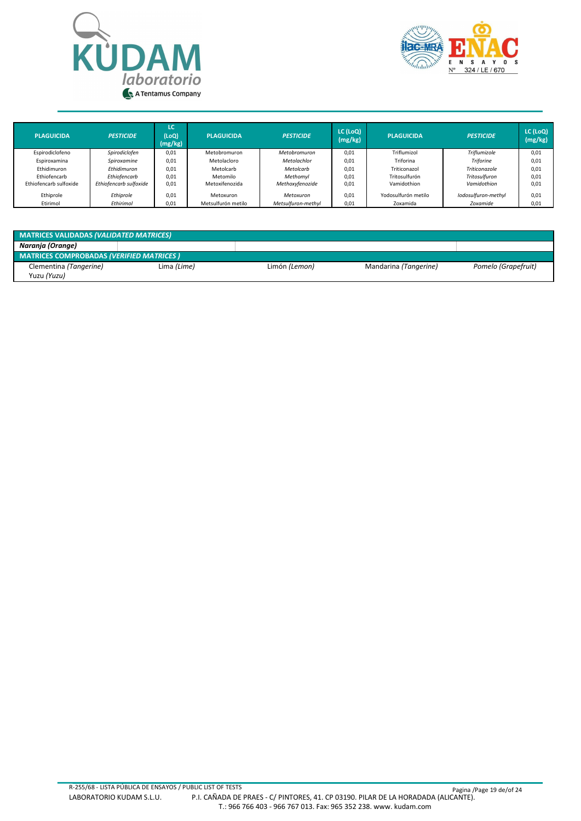



| <b>PLAGUICIDA</b>      | <b>PESTICIDE</b>       | LC<br>(LOQ)<br>(mg/kg) | <b>PLAGUICIDA</b>  | <b>PESTICIDE</b>   | LC (LoQ)<br>(mg/kg) | <b>PLAGUICIDA</b>   | <b>PESTICIDE</b>    | LC (LoQ)<br>(mg/kg) |
|------------------------|------------------------|------------------------|--------------------|--------------------|---------------------|---------------------|---------------------|---------------------|
| Espirodiclofeno        | Spirodiclofen          | 0,01                   | Metobromuron       | Metobromuron       | 0,01                | Triflumizol         | Triflumizole        | 0,01                |
| Espiroxamina           | Spiroxamine            | 0,01                   | Metolacloro        | Metolachlor        | 0,01                | Triforina           | <b>Triforine</b>    | 0,01                |
| Ethidimuron            | Ethidimuron            | 0,01                   | Metolcarb          | Metolcarb          | 0,01                | Triticonazol        | Triticonazole       | 0.01                |
| Ethiofencarb           | Ethiofencarb           | 0,01                   | Metomilo           | Methomyl           | 0,01                | Tritosulfurón       | Tritosulfuron       | 0.01                |
| Ethiofencarb sulfoxide | Ethiofencarb sulfoxide | 0,01                   | Metoxifenozida     | Methoxyfenozide    | 0,01                | Vamidothion         | Vamidothion         | 0,01                |
| Ethiprole              | Ethiprole              | 0,01                   | Metoxuron          | Metoxuron          | 0.01                | Yodosulfurón metilo | Iodosulfuron-methyl | 0.01                |
| Etirimol               | Ethirimol              | 0,01                   | Metsulfurón metilo | Metsulfuron-methyl | 0,01                | Zoxamida            | Zoxamide            | 0,01                |

| <b>MATRICES VALIDADAS (VALIDATED MATRICES)</b>  |             |               |                       |                     |  |  |  |  |
|-------------------------------------------------|-------------|---------------|-----------------------|---------------------|--|--|--|--|
| Naranja (Orange)                                |             |               |                       |                     |  |  |  |  |
| <b>MATRICES COMPROBADAS (VERIFIED MATRICES)</b> |             |               |                       |                     |  |  |  |  |
| Clementina (Tangerine)                          | Lima (Lime) | Limón (Lemon) | Mandarina (Tangerine) | Pomelo (Grapefruit) |  |  |  |  |
| Yuzu (Yuzu)                                     |             |               |                       |                     |  |  |  |  |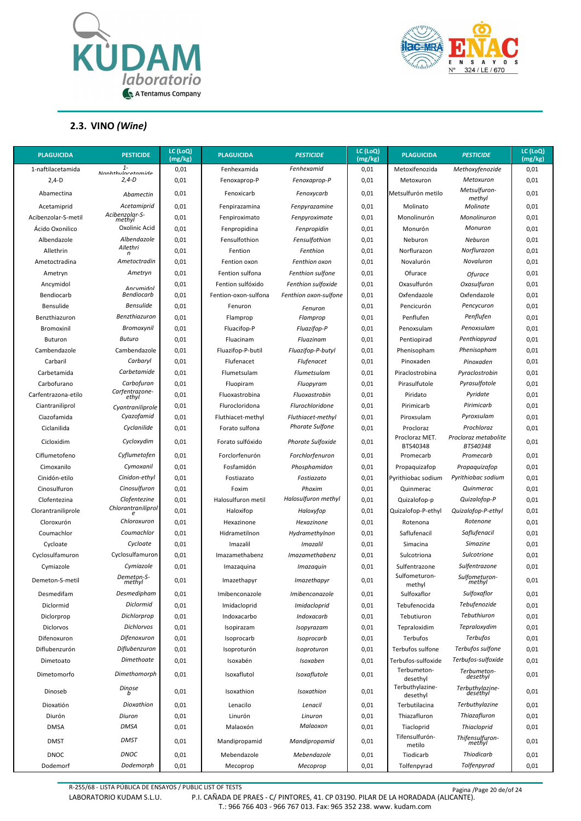



#### **2.3. VINO** *(Wine)*

| <b>PLAGUICIDA</b>   | <b>PESTICIDE</b>           | LC (LoQ)<br>(mg/kg) | <b>PLAGUICIDA</b>    | <b>PESTICIDE</b>       | LC (LoQ)<br>(mg/kg) | <b>PLAGUICIDA</b>           | <b>PESTICIDE</b>                 | LC (LoQ)<br>(mg/kg) |
|---------------------|----------------------------|---------------------|----------------------|------------------------|---------------------|-----------------------------|----------------------------------|---------------------|
| 1-naftilacetamida   | $1 -$<br>Nanhthylacetamide | 0,01                | Fenhexamida          | Fenhexamid             | 0,01                | Metoxifenozida              | Methoxyfenozide                  | 0,01                |
| $2,4-D$             | $2,4-D$                    | 0,01                | Fenoxaprop-P         | Fenoxaprop-P           | 0,01                | Metoxuron                   | Metoxuron                        | 0,01                |
| Abamectina          | Abamectin                  | 0,01                | Fenoxicarb           | Fenoxycarb             | 0,01                | Metsulfurón metilo          | Metsulfuron-<br>methyl           | 0,01                |
| Acetamiprid         | Acetamiprid                | 0,01                | Fenpirazamina        | Fenpyrazamine          | 0,01                | Molinato                    | Molinate                         | 0,01                |
| Acibenzolar-S-metil | Acibenzolar-S-<br>methyl   | 0,01                | Fenpiroximato        | Fenpyroximate          | 0,01                | Monolinurón                 | Monolinuron                      | 0,01                |
| Ácido Oxonilico     | Oxolinic Acid              | 0,01                | Fenpropidina         | Fenpropidin            | 0,01                | Monurón                     | Monuron                          | 0,01                |
| Albendazole         | Albendazole                | 0,01                | Fensulfothion        | Fensulfothion          | 0,01                | Neburon                     | Neburon                          | 0,01                |
| Allethrin           | Allethri<br>n              | 0,01                | Fention              | Fenthion               | 0,01                | Norflurazon                 | Norflurazon                      | 0,01                |
| Ametoctradina       | Ametoctradin               | 0,01                | Fention oxon         | Fenthion oxon          | 0,01                | Novalurón                   | Novaluron                        | 0,01                |
| Ametryn             | Ametryn                    | 0,01                | Fention sulfona      | Fenthion sulfone       | 0,01                | Ofurace                     | Ofurace                          | 0,01                |
| Ancymidol           | Ancymidol                  | 0,01                | Fention sulfóxido    | Fenthion sulfoxide     | 0,01                | Oxasulfurón                 | Oxasulfuron                      | 0,01                |
| Bendiocarb          | <b>Bendiocarb</b>          | 0,01                | Fention-oxon-sulfona | Fenthion oxon-sulfone  | 0,01                | Oxfendazole                 | Oxfendazole                      | 0,01                |
| Bensulide           | <b>Bensulide</b>           | 0,01                | Fenuron              | Fenuron                | 0,01                | Pencicurón                  | Pencycuron                       | 0,01                |
| Benzthiazuron       | Benzthiazuron              | 0,01                | Flamprop             | Flamprop               | 0,01                | Penflufen                   | Penflufen                        | 0,01                |
| Bromoxinil          | Bromoxynil                 | 0,01                | Fluacifop-P          | Fluazifop-P            | 0,01                | Penoxsulam                  | Penoxsulam                       | 0,01                |
| Buturon             | <b>Buturo</b>              | 0,01                | Fluacinam            | Fluazinam              | 0,01                | Pentiopirad                 | Penthiopyrad                     | 0,01                |
| Cambendazole        | Cambendazole               | 0,01                | Fluazifop-P-butil    | Fluazifop-P-butyl      | 0,01                | Phenisopham                 | Phenisopham                      | 0,01                |
| Carbaril            | Carbaryl                   | 0,01                | Flufenacet           | <b>Flufenacet</b>      | 0,01                | Pinoxaden                   | Pinoxaden                        | 0,01                |
| Carbetamida         | Carbetamide                | 0,01                | Flumetsulam          | Flumetsulam            | 0,01                | Piraclostrobina             | Pyraclostrobin                   | 0,01                |
| Carbofurano         | Carbofuran                 | 0,01                | Fluopiram            | Fluopyram              | 0,01                | Pirasulfutole               | Pyrasulfotole                    | 0,01                |
| Carfentrazona-etilo | Carfentrazone-<br>ethyl    | 0,01                | Fluoxastrobina       | Fluoxastrobin          | 0,01                | Piridato                    | Pyridate                         | 0,01                |
| Ciantraniliprol     | Cyantraniliprole           | 0,01                | Flurocloridona       | Flurochloridone        | 0,01                | Pirimicarb                  | Pirimicarb                       | 0,01                |
| Ciazofamida         | Cyazofamid                 | 0,01                | Fluthiacet-methyl    | Fluthiacet-methyl      | 0,01                | Piroxsulam                  | Pyroxsulam                       | 0,01                |
| Ciclanilida         | Cyclanilide                | 0,01                | Forato sulfona       | <b>Phorate Sulfone</b> | 0,01                | Procloraz                   | Prochloraz                       | 0,01                |
| Cicloxidim          | Cycloxydim                 | 0,01                | Forato sulfóxido     | Phorate Sulfoxide      | 0,01                | Procloraz MET.<br>BTS40348  | Procloraz metabolite<br>BTS40348 | 0,01                |
| Ciflumetofeno       | Cyflumetofen               | 0,01                | Forclorfenurón       | Forchlorfenuron        | 0,01                | Promecarb                   | Promecarb                        | 0,01                |
| Cimoxanilo          | Cymoxanil                  | 0,01                | Fosfamidón           | Phosphamidon           | 0,01                | Propaguizafop               | Propaquizafop                    | 0,01                |
| Cinidón-etilo       | Cinidon-ethyl              | 0,01                | Fostiazato           | Fostiazato             | 0,01                | Pyrithiobac sodium          | Pyrithiobac sodium               | 0,01                |
| Cinosulfuron        | Cinosulfuron               | 0,01                | Foxim                | Phoxim                 | 0,01                | Quinmerac                   | Quinmerac                        | 0,01                |
| Clofentezina        | Clofentezine               | 0,01                | Halosulfuron metil   | Halosulfuron methyl    | 0,01                | Quizalofop-p                | Quizalofop-P                     | 0,01                |
| Clorantraniliprole  | Chlorantraniliprol         | 0,01                | Haloxifop            | Haloxyfop              | 0,01                | Quizalofop-P-ethyl          | Quizalofop-P-ethyl               | 0,01                |
| Cloroxurón          | Chloroxuron                | 0,01                | Hexazinone           | Hexazinone             | 0,01                | Rotenona                    | Rotenone                         | 0,01                |
| Coumachlor          | Coumachlor                 | 0,01                | Hidrametilnon        | Hydramethylnon         | 0,01                | Saflufenacil                | Saflufenacil                     | 0,01                |
| Cycloate            | Cycloate                   | 0,01                | Imazalil             | <i><b>Imazalil</b></i> | 0,01                | Simacina                    | <b>Simazine</b>                  | 0,01                |
| Cyclosulfamuron     | Cyclosulfamuron            | 0,01                | Imazamethabenz       | Imazamethabenz         | 0,01                | Sulcotriona                 | <b>Sulcotrione</b>               | 0,01                |
| Cymiazole           | Cymiazole                  | 0,01                | Imazaquina           | Imazaquin              | 0,01                | Sulfentrazone               | Sulfentrazone                    | 0,01                |
| Demeton-S-metil     | Demeton-S-<br>methyl       | 0,01                | Imazethapyr          | Imazethapyr            | 0,01                | Sulfometuron-<br>methyl     | Sulfometuron-<br>methyl          | 0,01                |
| Desmedifam          | Desmedipham                | 0,01                | Imibenconazole       | Imibenconazole         | 0,01                | Sulfoxaflor                 | Sulfoxaflor                      | 0,01                |
| Diclormid           | Diclormid                  | 0,01                | Imidacloprid         | Imidacloprid           | 0,01                | Tebufenocida                | Tebufenozide                     | 0,01                |
| Diclorprop          | Dichlorprop                | 0,01                | Indoxacarbo          | Indoxacarb             | 0,01                | Tebutiuron                  | Tebuthiuron                      | 0,01                |
| Diclorvos           | Dichlorvos                 | 0,01                | Isopirazam           | Isopyrazam             | 0,01                | Tepraloxidim                | Tepraloxydim                     | 0,01                |
| Difenoxuron         | Difenoxuron                | 0,01                | Isoprocarb           | Isoprocarb             | 0,01                | Terbufos                    | <b>Terbufos</b>                  | 0,01                |
| Diflubenzurón       | Diflubenzuron              | 0,01                | Isoproturón          | Isoproturon            | 0,01                | Terbufos sulfone            | Terbufos sulfone                 | 0,01                |
| Dimetoato           | Dimethoate                 | 0,01                | Isoxabén             | Isoxaben               | 0,01                | Terbufos-sulfoxide          | Terbufos-sulfoxide               | 0,01                |
| Dimetomorfo         | Dimethomorph               | 0,01                | Isoxaflutol          | Isoxaflutole           | 0,01                | Terbumeton-<br>desethyl     | Terbumeton-<br>desethyl          | 0,01                |
| Dinoseb             | Dinose<br>b                | 0,01                | Isoxathion           | Isoxathion             | 0,01                | Terbuthylazine-<br>desethyl | Terbuthylazine-<br>desethyl      | 0,01                |
| Dioxatión           | Dioxathion                 | 0,01                | Lenacilo             | Lenacil                | 0,01                | Terbutilacina               | Terbuthylazine                   | 0,01                |
| Diurón              | Diuron                     | 0,01                | Linurón              | Linuron                | 0,01                | Thiazafluron                | Thiazafluron                     | 0,01                |
| <b>DMSA</b>         | <b>DMSA</b>                | 0,01                | Malaoxón             | Malaoxon               | 0,01                | Tiacloprid                  | <b>Thiacloprid</b>               | 0,01                |
| <b>DMST</b>         | <b>DMST</b>                | 0,01                | Mandipropamid        | Mandipropamid          | 0,01                | Tifensulfurón-<br>metilo    | Thifensulfuron-<br>methyl        | 0,01                |
| <b>DNOC</b>         | <b>DNOC</b>                | 0,01                | Mebendazole          | Mebendazole            | 0,01                | Tiodicarb                   | Thiodicarb                       | 0,01                |
| Dodemorf            | Dodemorph                  | 0,01                | Mecoprop             | Mecoprop               | 0,01                | Tolfenpyrad                 | Tolfenpyrad                      | 0,01                |

R-255/68 - LISTA PÚBLICA DE ENSAYOS / PUBLIC LIST OF TESTS Pagina /Page 20 de/of 24

LABORATORIO KUDAM S.L.U. P.I. CAÑADA DE PRAES - C/ PINTORES, 41. CP 03190. PILAR DE LA HORADADA (ALICANTE). T.: 966 766 403 - 966 767 013. Fax: 965 352 238. www. kudam.com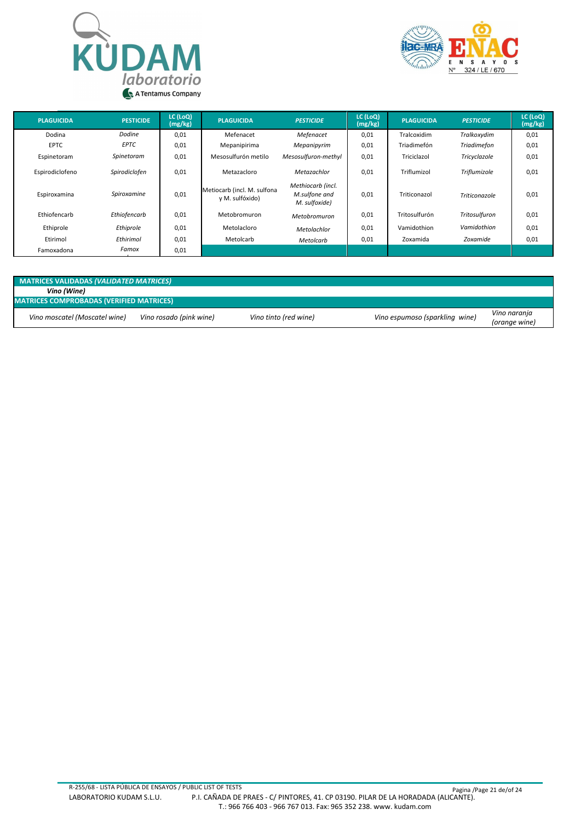



| <b>PLAGUICIDA</b> | <b>PESTICIDE</b> | LC (LoQ)<br>(mg/kg) | <b>PLAGUICIDA</b>                              | <b>PESTICIDE</b>                                    | LC (LoQ)<br>(mg/kg) | <b>PLAGUICIDA</b> | <b>PESTICIDE</b>   | LC (LoQ)<br>(mg/kg) |
|-------------------|------------------|---------------------|------------------------------------------------|-----------------------------------------------------|---------------------|-------------------|--------------------|---------------------|
| Dodina            | Dodine           | 0,01                | Mefenacet                                      | Mefenacet                                           | 0,01                | Tralcoxidim       | Tralkoxydim        | 0,01                |
| <b>EPTC</b>       | <b>EPTC</b>      | 0,01                | Mepanipirima                                   | Mepanipyrim                                         | 0,01                | Triadimefón       | <b>Triadimefon</b> | 0,01                |
| Espinetoram       | Spinetoram       | 0,01                | Mesosulfurón metilo                            | Mesosulfuron-methyl                                 | 0,01                | Triciclazol       | Tricyclazole       | 0,01                |
| Espirodiclofeno   | Spirodiclofen    | 0,01                | Metazacloro                                    | Metazachlor                                         | 0,01                | Triflumizol       | Triflumizole       | 0,01                |
| Espiroxamina      | Spiroxamine      | 0,01                | Metiocarb (incl. M. sulfona<br>y M. sulfóxido) | Methiocarb (incl.<br>M.sulfone and<br>M. sulfoxide) | 0,01                | Triticonazol      | Triticonazole      | 0,01                |
| Ethiofencarb      | Ethiofencarb     | 0,01                | Metobromuron                                   | Metobromuron                                        | 0,01                | Tritosulfurón     | Tritosulfuron      | 0,01                |
| Ethiprole         | Ethiprole        | 0,01                | Metolacloro                                    | Metolachlor                                         | 0,01                | Vamidothion       | Vamidothion        | 0,01                |
| Etirimol          | Ethirimol        | 0,01                | Metolcarb                                      | Metolcarb                                           | 0,01                | Zoxamida          | Zoxamide           | 0,01                |
| Famoxadona        | Famox            | 0,01                |                                                |                                                     |                     |                   |                    |                     |

| <b>MATRICES VALIDADAS (VALIDATED MATRICES)</b> |                                                 |                       |                                |                               |  |  |  |  |
|------------------------------------------------|-------------------------------------------------|-----------------------|--------------------------------|-------------------------------|--|--|--|--|
| Vino (Wine)                                    |                                                 |                       |                                |                               |  |  |  |  |
|                                                | <b>MATRICES COMPROBADAS (VERIFIED MATRICES)</b> |                       |                                |                               |  |  |  |  |
| Vino moscatel (Moscatel wine)                  | Vino rosado (pink wine)                         | Vino tinto (red wine) | Vino espumoso (sparkling wine) | Vino naranja<br>(orange wine) |  |  |  |  |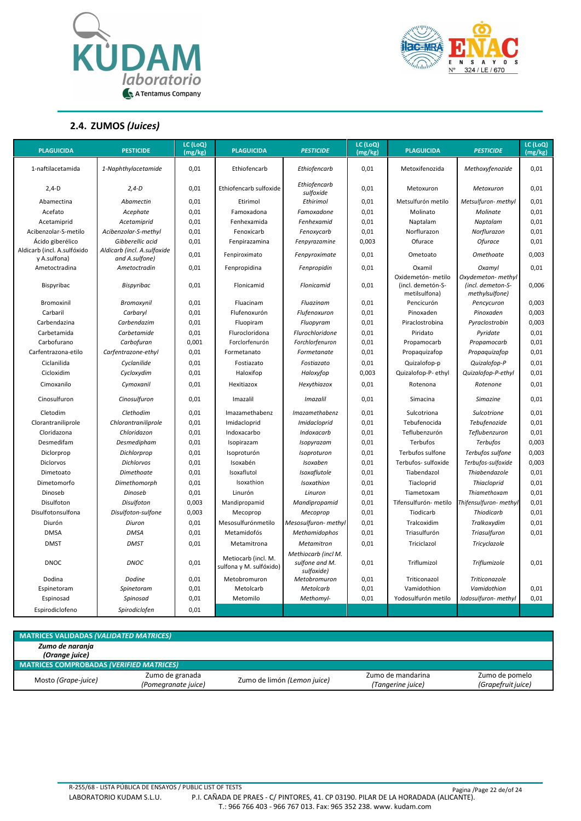



**2.4. ZUMOS** *(Juices)*

| <b>PLAGUICIDA</b>                           | <b>PESTICIDE</b>                              | LC (LoQ)<br>(mg/kg) | <b>PLAGUICIDA</b>                              | <b>PESTICIDE</b>                                    | LC (LoQ)<br>(mg/kg) | <b>PLAGUICIDA</b>                                        | <b>PESTICIDE</b>                                          | LC (LoQ)<br>(mg/kg) |
|---------------------------------------------|-----------------------------------------------|---------------------|------------------------------------------------|-----------------------------------------------------|---------------------|----------------------------------------------------------|-----------------------------------------------------------|---------------------|
|                                             |                                               |                     |                                                |                                                     |                     |                                                          |                                                           |                     |
| 1-naftilacetamida                           | 1-Naphthylacetamide                           | 0,01                | Ethiofencarb                                   | Ethiofencarb                                        | 0.01                | Metoxifenozida                                           | Methoxyfenozide                                           | 0,01                |
| $2,4-D$                                     | $2,4-D$                                       | 0,01                | Ethiofencarb sulfoxide                         | Ethiofencarb<br>sulfoxide                           | 0,01                | Metoxuron                                                | Metoxuron                                                 | 0,01                |
| Abamectina                                  | <b>Abamectin</b>                              | 0,01                | Etirimol                                       | Ethirimol                                           | 0,01                | Metsulfurón metilo                                       | Metsulfuron- methyl                                       | 0,01                |
| Acefato                                     | Acephate                                      | 0,01                | Famoxadona                                     | Famoxadone                                          | 0,01                | Molinato                                                 | Molinate                                                  | 0,01                |
| Acetamiprid                                 | Acetamiprid                                   | 0,01                | Fenhexamida                                    | Fenhexamid                                          | 0,01                | Naptalam                                                 | Naptalam                                                  | 0,01                |
| Acibenzolar-S-metilo                        | Acibenzolar-S-methyl                          | 0,01                | Fenoxicarb                                     | Fenoxycarb                                          | 0,01                | Norflurazon                                              | Norflurazon                                               | 0,01                |
| Ácido giberélico                            | Gibberellic acid                              | 0,01                | Fenpirazamina                                  | Fenpyrazamine                                       | 0,003               | Ofurace                                                  | Ofurace                                                   | 0,01                |
| Aldicarb (incl. A.sulfóxido<br>y A.sulfona) | Aldicarb (incl. A.sulfoxide<br>and A.sulfone) | 0,01                | Fenpiroximato                                  | Fenpyroximate                                       | 0,01                | Ometoato                                                 | Omethoate                                                 | 0,003               |
| Ametoctradina                               | Ametoctradin                                  | 0,01                | Fenpropidina                                   | Fenpropidin                                         | 0,01                | Oxamil                                                   | Oxamyl                                                    | 0,01                |
| Bispyribac                                  | Bispyribac                                    | 0,01                | Flonicamid                                     | Flonicamid                                          | 0,01                | Oxidemetón- metilo<br>(incl. demetón-S-<br>metilsulfona) | Oxydemeton- methyl<br>(incl. demeton-S-<br>methylsulfone) | 0,006               |
| Bromoxinil                                  | Bromoxynil                                    | 0,01                | Fluacinam                                      | Fluazinam                                           | 0,01                | Pencicurón                                               | Pencycuron                                                | 0,003               |
| Carbaril                                    | Carbaryl                                      | 0,01                | Flufenoxurón                                   | Flufenoxuron                                        | 0,01                | Pinoxaden                                                | Pinoxaden                                                 | 0,003               |
| Carbendazina                                | Carbendazim                                   | 0,01                | Fluopiram                                      | Fluopyram                                           | 0,01                | Piraclostrobina                                          | Pyraclostrobin                                            | 0,003               |
| Carbetamida                                 | Carbetamide                                   | 0,01                | Flurocloridona                                 | Flurochloridone                                     | 0,01                | Piridato                                                 | Pyridate                                                  | 0,01                |
| Carbofurano                                 | Carbofuran                                    | 0,001               | Forclorfenurón                                 | Forchlorfenuron                                     | 0,01                | Propamocarb                                              | Propamocarb                                               | 0,01                |
| Carfentrazona-etilo                         | Carfentrazone-ethyl                           | 0,01                | Formetanato                                    | Formetanate                                         | 0,01                | Propaquizafop                                            | Propaquizafop                                             | 0,01                |
| Ciclanilida                                 | Cyclanilide                                   | 0,01                | Fostiazato                                     | Fostiazato                                          | 0,01                | Quizalofop-p                                             | Quizalofop-P                                              | 0,01                |
| Cicloxidim                                  | Cycloxydim                                    | 0,01                | Haloxifop                                      | Haloxyfop                                           | 0,003               | Quizalofop-P- ethyl                                      | Quizalofop-P-ethyl                                        | 0,01                |
| Cimoxanilo                                  | Cvmoxanil                                     | 0,01                | Hexitiazox                                     | Hexythiazox                                         | 0,01                | Rotenona                                                 | Rotenone                                                  | 0,01                |
| Cinosulfuron                                | Cinosulfuron                                  | 0,01                | Imazalil                                       | <b>Imazalil</b>                                     | 0,01                | Simacina                                                 | Simazine                                                  | 0,01                |
| Cletodim                                    | Clethodim                                     | 0,01                | Imazamethabenz                                 | Imazamethabenz                                      | 0,01                | Sulcotriona                                              | Sulcotrione                                               | 0,01                |
| Clorantraniliprole                          | Chlorantraniliprole                           | 0,01                | Imidacloprid                                   | Imidacloprid                                        | 0,01                | Tebufenocida                                             | Tebufenozide                                              | 0,01                |
| Cloridazona                                 | Chloridazon                                   | 0,01                | Indoxacarbo                                    | Indoxacarb                                          | 0,01                | Teflubenzurón                                            | Teflubenzuron                                             | 0,01                |
| Desmedifam                                  | Desmedipham                                   | 0,01                | Isopirazam                                     | Isopyrazam                                          | 0,01                | Terbufos                                                 | <b>Terbufos</b>                                           | 0,003               |
| Diclorprop                                  | Dichlorprop                                   | 0,01                | Isoproturón                                    | Isoproturon                                         | 0,01                | Terbufos sulfone                                         | Terbufos sulfone                                          | 0,003               |
| <b>Diclorvos</b>                            | <b>Dichlorvos</b>                             | 0,01                | Isoxabén                                       | Isoxaben                                            | 0,01                | Terbufos- sulfoxide                                      | Terbufos-sulfoxide                                        | 0,003               |
| Dimetoato                                   | Dimethoate                                    | 0,01                | Isoxaflutol                                    | Isoxaflutole                                        | 0,01                | Tiabendazol                                              | Thiabendazole                                             | 0,01                |
| Dimetomorfo                                 | Dimethomorph                                  | 0,01                | Isoxathion                                     | Isoxathion                                          | 0,01                | Tiacloprid                                               | Thiacloprid                                               | 0,01                |
| Dinoseb                                     | <b>Dinoseb</b>                                | 0,01                | Linurón                                        | Linuron                                             | 0,01                | Tiametoxam                                               | Thiamethoxam                                              | 0,01                |
| Disulfoton                                  | Disulfoton                                    | 0,003               | Mandipropamid                                  | Mandipropamid                                       | 0,01                | Tifensulfurón- metilo                                    | Thifensulfuron-methyl                                     | 0,01                |
| Disulfotonsulfona                           | Disulfoton-sulfone                            | 0,003               | Mecoprop                                       | Mecoprop                                            | 0,01                | Tiodicarb                                                | <b>Thiodicarb</b>                                         | 0,01                |
| Diurón                                      | Diuron                                        | 0,01                | Mesosulfurónmetilo                             | Mesosulfuron- methyl                                | 0,01                | Tralcoxidim                                              | Tralkoxydim                                               | 0,01                |
| <b>DMSA</b>                                 | <b>DMSA</b>                                   | 0,01                | Metamidofós                                    | Methamidophos                                       | 0,01                | Triasulfurón                                             | Triasulfuron                                              | 0,01                |
| <b>DMST</b>                                 | <b>DMST</b>                                   | 0,01                | Metamitrona                                    | Metamitron                                          | 0,01                | Triciclazol                                              | Tricyclazole                                              |                     |
| <b>DNOC</b>                                 | <b>DNOC</b>                                   | 0,01                | Metiocarb (incl. M.<br>sulfona y M. sulfóxido) | Methiocarb (incl M.<br>sulfone and M.<br>sulfoxide) | 0,01                | Triflumizol                                              | Triflumizole                                              | 0,01                |
| Dodina                                      | Dodine                                        | 0,01                | Metobromuron                                   | Metobromuron                                        | 0,01                | Triticonazol                                             | Triticonazole                                             |                     |
| Espinetoram                                 | Spinetoram                                    | 0,01                | Metolcarb                                      | Metolcarb                                           | 0,01                | Vamidothion                                              | Vamidothion                                               | 0,01                |
| Espinosad                                   | Spinosad                                      | 0,01                | Metomilo                                       | Methomyl-                                           | 0,01                | Yodosulfurón metilo                                      | Iodosulfuron- methyl                                      | 0,01                |
| Espirodiclofeno                             | Spirodiclofen                                 | 0,01                |                                                |                                                     |                     |                                                          |                                                           |                     |

| <b>MATRICES VALIDADAS (VALIDATED MATRICES)</b>  |                                        |                             |                                        |                                      |
|-------------------------------------------------|----------------------------------------|-----------------------------|----------------------------------------|--------------------------------------|
| Zumo de naranja<br>(Orange juice)               |                                        |                             |                                        |                                      |
| <b>MATRICES COMPROBADAS (VERIFIED MATRICES)</b> |                                        |                             |                                        |                                      |
| Mosto (Grape-juice)                             | Zumo de granada<br>(Pomegranate juice) | Zumo de limón (Lemon juice) | Zumo de mandarina<br>(Tangerine juice) | Zumo de pomelo<br>(Grapefruit juice) |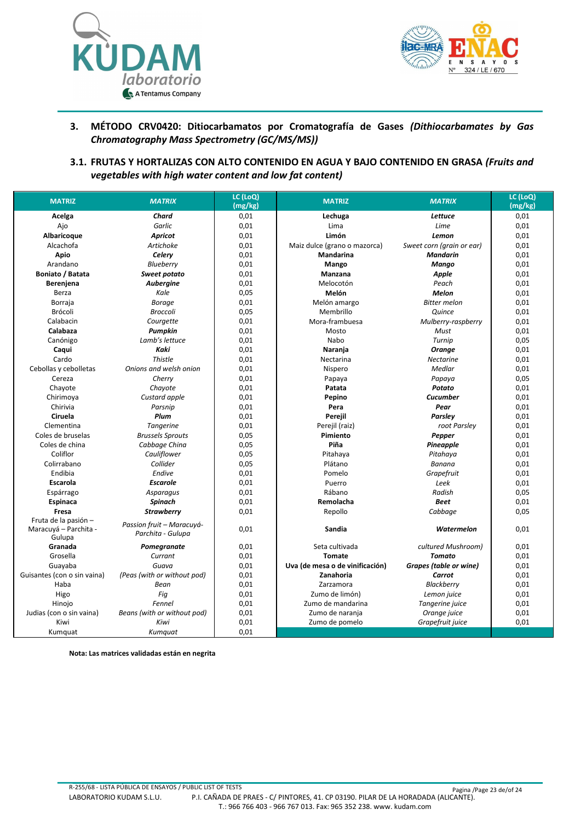



#### **3. MÉTODO CRV0420: Ditiocarbamatos por Cromatografía de Gases** *(Dithiocarbamates by Gas Chromatography Mass Spectrometry (GC/MS/MS))*

**3.1. FRUTAS Y HORTALIZAS CON ALTO CONTENIDO EN AGUA Y BAJO CONTENIDO EN GRASA** *(Fruits and vegetables with high water content and low fat content)*

| <b>MATRIZ</b>               | <b>MATRIX</b>                                  | LC (LoQ)<br>(mg/kg) | <b>MATRIZ</b>                   | <b>MATRIX</b>                 | LC (LoQ)<br>(mg/kg) |
|-----------------------------|------------------------------------------------|---------------------|---------------------------------|-------------------------------|---------------------|
| Acelga                      | Chard                                          | 0,01                | Lechuga                         | <b>Lettuce</b>                | 0,01                |
| Ajo                         | Garlic                                         | 0,01                | Lima                            | Lime                          | 0,01                |
| Albaricoque                 | <b>Apricot</b>                                 | 0,01                | Limón                           | Lemon                         | 0,01                |
| Alcachofa                   | Artichoke                                      | 0,01                | Maiz dulce (grano o mazorca)    | Sweet corn (grain or ear)     | 0,01                |
| <b>Apio</b>                 | Celery                                         | 0,01                | Mandarina                       | <b>Mandarin</b>               | 0,01                |
| Arandano                    | <b>Blueberry</b>                               | 0,01                | Mango                           | Mango                         | 0,01                |
| Boniato / Batata            | Sweet potato                                   | 0,01                | Manzana                         | Apple                         | 0,01                |
| Berenjena                   | <b>Aubergine</b>                               | 0.01                | Melocotón                       | Peach                         | 0,01                |
| Berza                       | Kale                                           | 0,05                | Melón                           | <b>Melon</b>                  | 0,01                |
| Borraja                     | <b>Borage</b>                                  | 0,01                | Melón amargo                    | <b>Bitter</b> melon           | 0,01                |
| Brócoli                     | <b>Broccoli</b>                                | 0,05                | Membrillo                       | Quince                        | 0,01                |
| Calabacin                   | Courgette                                      | 0,01                | Mora-frambuesa                  | Mulberry-raspberry            | 0,01                |
| Calabaza                    | Pumpkin                                        | 0,01                | Mosto                           | Must                          | 0,01                |
| Canónigo                    | Lamb's lettuce                                 | 0,01                | Nabo                            | Turnip                        | 0,05                |
| Caqui                       | Kaki                                           | 0,01                | Naranja                         | Orange                        | 0,01                |
| Cardo                       | Thistle                                        | 0,01                | Nectarina                       | <b>Nectarine</b>              | 0,01                |
| Cebollas y cebolletas       | Onions and welsh onion                         | 0,01                | Nispero                         | Medlar                        | 0,01                |
| Cereza                      | Cherry                                         | 0,01                | Papaya                          | Papaya                        | 0,05                |
| Chayote                     | Chayote                                        | 0,01                | Patata                          | Potato                        | 0,01                |
| Chirimoya                   | Custard apple                                  | 0,01                | Pepino                          | <b>Cucumber</b>               | 0,01                |
| Chirivia                    | Parsnip                                        | 0,01                | Pera                            | Pear                          | 0,01                |
| Ciruela                     | Plum                                           | 0,01                | Perejil                         | Parsley                       | 0,01                |
| Clementina                  | Tangerine                                      | 0,01                | Perejil (raiz)                  | root Parsley                  | 0,01                |
| Coles de bruselas           | <b>Brussels Sprouts</b>                        | 0,05                | Pimiento                        | Pepper                        | 0,01                |
| Coles de china              | Cabbage China                                  | 0,05                | Piña                            | Pineapple                     | 0,01                |
| Coliflor                    | Cauliflower                                    | 0,05                | Pitahaya                        | Pitahaya                      | 0,01                |
| Colirrabano                 | Collider                                       | 0,05                | Plátano                         | Banana                        | 0,01                |
| Endibia                     | Endive                                         | 0,01                | Pomelo                          | Grapefruit                    | 0,01                |
| Escarola                    | <b>Escarole</b>                                | 0,01                | Puerro                          | Leek                          | 0,01                |
| Espárrago                   | Asparagus                                      | 0,01                | Rábano                          | Radish                        | 0,05                |
| Espinaca                    | Spinach                                        | 0,01                | Remolacha                       | <b>Beet</b>                   | 0,01                |
| Fresa                       | <b>Strawberry</b>                              | 0,01                | Repollo                         | Cabbage                       | 0,05                |
| Fruta de la pasión -        |                                                |                     |                                 |                               |                     |
| Maracuyá - Parchita -       | Passion fruit - Maracuyá-<br>Parchita - Gulupa | 0,01                | Sandia                          | Watermelon                    | 0,01                |
| Gulupa                      |                                                |                     |                                 |                               |                     |
| Granada                     | Pomegranate                                    | 0,01                | Seta cultivada                  | cultured Mushroom)            | 0,01                |
| Grosella                    | Currant                                        | 0,01                | <b>Tomate</b>                   | <b>Tomato</b>                 | 0,01                |
| Guayaba                     | Guava                                          | 0,01                | Uva (de mesa o de vinificación) | <b>Grapes (table or wine)</b> | 0,01                |
| Guisantes (con o sin vaina) | (Peas (with or without pod)                    | 0.01                | Zanahoria                       | Carrot                        | 0,01                |
| Haba                        | Bean                                           | 0,01                | Zarzamora                       | Blackberry                    | 0,01                |
| Higo                        | Fig                                            | 0,01                | Zumo de limón)                  | Lemon juice                   | 0,01                |
| Hinojo                      | Fennel                                         | 0,01                | Zumo de mandarina               | Tangerine juice               | 0,01                |
| Judias (con o sin vaina)    | Beans (with or without pod)                    | 0,01                | Zumo de naranja                 | Orange juice                  | 0,01                |
| Kiwi                        | Kiwi                                           | 0,01                | Zumo de pomelo                  | Grapefruit juice              | 0,01                |
| Kumquat                     | Kumauat                                        | 0.01                |                                 |                               |                     |

**Nota: Las matrices validadas están en negrita**